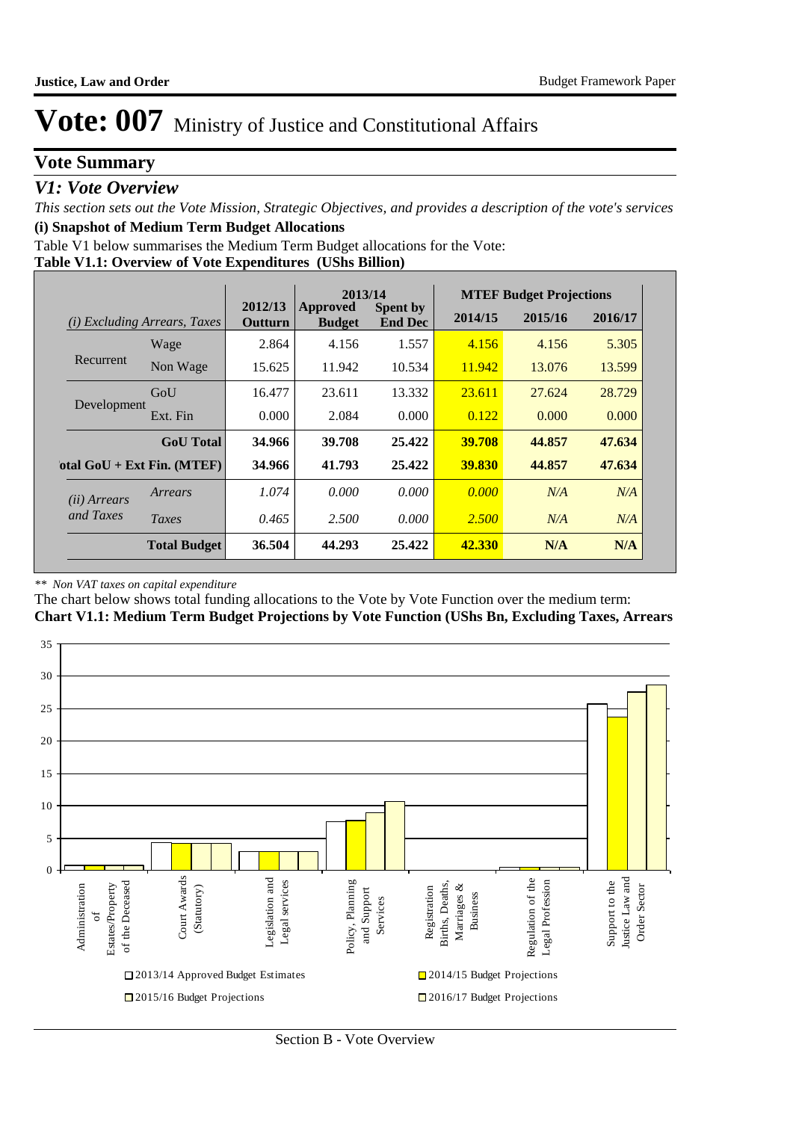## **Vote Summary**

### *V1: Vote Overview*

*This section sets out the Vote Mission, Strategic Objectives, and provides a description of the vote's services* **(i) Snapshot of Medium Term Budget Allocations** 

Table V1 below summarises the Medium Term Budget allocations for the Vote:

#### **Table V1.1: Overview of Vote Expenditures (UShs Billion)**

|                                     |                              |                    | 2013/14                   |                                   |         | <b>MTEF Budget Projections</b> |         |
|-------------------------------------|------------------------------|--------------------|---------------------------|-----------------------------------|---------|--------------------------------|---------|
| <i>(i)</i> Excluding Arrears, Taxes |                              | 2012/13<br>Outturn | Approved<br><b>Budget</b> | <b>Spent by</b><br><b>End Dec</b> | 2014/15 | 2015/16                        | 2016/17 |
|                                     | Wage                         | 2.864              | 4.156                     | 1.557                             | 4.156   | 4.156                          | 5.305   |
| Recurrent                           | Non Wage                     | 15.625             | 11.942                    | 10.534                            | 11.942  | 13.076                         | 13.599  |
|                                     | GoU                          | 16.477             | 23.611                    | 13.332                            | 23.611  | 27.624                         | 28.729  |
| Development                         | Ext. Fin                     | 0.000              | 2.084                     | 0.000                             | 0.122   | 0.000                          | 0.000   |
|                                     | <b>GoU</b> Total             | 34.966             | 39.708                    | 25.422                            | 39.708  | 44.857                         | 47.634  |
|                                     | otal $GoU + Ext Fin. (MTEF)$ | 34.966             | 41.793                    | 25.422                            | 39.830  | 44.857                         | 47.634  |
| ( <i>ii</i> ) Arrears               | Arrears                      | 1.074              | 0.000                     | 0.000                             | 0.000   | N/A                            | N/A     |
| and Taxes                           | Taxes                        | 0.465              | 2.500                     | 0.000                             | 2.500   | N/A                            | N/A     |
|                                     | <b>Total Budget</b>          | 36.504             | 44.293                    | 25.422                            | 42.330  | N/A                            | N/A     |

#### *\*\* Non VAT taxes on capital expenditure*

The chart below shows total funding allocations to the Vote by Vote Function over the medium term: **Chart V1.1: Medium Term Budget Projections by Vote Function (UShs Bn, Excluding Taxes, Arrears**



Section B - Vote Overview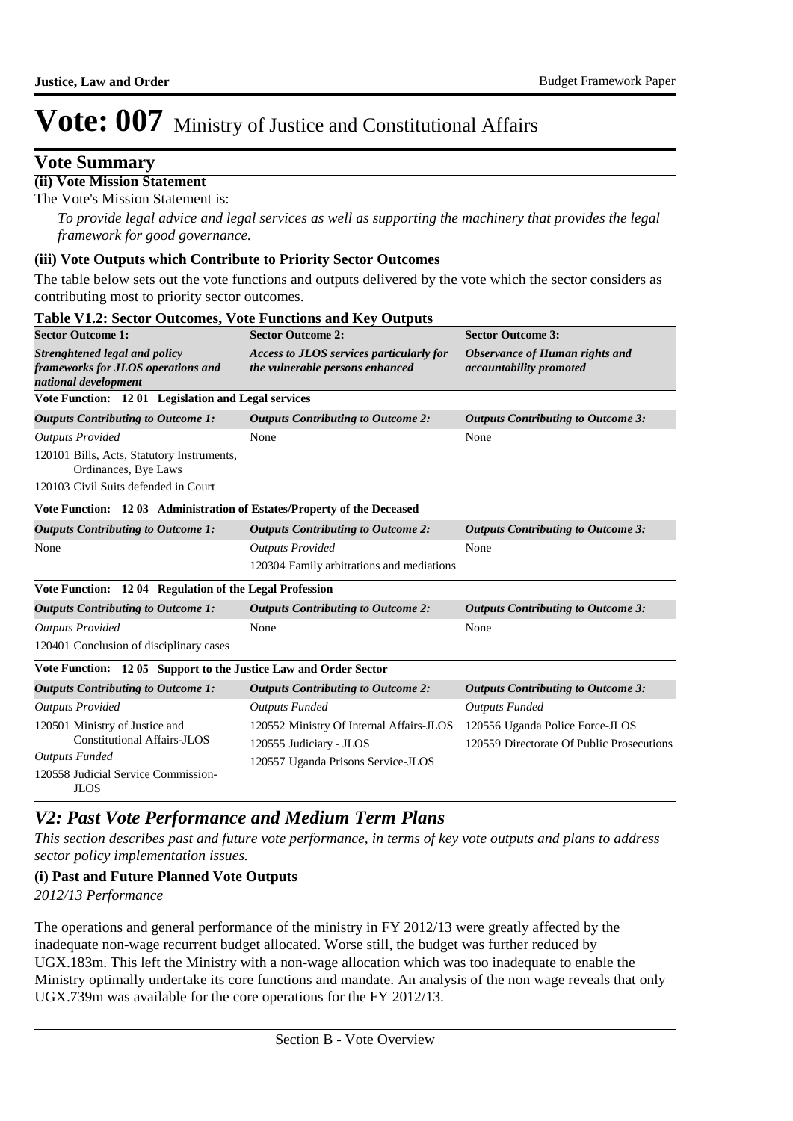## **Vote Summary**

## **(ii) Vote Mission Statement**

The Vote's Mission Statement is:

*To provide legal advice and legal services as well as supporting the machinery that provides the legal framework for good governance.*

### **(iii) Vote Outputs which Contribute to Priority Sector Outcomes**

The table below sets out the vote functions and outputs delivered by the vote which the sector considers as contributing most to priority sector outcomes.

| Table V1.2: Sector Outcomes, Vote Functions and Key Outputs                                 |                                                                             |                                                           |
|---------------------------------------------------------------------------------------------|-----------------------------------------------------------------------------|-----------------------------------------------------------|
| <b>Sector Outcome 1:</b>                                                                    | <b>Sector Outcome 2:</b>                                                    | <b>Sector Outcome 3:</b>                                  |
| Strenghtened legal and policy<br>frameworks for JLOS operations and<br>national development | Access to JLOS services particularly for<br>the vulnerable persons enhanced | Observance of Human rights and<br>accountability promoted |
| Vote Function: 1201 Legislation and Legal services                                          |                                                                             |                                                           |
| <b>Outputs Contributing to Outcome 1:</b>                                                   | <b>Outputs Contributing to Outcome 2:</b>                                   | <b>Outputs Contributing to Outcome 3:</b>                 |
| <b>Outputs Provided</b>                                                                     | None                                                                        | None                                                      |
| 120101 Bills, Acts, Statutory Instruments,<br>Ordinances, Bye Laws                          |                                                                             |                                                           |
| 120103 Civil Suits defended in Court                                                        |                                                                             |                                                           |
| Vote Function: 1203 Administration of Estates/Property of the Deceased                      |                                                                             |                                                           |
| <b>Outputs Contributing to Outcome 1:</b>                                                   | <b>Outputs Contributing to Outcome 2:</b>                                   | <b>Outputs Contributing to Outcome 3:</b>                 |
| None                                                                                        | <b>Outputs Provided</b>                                                     | None                                                      |
|                                                                                             | 120304 Family arbitrations and mediations                                   |                                                           |
| Vote Function: 1204 Regulation of the Legal Profession                                      |                                                                             |                                                           |
| <b>Outputs Contributing to Outcome 1:</b>                                                   | <b>Outputs Contributing to Outcome 2:</b>                                   | <b>Outputs Contributing to Outcome 3:</b>                 |
| <b>Outputs Provided</b>                                                                     | None                                                                        | None                                                      |
| 120401 Conclusion of disciplinary cases                                                     |                                                                             |                                                           |
| Vote Function: 12 05 Support to the Justice Law and Order Sector                            |                                                                             |                                                           |
| <b>Outputs Contributing to Outcome 1:</b>                                                   | <b>Outputs Contributing to Outcome 2:</b>                                   | <b>Outputs Contributing to Outcome 3:</b>                 |
| <b>Outputs Provided</b>                                                                     | <b>Outputs Funded</b>                                                       | <b>Outputs Funded</b>                                     |
| 120501 Ministry of Justice and                                                              | 120552 Ministry Of Internal Affairs-JLOS                                    | 120556 Uganda Police Force-JLOS                           |
| Constitutional Affairs-JLOS                                                                 | 120555 Judiciary - JLOS                                                     | 120559 Directorate Of Public Prosecutions                 |
| <b>Outputs Funded</b>                                                                       | 120557 Uganda Prisons Service-JLOS                                          |                                                           |
| 120558 Judicial Service Commission-<br><b>JLOS</b>                                          |                                                                             |                                                           |

## *V2: Past Vote Performance and Medium Term Plans*

*This section describes past and future vote performance, in terms of key vote outputs and plans to address sector policy implementation issues.* 

### **(i) Past and Future Planned Vote Outputs**

*2012/13 Performance*

The operations and general performance of the ministry in FY 2012/13 were greatly affected by the inadequate non-wage recurrent budget allocated. Worse still, the budget was further reduced by UGX.183m. This left the Ministry with a non-wage allocation which was too inadequate to enable the Ministry optimally undertake its core functions and mandate. An analysis of the non wage reveals that only UGX.739m was available for the core operations for the FY 2012/13.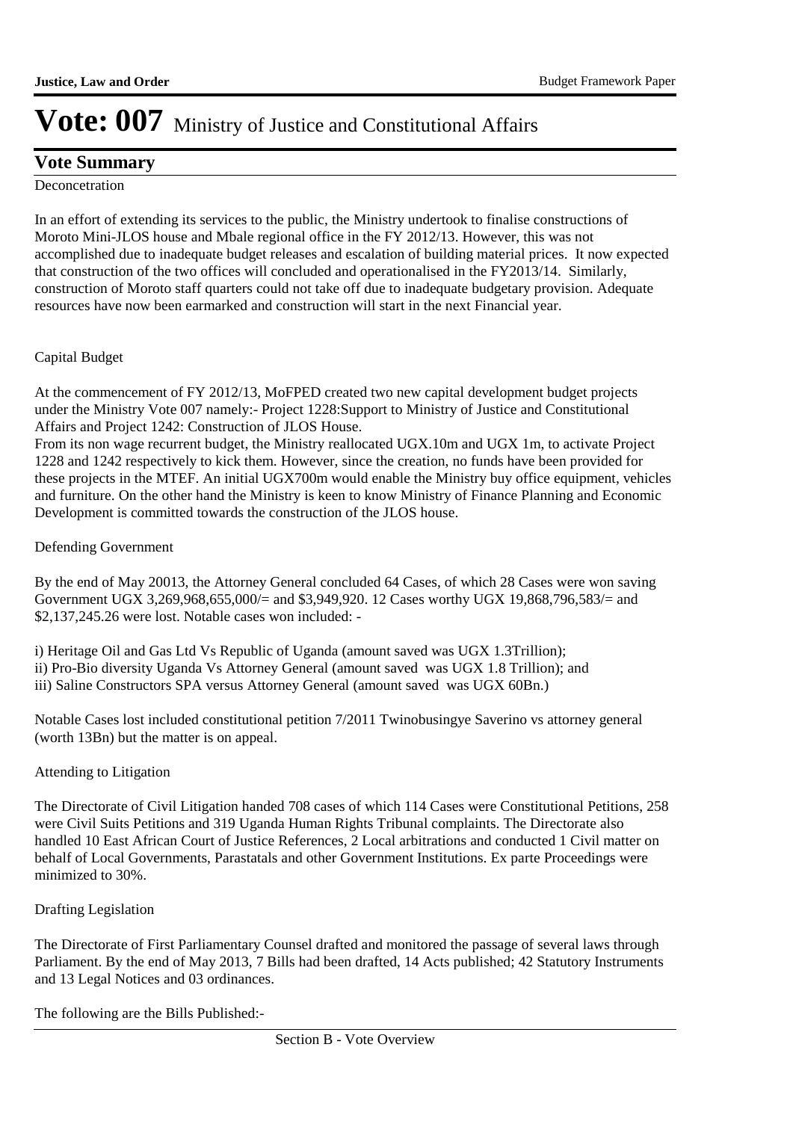## **Vote Summary**

### **Deconcetration**

In an effort of extending its services to the public, the Ministry undertook to finalise constructions of Moroto Mini-JLOS house and Mbale regional office in the FY 2012/13. However, this was not accomplished due to inadequate budget releases and escalation of building material prices. It now expected that construction of the two offices will concluded and operationalised in the FY2013/14. Similarly, construction of Moroto staff quarters could not take off due to inadequate budgetary provision. Adequate resources have now been earmarked and construction will start in the next Financial year.

### Capital Budget

At the commencement of FY 2012/13, MoFPED created two new capital development budget projects under the Ministry Vote 007 namely:- Project 1228:Support to Ministry of Justice and Constitutional Affairs and Project 1242: Construction of JLOS House.

From its non wage recurrent budget, the Ministry reallocated UGX.10m and UGX 1m, to activate Project 1228 and 1242 respectively to kick them. However, since the creation, no funds have been provided for these projects in the MTEF. An initial UGX700m would enable the Ministry buy office equipment, vehicles and furniture. On the other hand the Ministry is keen to know Ministry of Finance Planning and Economic Development is committed towards the construction of the JLOS house.

### Defending Government

By the end of May 20013, the Attorney General concluded 64 Cases, of which 28 Cases were won saving Government UGX 3,269,968,655,000/= and \$3,949,920. 12 Cases worthy UGX 19,868,796,583/= and \$2,137,245.26 were lost. Notable cases won included: -

i) Heritage Oil and Gas Ltd Vs Republic of Uganda (amount saved was UGX 1.3Trillion); ii) Pro-Bio diversity Uganda Vs Attorney General (amount saved was UGX 1.8 Trillion); and iii) Saline Constructors SPA versus Attorney General (amount saved was UGX 60Bn.)

Notable Cases lost included constitutional petition 7/2011 Twinobusingye Saverino vs attorney general (worth 13Bn) but the matter is on appeal.

### Attending to Litigation

The Directorate of Civil Litigation handed 708 cases of which 114 Cases were Constitutional Petitions, 258 were Civil Suits Petitions and 319 Uganda Human Rights Tribunal complaints. The Directorate also handled 10 East African Court of Justice References, 2 Local arbitrations and conducted 1 Civil matter on behalf of Local Governments, Parastatals and other Government Institutions. Ex parte Proceedings were minimized to 30%.

### Drafting Legislation

The Directorate of First Parliamentary Counsel drafted and monitored the passage of several laws through Parliament. By the end of May 2013, 7 Bills had been drafted, 14 Acts published; 42 Statutory Instruments and 13 Legal Notices and 03 ordinances.

The following are the Bills Published:-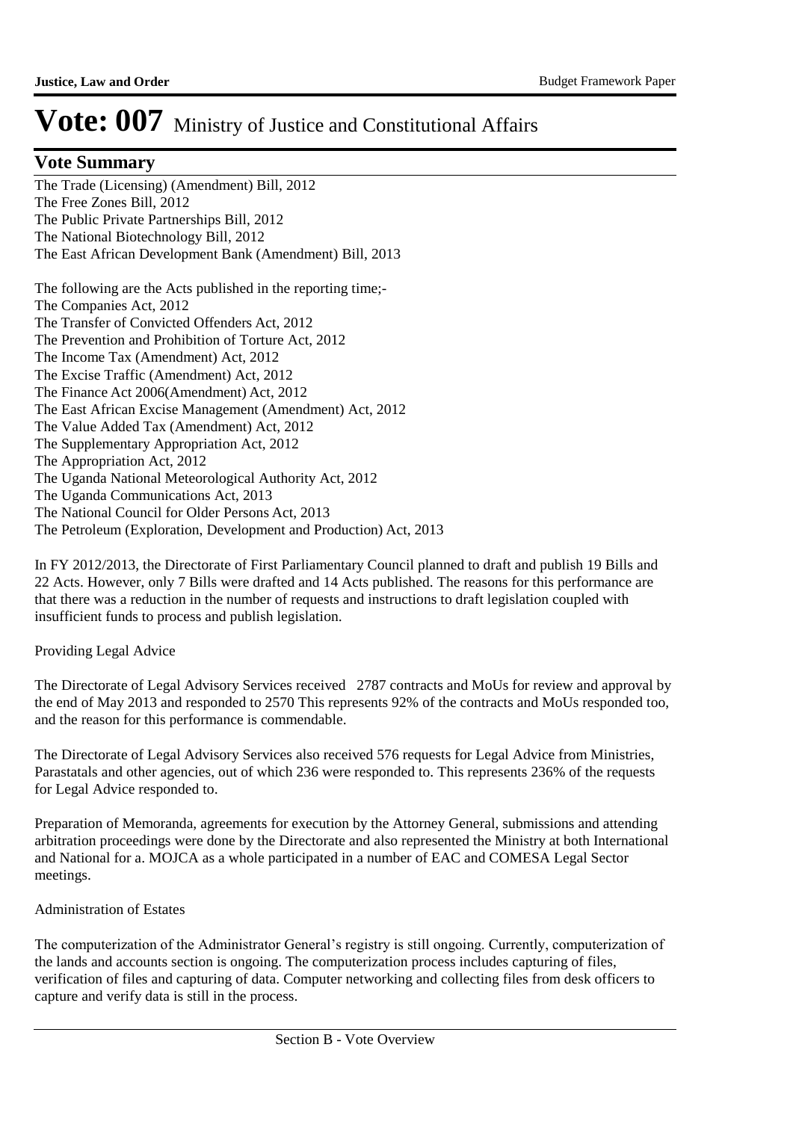## **Vote Summary**

The Trade (Licensing) (Amendment) Bill, 2012 The Free Zones Bill, 2012 The Public Private Partnerships Bill, 2012 The National Biotechnology Bill, 2012 The East African Development Bank (Amendment) Bill, 2013

The following are the Acts published in the reporting time;- The Companies Act, 2012 The Transfer of Convicted Offenders Act, 2012 The Prevention and Prohibition of Torture Act, 2012 The Income Tax (Amendment) Act, 2012 The Excise Traffic (Amendment) Act, 2012 The Finance Act 2006(Amendment) Act, 2012 The East African Excise Management (Amendment) Act, 2012 The Value Added Tax (Amendment) Act, 2012 The Supplementary Appropriation Act, 2012 The Appropriation Act, 2012 The Uganda National Meteorological Authority Act, 2012 The Uganda Communications Act, 2013 The National Council for Older Persons Act, 2013 The Petroleum (Exploration, Development and Production) Act, 2013 

In FY 2012/2013, the Directorate of First Parliamentary Council planned to draft and publish 19 Bills and 22 Acts. However, only 7 Bills were drafted and 14 Acts published. The reasons for this performance are that there was a reduction in the number of requests and instructions to draft legislation coupled with insufficient funds to process and publish legislation.

### Providing Legal Advice

The Directorate of Legal Advisory Services received 2787 contracts and MoUs for review and approval by the end of May 2013 and responded to 2570 This represents 92% of the contracts and MoUs responded too, and the reason for this performance is commendable.

The Directorate of Legal Advisory Services also received 576 requests for Legal Advice from Ministries, Parastatals and other agencies, out of which 236 were responded to. This represents 236% of the requests for Legal Advice responded to.

Preparation of Memoranda, agreements for execution by the Attorney General, submissions and attending arbitration proceedings were done by the Directorate and also represented the Ministry at both International and National for a. MOJCA as a whole participated in a number of EAC and COMESA Legal Sector meetings.

### Administration of Estates

The computerization of the Administrator General's registry is still ongoing. Currently, computerization of the lands and accounts section is ongoing. The computerization process includes capturing of files, verification of files and capturing of data. Computer networking and collecting files from desk officers to capture and verify data is still in the process.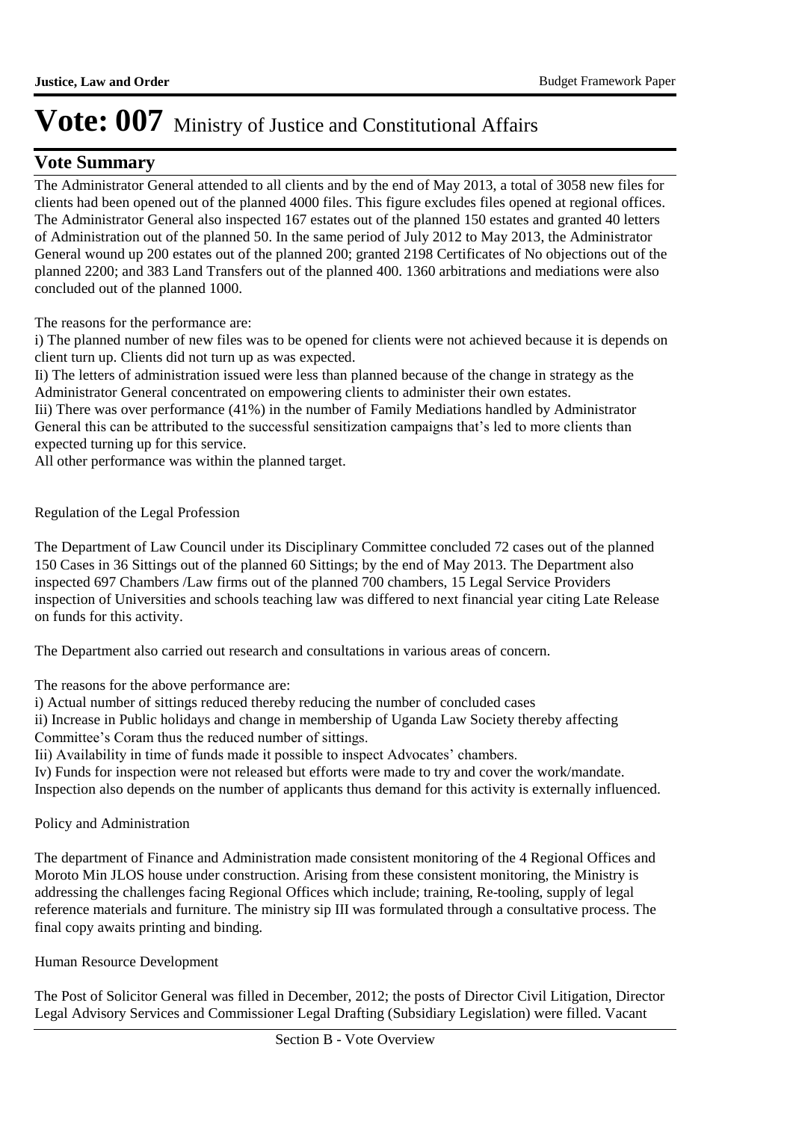## **Vote Summary**

The Administrator General attended to all clients and by the end of May 2013, a total of 3058 new files for clients had been opened out of the planned 4000 files. This figure excludes files opened at regional offices. The Administrator General also inspected 167 estates out of the planned 150 estates and granted 40 letters of Administration out of the planned 50. In the same period of July 2012 to May 2013, the Administrator General wound up 200 estates out of the planned 200; granted 2198 Certificates of No objections out of the planned 2200; and 383 Land Transfers out of the planned 400. 1360 arbitrations and mediations were also concluded out of the planned 1000.

The reasons for the performance are:

i) The planned number of new files was to be opened for clients were not achieved because it is depends on client turn up. Clients did not turn up as was expected.

Ii) The letters of administration issued were less than planned because of the change in strategy as the Administrator General concentrated on empowering clients to administer their own estates.

Iii) There was over performance (41%) in the number of Family Mediations handled by Administrator General this can be attributed to the successful sensitization campaigns that's led to more clients than expected turning up for this service.

All other performance was within the planned target.

### Regulation of the Legal Profession

The Department of Law Council under its Disciplinary Committee concluded 72 cases out of the planned 150 Cases in 36 Sittings out of the planned 60 Sittings; by the end of May 2013. The Department also inspected 697 Chambers /Law firms out of the planned 700 chambers, 15 Legal Service Providers inspection of Universities and schools teaching law was differed to next financial year citing Late Release on funds for this activity.

The Department also carried out research and consultations in various areas of concern.

The reasons for the above performance are:

i) Actual number of sittings reduced thereby reducing the number of concluded cases

ii) Increase in Public holidays and change in membership of Uganda Law Society thereby affecting Committee's Coram thus the reduced number of sittings.

Iii) Availability in time of funds made it possible to inspect Advocates' chambers.

Iv) Funds for inspection were not released but efforts were made to try and cover the work/mandate. Inspection also depends on the number of applicants thus demand for this activity is externally influenced.

Policy and Administration

The department of Finance and Administration made consistent monitoring of the 4 Regional Offices and Moroto Min JLOS house under construction. Arising from these consistent monitoring, the Ministry is addressing the challenges facing Regional Offices which include; training, Re-tooling, supply of legal reference materials and furniture. The ministry sip III was formulated through a consultative process. The final copy awaits printing and binding.

### Human Resource Development

The Post of Solicitor General was filled in December, 2012; the posts of Director Civil Litigation, Director Legal Advisory Services and Commissioner Legal Drafting (Subsidiary Legislation) were filled. Vacant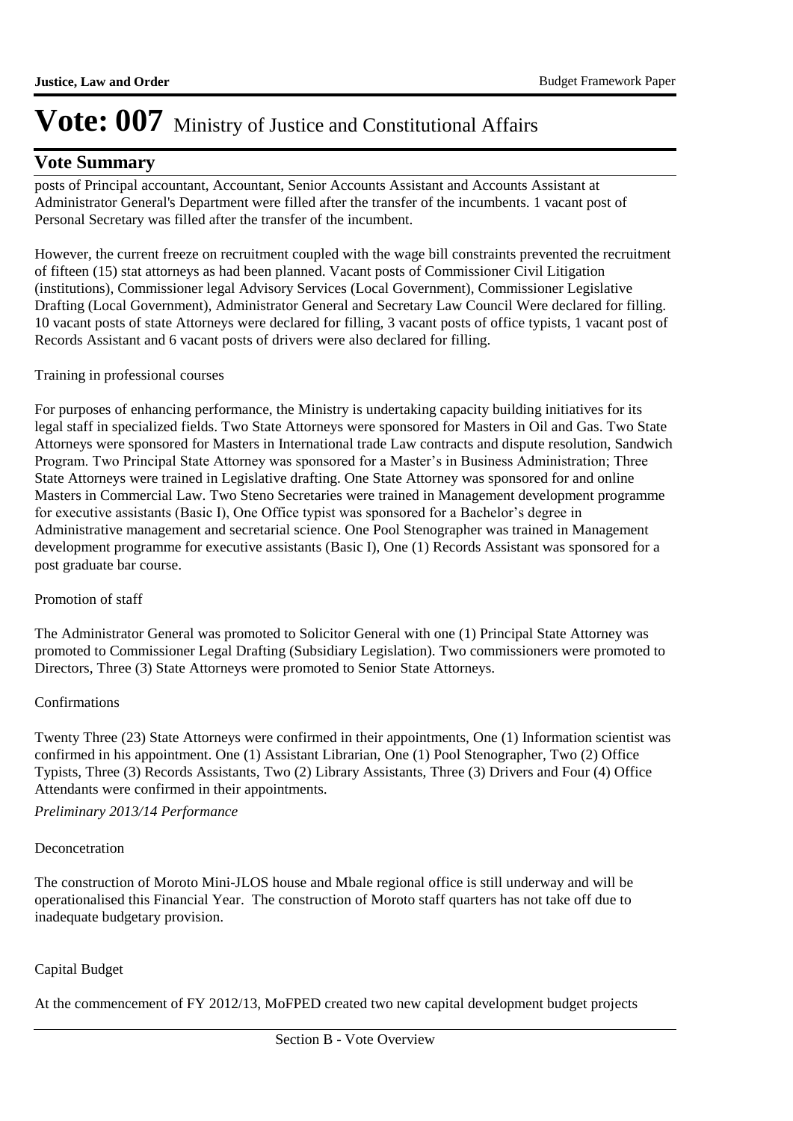### **Vote Summary**

posts of Principal accountant, Accountant, Senior Accounts Assistant and Accounts Assistant at Administrator General's Department were filled after the transfer of the incumbents. 1 vacant post of Personal Secretary was filled after the transfer of the incumbent. 

However, the current freeze on recruitment coupled with the wage bill constraints prevented the recruitment of fifteen (15) stat attorneys as had been planned. Vacant posts of Commissioner Civil Litigation (institutions), Commissioner legal Advisory Services (Local Government), Commissioner Legislative Drafting (Local Government), Administrator General and Secretary Law Council Were declared for filling. 10 vacant posts of state Attorneys were declared for filling, 3 vacant posts of office typists, 1 vacant post of Records Assistant and 6 vacant posts of drivers were also declared for filling.

#### Training in professional courses

For purposes of enhancing performance, the Ministry is undertaking capacity building initiatives for its legal staff in specialized fields. Two State Attorneys were sponsored for Masters in Oil and Gas. Two State Attorneys were sponsored for Masters in International trade Law contracts and dispute resolution, Sandwich Program. Two Principal State Attorney was sponsored for a Master's in Business Administration; Three State Attorneys were trained in Legislative drafting. One State Attorney was sponsored for and online Masters in Commercial Law. Two Steno Secretaries were trained in Management development programme for executive assistants (Basic I), One Office typist was sponsored for a Bachelor's degree in Administrative management and secretarial science. One Pool Stenographer was trained in Management development programme for executive assistants (Basic I), One (1) Records Assistant was sponsored for a post graduate bar course.

#### Promotion of staff

The Administrator General was promoted to Solicitor General with one (1) Principal State Attorney was promoted to Commissioner Legal Drafting (Subsidiary Legislation). Two commissioners were promoted to Directors, Three (3) State Attorneys were promoted to Senior State Attorneys.

#### Confirmations

Twenty Three (23) State Attorneys were confirmed in their appointments, One (1) Information scientist was confirmed in his appointment. One (1) Assistant Librarian, One (1) Pool Stenographer, Two (2) Office Typists, Three (3) Records Assistants, Two (2) Library Assistants, Three (3) Drivers and Four (4) Office Attendants were confirmed in their appointments.

### *Preliminary 2013/14 Performance*

#### Deconcetration

The construction of Moroto Mini-JLOS house and Mbale regional office is still underway and will be operationalised this Financial Year. The construction of Moroto staff quarters has not take off due to inadequate budgetary provision.

### Capital Budget

At the commencement of FY 2012/13, MoFPED created two new capital development budget projects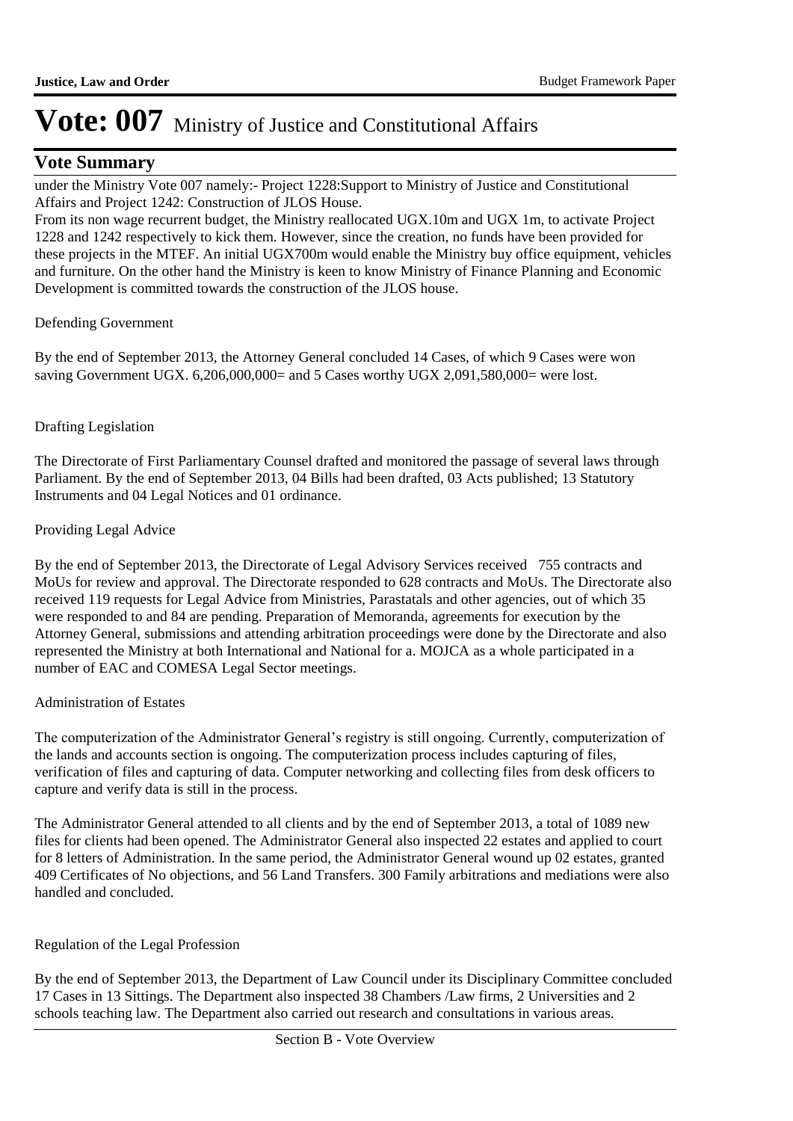## **Vote Summary**

under the Ministry Vote 007 namely:- Project 1228:Support to Ministry of Justice and Constitutional Affairs and Project 1242: Construction of JLOS House.

From its non wage recurrent budget, the Ministry reallocated UGX.10m and UGX 1m, to activate Project 1228 and 1242 respectively to kick them. However, since the creation, no funds have been provided for these projects in the MTEF. An initial UGX700m would enable the Ministry buy office equipment, vehicles and furniture. On the other hand the Ministry is keen to know Ministry of Finance Planning and Economic Development is committed towards the construction of the JLOS house.

### Defending Government

By the end of September 2013, the Attorney General concluded 14 Cases, of which 9 Cases were won saving Government UGX. 6,206,000,000= and 5 Cases worthy UGX 2,091,580,000= were lost.

### Drafting Legislation

The Directorate of First Parliamentary Counsel drafted and monitored the passage of several laws through Parliament. By the end of September 2013, 04 Bills had been drafted, 03 Acts published; 13 Statutory Instruments and 04 Legal Notices and 01 ordinance.

### Providing Legal Advice

By the end of September 2013, the Directorate of Legal Advisory Services received 755 contracts and MoUs for review and approval. The Directorate responded to 628 contracts and MoUs. The Directorate also received 119 requests for Legal Advice from Ministries, Parastatals and other agencies, out of which 35 were responded to and 84 are pending. Preparation of Memoranda, agreements for execution by the Attorney General, submissions and attending arbitration proceedings were done by the Directorate and also represented the Ministry at both International and National for a. MOJCA as a whole participated in a number of EAC and COMESA Legal Sector meetings.

### Administration of Estates

The computerization of the Administrator General's registry is still ongoing. Currently, computerization of the lands and accounts section is ongoing. The computerization process includes capturing of files, verification of files and capturing of data. Computer networking and collecting files from desk officers to capture and verify data is still in the process.

The Administrator General attended to all clients and by the end of September 2013, a total of 1089 new files for clients had been opened. The Administrator General also inspected 22 estates and applied to court for 8 letters of Administration. In the same period, the Administrator General wound up 02 estates, granted 409 Certificates of No objections, and 56 Land Transfers. 300 Family arbitrations and mediations were also handled and concluded.

### Regulation of the Legal Profession

By the end of September 2013, the Department of Law Council under its Disciplinary Committee concluded 17 Cases in 13 Sittings. The Department also inspected 38 Chambers /Law firms, 2 Universities and 2 schools teaching law. The Department also carried out research and consultations in various areas.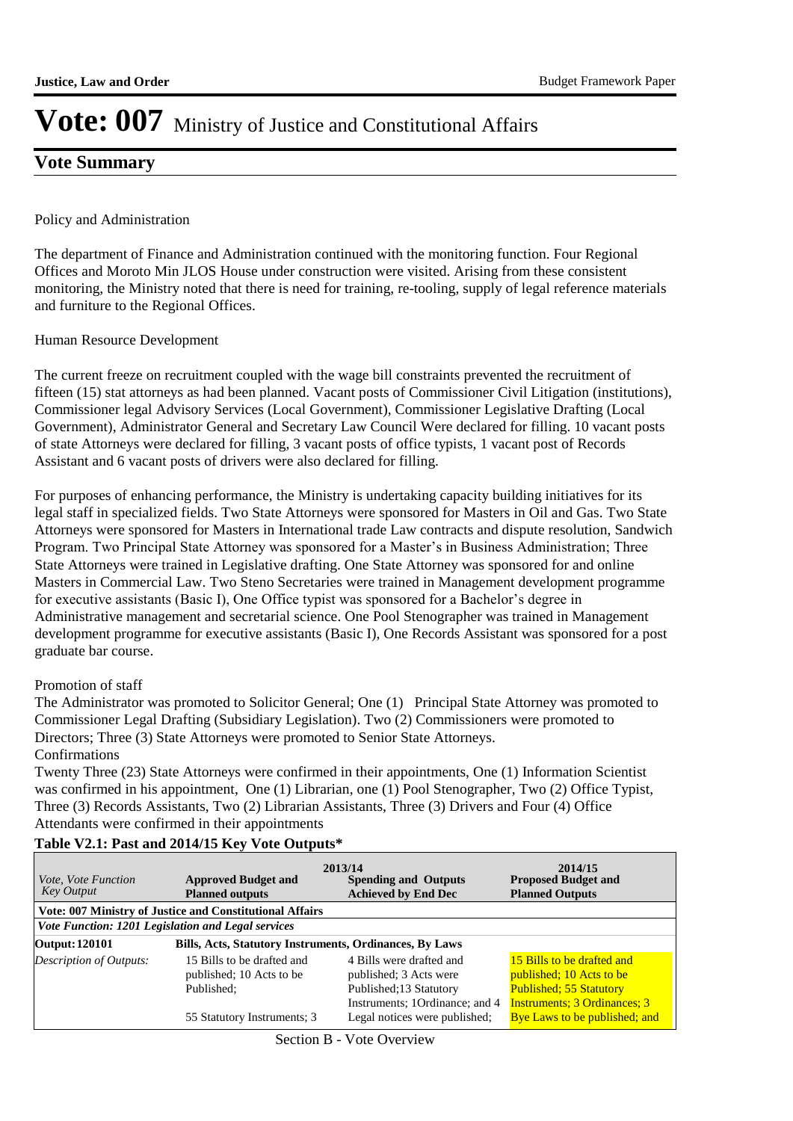## **Vote Summary**

#### Policy and Administration

The department of Finance and Administration continued with the monitoring function. Four Regional Offices and Moroto Min JLOS House under construction were visited. Arising from these consistent monitoring, the Ministry noted that there is need for training, re-tooling, supply of legal reference materials and furniture to the Regional Offices.

#### Human Resource Development

The current freeze on recruitment coupled with the wage bill constraints prevented the recruitment of fifteen (15) stat attorneys as had been planned. Vacant posts of Commissioner Civil Litigation (institutions), Commissioner legal Advisory Services (Local Government), Commissioner Legislative Drafting (Local Government), Administrator General and Secretary Law Council Were declared for filling. 10 vacant posts of state Attorneys were declared for filling, 3 vacant posts of office typists, 1 vacant post of Records Assistant and 6 vacant posts of drivers were also declared for filling.

For purposes of enhancing performance, the Ministry is undertaking capacity building initiatives for its legal staff in specialized fields. Two State Attorneys were sponsored for Masters in Oil and Gas. Two State Attorneys were sponsored for Masters in International trade Law contracts and dispute resolution, Sandwich Program. Two Principal State Attorney was sponsored for a Master's in Business Administration; Three State Attorneys were trained in Legislative drafting. One State Attorney was sponsored for and online Masters in Commercial Law. Two Steno Secretaries were trained in Management development programme for executive assistants (Basic I), One Office typist was sponsored for a Bachelor's degree in Administrative management and secretarial science. One Pool Stenographer was trained in Management development programme for executive assistants (Basic I), One Records Assistant was sponsored for a post graduate bar course.

#### Promotion of staff

The Administrator was promoted to Solicitor General; One (1) Principal State Attorney was promoted to Commissioner Legal Drafting (Subsidiary Legislation). Two (2) Commissioners were promoted to Directors; Three (3) State Attorneys were promoted to Senior State Attorneys. Confirmations

Twenty Three (23) State Attorneys were confirmed in their appointments, One (1) Information Scientist was confirmed in his appointment, One (1) Librarian, one (1) Pool Stenographer, Two (2) Office Typist, Three (3) Records Assistants, Two (2) Librarian Assistants, Three (3) Drivers and Four (4) Office Attendants were confirmed in their appointments

### **Table V2.1: Past and 2014/15 Key Vote Outputs\***

| <i>Vote, Vote Function</i><br><b>Key Output</b> | <b>Approved Budget and</b><br><b>Planned outputs</b>                 | 2013/14<br><b>Spending and Outputs</b><br><b>Achieved by End Dec</b>                                            | 2014/15<br><b>Proposed Budget and</b><br><b>Planned Outputs</b>                                                                  |  |  |  |  |  |  |  |
|-------------------------------------------------|----------------------------------------------------------------------|-----------------------------------------------------------------------------------------------------------------|----------------------------------------------------------------------------------------------------------------------------------|--|--|--|--|--|--|--|
|                                                 | Vote: 007 Ministry of Justice and Constitutional Affairs             |                                                                                                                 |                                                                                                                                  |  |  |  |  |  |  |  |
|                                                 | Vote Function: 1201 Legislation and Legal services                   |                                                                                                                 |                                                                                                                                  |  |  |  |  |  |  |  |
| Output: 120101                                  | <b>Bills, Acts, Statutory Instruments, Ordinances, By Laws</b>       |                                                                                                                 |                                                                                                                                  |  |  |  |  |  |  |  |
| Description of Outputs:                         | 15 Bills to be drafted and<br>published; 10 Acts to be<br>Published: | 4 Bills were drafted and<br>published; 3 Acts were<br>Published;13 Statutory<br>Instruments; 1 Ordinance; and 4 | 15 Bills to be drafted and<br>published; 10 Acts to be<br><b>Published: 55 Statutory</b><br><b>Instruments</b> ; 3 Ordinances; 3 |  |  |  |  |  |  |  |
|                                                 | 55 Statutory Instruments; 3                                          | Legal notices were published;                                                                                   | Bye Laws to be published; and                                                                                                    |  |  |  |  |  |  |  |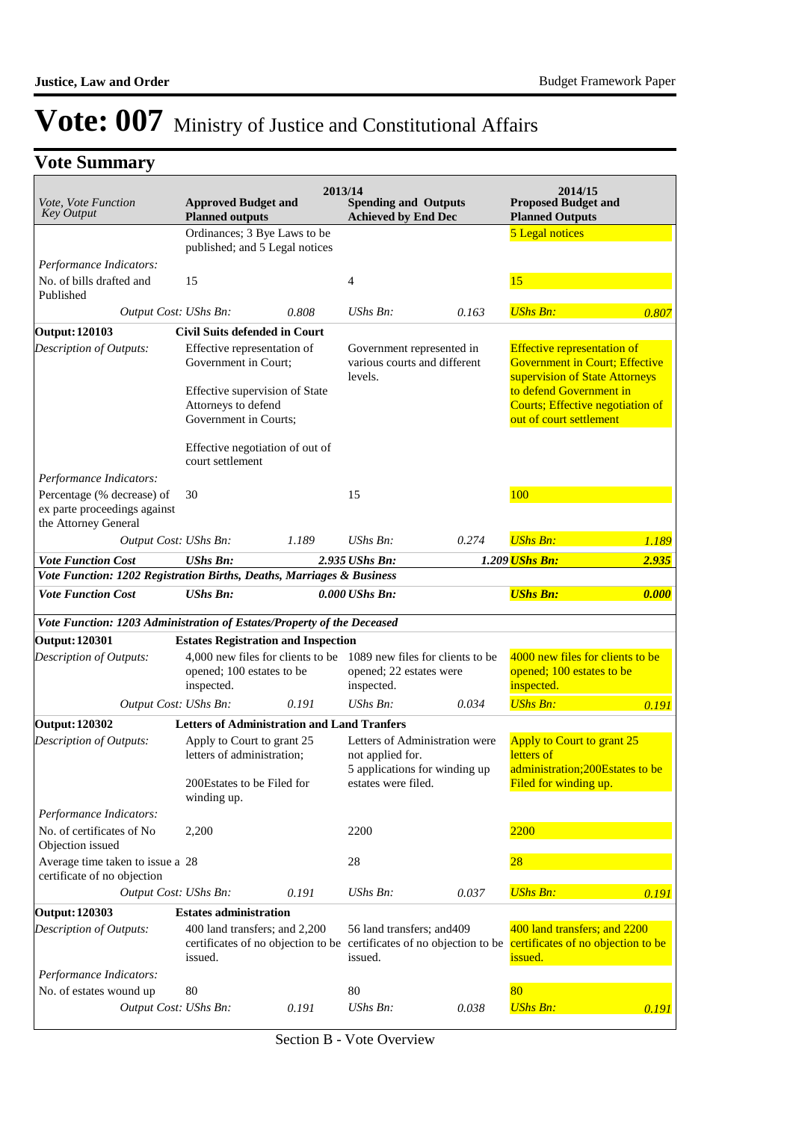## **Vote Summary**

| Vote, Vote Function<br><b>Key Output</b>                                           | <b>Approved Budget and</b><br><b>Planned outputs</b>                                                                                  | 2013/14 | <b>Spending and Outputs</b><br><b>Achieved by End Dec</b>            |                                                                 | 2014/15<br><b>Proposed Budget and</b><br><b>Planned Outputs</b>                                                                                                                                         |       |
|------------------------------------------------------------------------------------|---------------------------------------------------------------------------------------------------------------------------------------|---------|----------------------------------------------------------------------|-----------------------------------------------------------------|---------------------------------------------------------------------------------------------------------------------------------------------------------------------------------------------------------|-------|
|                                                                                    | Ordinances; 3 Bye Laws to be                                                                                                          |         |                                                                      |                                                                 | <b>5</b> Legal notices                                                                                                                                                                                  |       |
| Performance Indicators:                                                            | published; and 5 Legal notices                                                                                                        |         |                                                                      |                                                                 |                                                                                                                                                                                                         |       |
| No. of bills drafted and<br>Published                                              | 15                                                                                                                                    |         | $\overline{4}$                                                       |                                                                 | 15                                                                                                                                                                                                      |       |
| Output Cost: UShs Bn:                                                              |                                                                                                                                       | 0.808   | $UShs Bn$ :                                                          | 0.163                                                           | <b>UShs Bn:</b>                                                                                                                                                                                         | 0.807 |
| <b>Output: 120103</b>                                                              | <b>Civil Suits defended in Court</b>                                                                                                  |         |                                                                      |                                                                 |                                                                                                                                                                                                         |       |
| Description of Outputs:                                                            | Effective representation of<br>Government in Court;<br>Effective supervision of State<br>Attorneys to defend<br>Government in Courts; |         | Government represented in<br>various courts and different<br>levels. |                                                                 | <b>Effective representation of</b><br><b>Government in Court; Effective</b><br>supervision of State Attorneys<br>to defend Government in<br>Courts; Effective negotiation of<br>out of court settlement |       |
|                                                                                    | Effective negotiation of out of<br>court settlement                                                                                   |         |                                                                      |                                                                 |                                                                                                                                                                                                         |       |
| Performance Indicators:                                                            |                                                                                                                                       |         |                                                                      |                                                                 |                                                                                                                                                                                                         |       |
| Percentage (% decrease) of<br>ex parte proceedings against<br>the Attorney General | 30                                                                                                                                    |         | 15                                                                   |                                                                 | 100                                                                                                                                                                                                     |       |
| Output Cost: UShs Bn:                                                              |                                                                                                                                       | 1.189   | $UShs Bn$ :                                                          | 0.274                                                           | <b>UShs Bn:</b>                                                                                                                                                                                         | 1.189 |
| <b>Vote Function Cost</b>                                                          | <b>UShs Bn:</b>                                                                                                                       |         | 2.935 UShs Bn:                                                       |                                                                 | 1.209 UShs Bn:                                                                                                                                                                                          | 2.935 |
| Vote Function: 1202 Registration Births, Deaths, Marriages & Business              |                                                                                                                                       |         |                                                                      |                                                                 |                                                                                                                                                                                                         |       |
| <b>Vote Function Cost</b>                                                          | <b>UShs Bn:</b>                                                                                                                       |         | 0.000 UShs Bn:                                                       |                                                                 | <b>UShs Bn:</b>                                                                                                                                                                                         | 0.000 |
| Vote Function: 1203 Administration of Estates/Property of the Deceased             |                                                                                                                                       |         |                                                                      |                                                                 |                                                                                                                                                                                                         |       |
| <b>Output: 120301</b>                                                              | <b>Estates Registration and Inspection</b>                                                                                            |         |                                                                      |                                                                 |                                                                                                                                                                                                         |       |
| Description of Outputs:                                                            | 4,000 new files for clients to be 1089 new files for clients to be<br>opened; 100 estates to be<br>inspected.                         |         | opened; 22 estates were<br>inspected.                                |                                                                 | 4000 new files for clients to be<br>opened; 100 estates to be<br>inspected.                                                                                                                             |       |
| Output Cost: UShs Bn:                                                              |                                                                                                                                       | 0.191   | UShs Bn:                                                             | 0.034                                                           | <b>UShs Bn:</b>                                                                                                                                                                                         | 0.191 |
| <b>Output: 120302</b>                                                              | <b>Letters of Administration and Land Tranfers</b>                                                                                    |         |                                                                      |                                                                 |                                                                                                                                                                                                         |       |
| Description of Outputs:                                                            | Apply to Court to grant 25<br>letters of administration;<br>200Estates to be Filed for<br>winding up.                                 |         | not applied for.<br>estates were filed.                              | Letters of Administration were<br>5 applications for winding up | Apply to Court to grant 25<br>letters of<br>administration: 200 Estates to be<br>Filed for winding up.                                                                                                  |       |
| Performance Indicators:                                                            |                                                                                                                                       |         |                                                                      |                                                                 |                                                                                                                                                                                                         |       |
| No. of certificates of No.<br>Objection issued                                     | 2,200                                                                                                                                 |         | 2200                                                                 |                                                                 | 2200                                                                                                                                                                                                    |       |
| Average time taken to issue a 28<br>certificate of no objection                    |                                                                                                                                       |         | 28                                                                   |                                                                 | $\overline{28}$                                                                                                                                                                                         |       |
| Output Cost: UShs Bn:                                                              |                                                                                                                                       | 0.191   | $UShs Bn$ :                                                          | 0.037                                                           | <b>UShs Bn:</b>                                                                                                                                                                                         | 0.191 |
| <b>Output: 120303</b>                                                              | <b>Estates administration</b>                                                                                                         |         |                                                                      |                                                                 |                                                                                                                                                                                                         |       |
| Description of Outputs:                                                            | 400 land transfers; and 2,200<br>issued.                                                                                              |         | 56 land transfers; and 409<br>issued.                                |                                                                 | 400 land transfers; and 2200<br>certificates of no objection to be certificates of no objection to be certificates of no objection to be<br>issued.                                                     |       |
| Performance Indicators:                                                            |                                                                                                                                       |         |                                                                      |                                                                 |                                                                                                                                                                                                         |       |
| No. of estates wound up                                                            | 80                                                                                                                                    |         | 80                                                                   |                                                                 | 80                                                                                                                                                                                                      |       |
| Output Cost: UShs Bn:                                                              |                                                                                                                                       | 0.191   | UShs Bn:                                                             | 0.038                                                           | <b>UShs Bn:</b>                                                                                                                                                                                         | 0.191 |

Section B - Vote Overview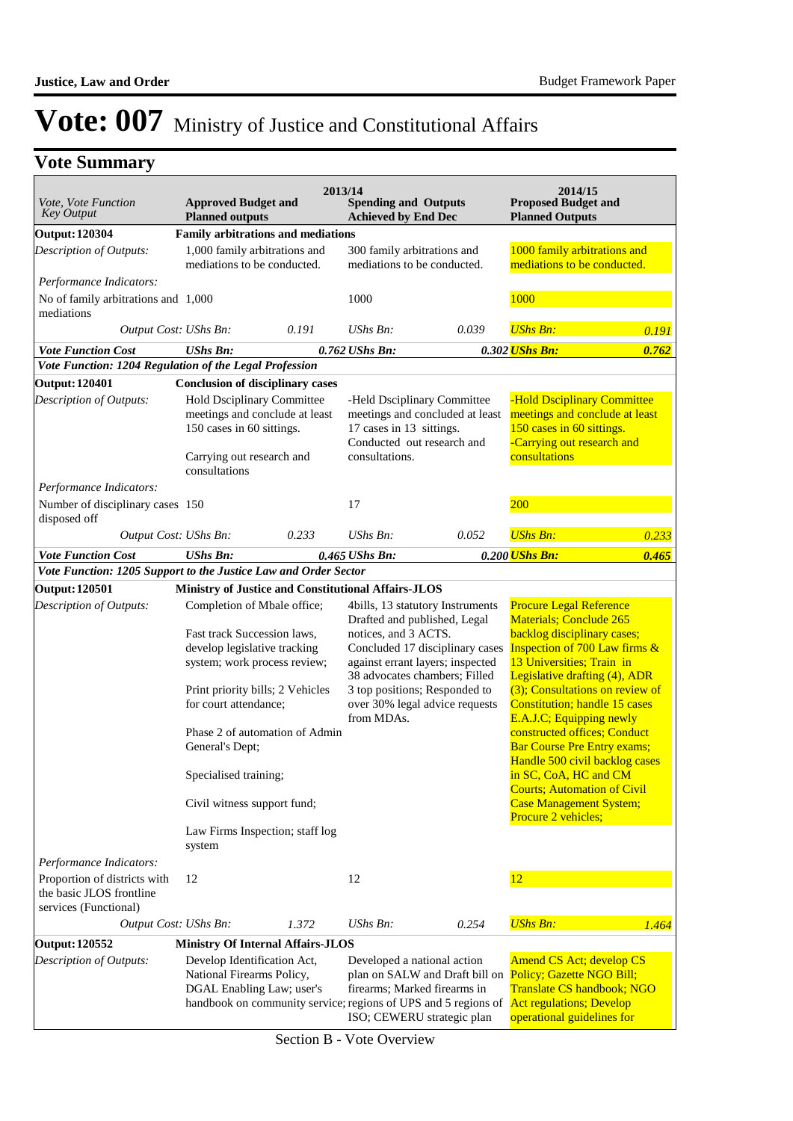## **Vote Summary**

| <i>Vote, Vote Function</i><br><b>Key Output</b>                 | <b>Approved Budget and</b><br><b>Planned outputs</b>                                                                                                                                                                                                                                                                                              |       | 2013/14<br><b>Spending and Outputs</b><br><b>Achieved by End Dec</b> |                                                                                                                                                                                                             | 2014/15<br><b>Proposed Budget and</b><br><b>Planned Outputs</b>                                                                                                                                                                                                                                                                                                                                                                                                                                                                                   |       |
|-----------------------------------------------------------------|---------------------------------------------------------------------------------------------------------------------------------------------------------------------------------------------------------------------------------------------------------------------------------------------------------------------------------------------------|-------|----------------------------------------------------------------------|-------------------------------------------------------------------------------------------------------------------------------------------------------------------------------------------------------------|---------------------------------------------------------------------------------------------------------------------------------------------------------------------------------------------------------------------------------------------------------------------------------------------------------------------------------------------------------------------------------------------------------------------------------------------------------------------------------------------------------------------------------------------------|-------|
| <b>Output: 120304</b>                                           | <b>Family arbitrations and mediations</b>                                                                                                                                                                                                                                                                                                         |       |                                                                      |                                                                                                                                                                                                             |                                                                                                                                                                                                                                                                                                                                                                                                                                                                                                                                                   |       |
| Description of Outputs:                                         | 1,000 family arbitrations and<br>mediations to be conducted.                                                                                                                                                                                                                                                                                      |       | 300 family arbitrations and<br>mediations to be conducted.           |                                                                                                                                                                                                             | 1000 family arbitrations and<br>mediations to be conducted.                                                                                                                                                                                                                                                                                                                                                                                                                                                                                       |       |
| Performance Indicators:                                         |                                                                                                                                                                                                                                                                                                                                                   |       |                                                                      |                                                                                                                                                                                                             |                                                                                                                                                                                                                                                                                                                                                                                                                                                                                                                                                   |       |
| No of family arbitrations and 1,000<br>mediations               |                                                                                                                                                                                                                                                                                                                                                   |       | 1000                                                                 |                                                                                                                                                                                                             | 1000                                                                                                                                                                                                                                                                                                                                                                                                                                                                                                                                              |       |
| Output Cost: UShs Bn:                                           |                                                                                                                                                                                                                                                                                                                                                   | 0.191 | UShs Bn:                                                             | 0.039                                                                                                                                                                                                       | <b>UShs Bn:</b>                                                                                                                                                                                                                                                                                                                                                                                                                                                                                                                                   | 0.191 |
| <b>Vote Function Cost</b>                                       | <b>UShs Bn:</b>                                                                                                                                                                                                                                                                                                                                   |       | $0.762$ UShs Bn:                                                     |                                                                                                                                                                                                             | 0.302 <i>UShs Bn:</i>                                                                                                                                                                                                                                                                                                                                                                                                                                                                                                                             | 0.762 |
| Vote Function: 1204 Regulation of the Legal Profession          |                                                                                                                                                                                                                                                                                                                                                   |       |                                                                      |                                                                                                                                                                                                             |                                                                                                                                                                                                                                                                                                                                                                                                                                                                                                                                                   |       |
| <b>Output: 120401</b>                                           | <b>Conclusion of disciplinary cases</b>                                                                                                                                                                                                                                                                                                           |       |                                                                      |                                                                                                                                                                                                             |                                                                                                                                                                                                                                                                                                                                                                                                                                                                                                                                                   |       |
| Description of Outputs:                                         | Hold Dsciplinary Committee<br>meetings and conclude at least<br>150 cases in 60 sittings.                                                                                                                                                                                                                                                         |       | 17 cases in 13 sittings.<br>Conducted out research and               | -Held Dsciplinary Committee<br>meetings and concluded at least                                                                                                                                              | -Hold Dsciplinary Committee<br>meetings and conclude at least<br>150 cases in 60 sittings.<br>-Carrying out research and                                                                                                                                                                                                                                                                                                                                                                                                                          |       |
|                                                                 | Carrying out research and<br>consultations                                                                                                                                                                                                                                                                                                        |       | consultations.                                                       |                                                                                                                                                                                                             | consultations                                                                                                                                                                                                                                                                                                                                                                                                                                                                                                                                     |       |
| Performance Indicators:                                         |                                                                                                                                                                                                                                                                                                                                                   |       |                                                                      |                                                                                                                                                                                                             |                                                                                                                                                                                                                                                                                                                                                                                                                                                                                                                                                   |       |
| Number of disciplinary cases 150<br>disposed off                |                                                                                                                                                                                                                                                                                                                                                   |       | 17                                                                   |                                                                                                                                                                                                             | 200                                                                                                                                                                                                                                                                                                                                                                                                                                                                                                                                               |       |
| Output Cost: UShs Bn:                                           |                                                                                                                                                                                                                                                                                                                                                   | 0.233 | UShs Bn:                                                             | 0.052                                                                                                                                                                                                       | <b>UShs Bn:</b>                                                                                                                                                                                                                                                                                                                                                                                                                                                                                                                                   | 0.233 |
| <b>Vote Function Cost</b>                                       | <b>UShs Bn:</b>                                                                                                                                                                                                                                                                                                                                   |       | 0.465 UShs Bn:                                                       |                                                                                                                                                                                                             | 0.200 UShs Bn:                                                                                                                                                                                                                                                                                                                                                                                                                                                                                                                                    | 0.465 |
| Vote Function: 1205 Support to the Justice Law and Order Sector |                                                                                                                                                                                                                                                                                                                                                   |       |                                                                      |                                                                                                                                                                                                             |                                                                                                                                                                                                                                                                                                                                                                                                                                                                                                                                                   |       |
| <b>Output: 120501</b>                                           | Ministry of Justice and Constitutional Affairs-JLOS                                                                                                                                                                                                                                                                                               |       |                                                                      |                                                                                                                                                                                                             |                                                                                                                                                                                                                                                                                                                                                                                                                                                                                                                                                   |       |
| Description of Outputs:<br>Performance Indicators:              | Completion of Mbale office;<br>Fast track Succession laws,<br>develop legislative tracking<br>system; work process review;<br>Print priority bills; 2 Vehicles<br>for court attendance;<br>Phase 2 of automation of Admin<br>General's Dept;<br>Specialised training;<br>Civil witness support fund;<br>Law Firms Inspection; staff log<br>system |       | Drafted and published, Legal<br>notices, and 3 ACTS.<br>from MDAs.   | 4bills, 13 statutory Instruments<br>Concluded 17 disciplinary cases<br>against errant layers; inspected<br>38 advocates chambers; Filled<br>3 top positions; Responded to<br>over 30% legal advice requests | <b>Procure Legal Reference</b><br><b>Materials</b> ; Conclude 265<br>backlog disciplinary cases;<br><b>Inspection of 700 Law firms &amp;</b><br>13 Universities; Train in<br>Legislative drafting (4), ADR<br>(3); Consultations on review of<br><b>Constitution; handle 15 cases</b><br>E.A.J.C; Equipping newly<br>constructed offices; Conduct<br><b>Bar Course Pre Entry exams;</b><br>Handle 500 civil backlog cases<br>in SC, CoA, HC and CM<br><b>Courts; Automation of Civil</b><br><b>Case Management System;</b><br>Procure 2 vehicles; |       |
| Proportion of districts with                                    | 12                                                                                                                                                                                                                                                                                                                                                |       | 12                                                                   |                                                                                                                                                                                                             | 12                                                                                                                                                                                                                                                                                                                                                                                                                                                                                                                                                |       |
| the basic JLOS frontline<br>services (Functional)               |                                                                                                                                                                                                                                                                                                                                                   |       |                                                                      |                                                                                                                                                                                                             |                                                                                                                                                                                                                                                                                                                                                                                                                                                                                                                                                   |       |
| Output Cost: UShs Bn:                                           |                                                                                                                                                                                                                                                                                                                                                   | 1.372 | UShs Bn:                                                             | 0.254                                                                                                                                                                                                       | <b>UShs Bn:</b>                                                                                                                                                                                                                                                                                                                                                                                                                                                                                                                                   | 1.464 |
| <b>Output: 120552</b>                                           | <b>Ministry Of Internal Affairs-JLOS</b>                                                                                                                                                                                                                                                                                                          |       |                                                                      |                                                                                                                                                                                                             |                                                                                                                                                                                                                                                                                                                                                                                                                                                                                                                                                   |       |
| Description of Outputs:                                         | Develop Identification Act,<br>National Firearms Policy,<br>DGAL Enabling Law; user's                                                                                                                                                                                                                                                             |       | Developed a national action<br>firearms; Marked firearms in          | plan on SALW and Draft bill on<br>handbook on community service; regions of UPS and 5 regions of<br>ISO; CEWERU strategic plan                                                                              | <b>Amend CS Act; develop CS</b><br>Policy; Gazette NGO Bill;<br><b>Translate CS handbook; NGO</b><br><b>Act regulations; Develop</b><br>operational guidelines for                                                                                                                                                                                                                                                                                                                                                                                |       |

Section B - Vote Overview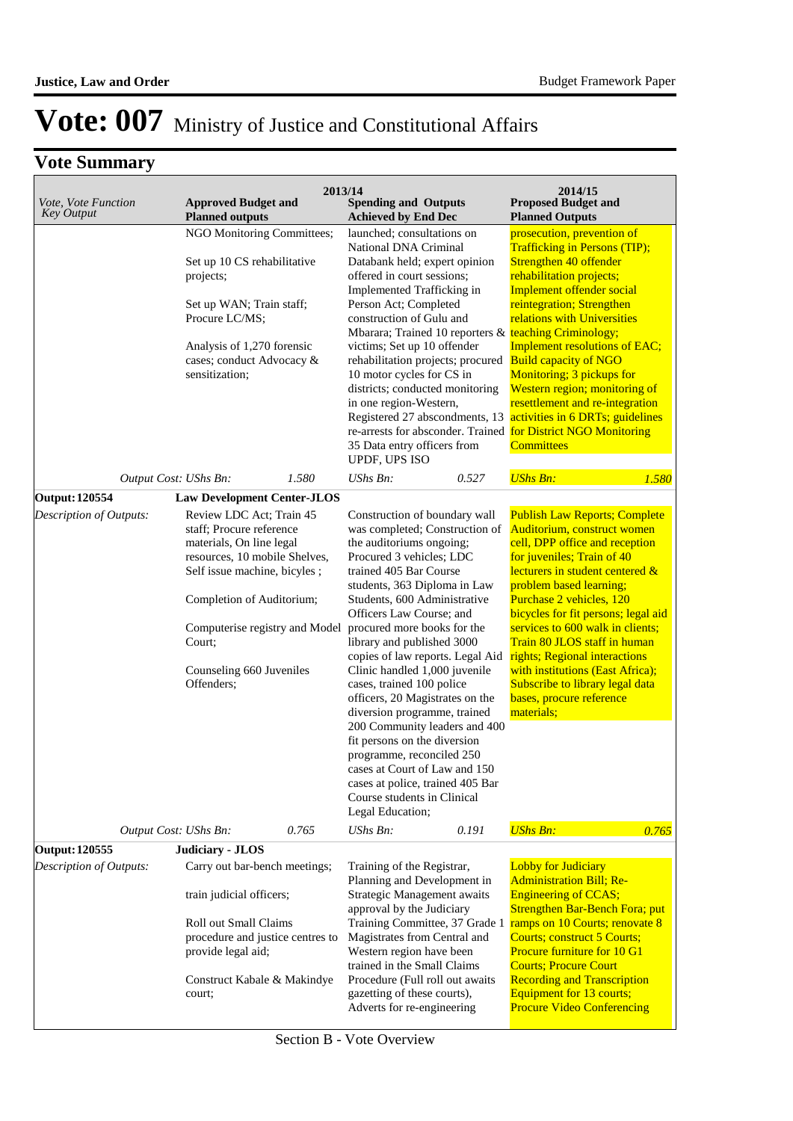| Vote, Vote Function<br><b>Key Output</b>                                                                                                                                                                                    | <b>Approved Budget and</b>                                                                                                                                                                                                                                               |                                                                                                                                                                                                                                                                                                                                                                                                                                                                                                                                                                                                                                                                      | 2013/14<br><b>Spending and Outputs</b>                                                                                                                                                                                                                                                                                                                                                                                                                                                                                                                     |                                                                                                                                                                                                                                                                                                                                                                                 | 2014/15<br><b>Proposed Budget and</b><br><b>Planned Outputs</b>                                                                                                                                                                                                                                                                                                                                                                                                                            |       |
|-----------------------------------------------------------------------------------------------------------------------------------------------------------------------------------------------------------------------------|--------------------------------------------------------------------------------------------------------------------------------------------------------------------------------------------------------------------------------------------------------------------------|----------------------------------------------------------------------------------------------------------------------------------------------------------------------------------------------------------------------------------------------------------------------------------------------------------------------------------------------------------------------------------------------------------------------------------------------------------------------------------------------------------------------------------------------------------------------------------------------------------------------------------------------------------------------|------------------------------------------------------------------------------------------------------------------------------------------------------------------------------------------------------------------------------------------------------------------------------------------------------------------------------------------------------------------------------------------------------------------------------------------------------------------------------------------------------------------------------------------------------------|---------------------------------------------------------------------------------------------------------------------------------------------------------------------------------------------------------------------------------------------------------------------------------------------------------------------------------------------------------------------------------|--------------------------------------------------------------------------------------------------------------------------------------------------------------------------------------------------------------------------------------------------------------------------------------------------------------------------------------------------------------------------------------------------------------------------------------------------------------------------------------------|-------|
| <b>Planned outputs</b><br>NGO Monitoring Committees;<br>Set up 10 CS rehabilitative<br>projects;<br>Set up WAN; Train staff;<br>Procure LC/MS;<br>Analysis of 1,270 forensic<br>cases; conduct Advocacy &<br>sensitization; |                                                                                                                                                                                                                                                                          | <b>Achieved by End Dec</b><br>launched; consultations on<br>National DNA Criminal<br>Databank held; expert opinion<br>offered in court sessions;<br>Implemented Trafficking in<br>Person Act; Completed<br>construction of Gulu and<br>Mbarara; Trained 10 reporters & teaching Criminology;<br>victims; Set up 10 offender<br>rehabilitation projects; procured Build capacity of NGO<br>10 motor cycles for CS in<br>districts; conducted monitoring<br>in one region-Western,<br>Registered 27 abscondments, 13 activities in 6 DRTs; guidelines<br>re-arrests for absconder. Trained for District NGO Monitoring<br>35 Data entry officers from<br>UPDF, UPS ISO |                                                                                                                                                                                                                                                                                                                                                                                                                                                                                                                                                            | prosecution, prevention of<br><b>Trafficking in Persons (TIP);</b><br>Strengthen 40 offender<br>rehabilitation projects;<br>Implement offender social<br>reintegration; Strengthen<br>relations with Universities<br><b>Implement resolutions of EAC;</b><br>Monitoring; 3 pickups for<br>Western region; monitoring of<br>resettlement and re-integration<br><b>Committees</b> |                                                                                                                                                                                                                                                                                                                                                                                                                                                                                            |       |
|                                                                                                                                                                                                                             | Output Cost: UShs Bn:                                                                                                                                                                                                                                                    | 1.580                                                                                                                                                                                                                                                                                                                                                                                                                                                                                                                                                                                                                                                                | UShs Bn:                                                                                                                                                                                                                                                                                                                                                                                                                                                                                                                                                   | 0.527                                                                                                                                                                                                                                                                                                                                                                           | <b>UShs Bn:</b>                                                                                                                                                                                                                                                                                                                                                                                                                                                                            | 1.580 |
| <b>Output: 120554</b><br>Description of Outputs:                                                                                                                                                                            | <b>Law Development Center-JLOS</b><br>Review LDC Act; Train 45<br>staff; Procure reference<br>materials, On line legal<br>resources, 10 mobile Shelves,<br>Self issue machine, bicyles;<br>Completion of Auditorium;<br>Court;<br>Counseling 660 Juveniles<br>Offenders; | Computerise registry and Model                                                                                                                                                                                                                                                                                                                                                                                                                                                                                                                                                                                                                                       | Construction of boundary wall<br>the auditoriums ongoing;<br>Procured 3 vehicles; LDC<br>trained 405 Bar Course<br>students, 363 Diploma in Law<br>Students, 600 Administrative<br>Officers Law Course; and<br>procured more books for the<br>library and published 3000<br>Clinic handled 1,000 juvenile<br>cases, trained 100 police<br>officers, 20 Magistrates on the<br>diversion programme, trained<br>fit persons on the diversion<br>programme, reconciled 250<br>cases at Court of Law and 150<br>Course students in Clinical<br>Legal Education; | was completed; Construction of<br>copies of law reports. Legal Aid<br>200 Community leaders and 400<br>cases at police, trained 405 Bar                                                                                                                                                                                                                                         | <b>Publish Law Reports; Complete</b><br>Auditorium, construct women<br>cell, DPP office and reception<br>for juveniles; Train of 40<br>lecturers in student centered &<br>problem based learning;<br>Purchase 2 vehicles, 120<br>bicycles for fit persons; legal aid<br>services to 600 walk in clients;<br>Train 80 JLOS staff in human<br>rights; Regional interactions<br>with institutions (East Africa);<br>Subscribe to library legal data<br>bases, procure reference<br>materials; |       |
|                                                                                                                                                                                                                             | Output Cost: UShs Bn:                                                                                                                                                                                                                                                    | 0.765                                                                                                                                                                                                                                                                                                                                                                                                                                                                                                                                                                                                                                                                | UShs Bn:                                                                                                                                                                                                                                                                                                                                                                                                                                                                                                                                                   | 0.191                                                                                                                                                                                                                                                                                                                                                                           | <b>UShs Bn:</b>                                                                                                                                                                                                                                                                                                                                                                                                                                                                            | 0.765 |
| <b>Output: 120555</b><br>Description of Outputs:                                                                                                                                                                            | Judiciary - JLOS<br>Carry out bar-bench meetings;<br>train judicial officers;<br>Roll out Small Claims<br>provide legal aid;<br>Construct Kabale & Makindye<br>court;                                                                                                    | procedure and justice centres to                                                                                                                                                                                                                                                                                                                                                                                                                                                                                                                                                                                                                                     | Training of the Registrar,<br>Planning and Development in<br>Strategic Management awaits<br>approval by the Judiciary<br>Magistrates from Central and<br>Western region have been<br>trained in the Small Claims<br>Procedure (Full roll out awaits<br>gazetting of these courts),<br>Adverts for re-engineering                                                                                                                                                                                                                                           | Training Committee, 37 Grade 1                                                                                                                                                                                                                                                                                                                                                  | <b>Lobby for Judiciary</b><br><b>Administration Bill; Re-</b><br><b>Engineering of CCAS;</b><br><b>Strengthen Bar-Bench Fora; put</b><br>ramps on 10 Courts; renovate 8<br><b>Courts; construct 5 Courts;</b><br><b>Procure furniture for 10 G1</b><br><b>Courts; Procure Court</b><br><b>Recording and Transcription</b><br>Equipment for 13 courts;<br><b>Procure Video Conferencing</b>                                                                                                 |       |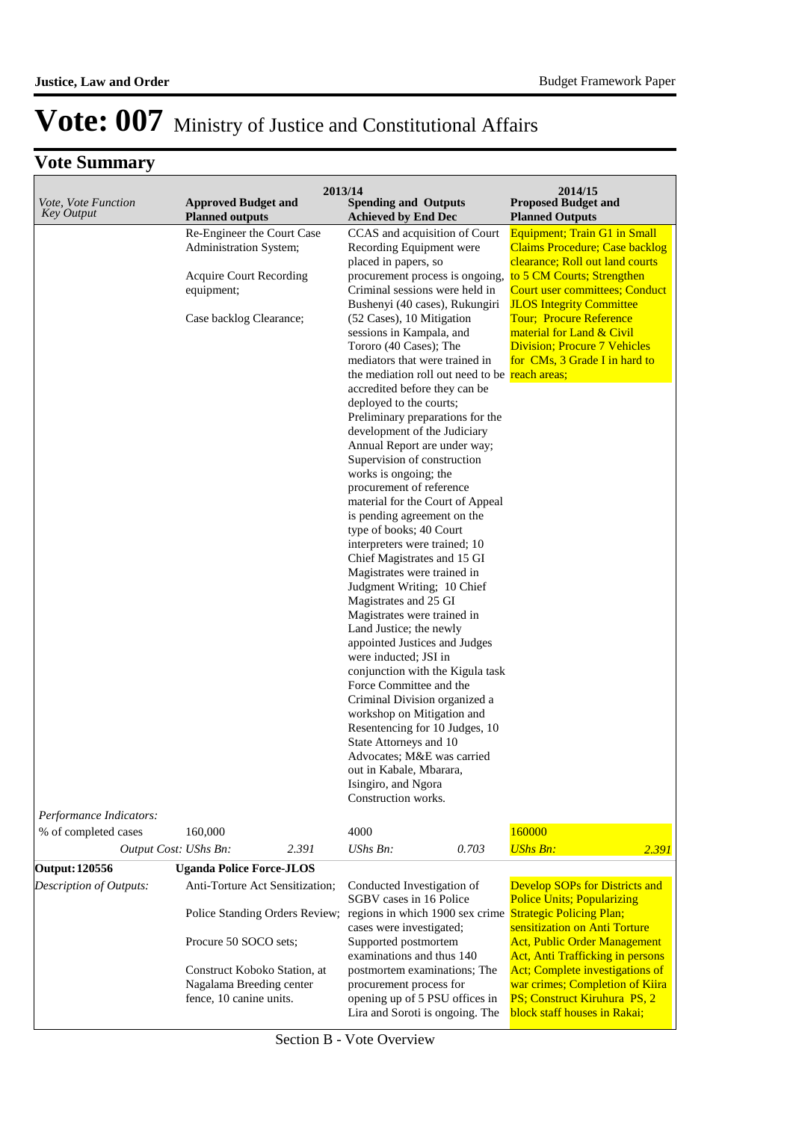| <i>Vote, Vote Function</i><br>Key Output        | <b>Approved Budget and</b><br><b>Planned outputs</b>                                | 2013/14<br><b>Spending and Outputs</b><br><b>Achieved by End Dec</b>                                                                                                | 2014/15<br><b>Proposed Budget and</b><br><b>Planned Outputs</b>                                                                      |
|-------------------------------------------------|-------------------------------------------------------------------------------------|---------------------------------------------------------------------------------------------------------------------------------------------------------------------|--------------------------------------------------------------------------------------------------------------------------------------|
|                                                 | Re-Engineer the Court Case<br>Administration System;                                | CCAS and acquisition of Court<br>Recording Equipment were<br>placed in papers, so                                                                                   | Equipment; Train G1 in Small<br><b>Claims Procedure; Case backlog</b><br>clearance; Roll out land courts                             |
|                                                 | Acquire Court Recording<br>equipment;                                               | procurement process is ongoing,<br>Criminal sessions were held in<br>Bushenyi (40 cases), Rukungiri                                                                 | to 5 CM Courts; Strengthen<br><b>Court user committees; Conduct</b><br><b>JLOS Integrity Committee</b>                               |
|                                                 | Case backlog Clearance;                                                             | (52 Cases), 10 Mitigation<br>sessions in Kampala, and<br>Tororo (40 Cases); The<br>mediators that were trained in<br>the mediation roll out need to be reach areas; | <b>Tour: Procure Reference</b><br>material for Land & Civil<br><b>Division</b> ; Procure 7 Vehicles<br>for CMs, 3 Grade I in hard to |
|                                                 |                                                                                     | accredited before they can be<br>deployed to the courts;<br>Preliminary preparations for the<br>development of the Judiciary                                        |                                                                                                                                      |
|                                                 |                                                                                     | Annual Report are under way;<br>Supervision of construction<br>works is ongoing; the<br>procurement of reference<br>material for the Court of Appeal                |                                                                                                                                      |
|                                                 |                                                                                     | is pending agreement on the<br>type of books; 40 Court<br>interpreters were trained; 10<br>Chief Magistrates and 15 GI                                              |                                                                                                                                      |
|                                                 |                                                                                     | Magistrates were trained in<br>Judgment Writing; 10 Chief<br>Magistrates and 25 GI                                                                                  |                                                                                                                                      |
|                                                 |                                                                                     | Magistrates were trained in<br>Land Justice; the newly<br>appointed Justices and Judges<br>were inducted; JSI in                                                    |                                                                                                                                      |
|                                                 |                                                                                     | conjunction with the Kigula task<br>Force Committee and the<br>Criminal Division organized a                                                                        |                                                                                                                                      |
|                                                 |                                                                                     | workshop on Mitigation and<br>Resentencing for 10 Judges, 10<br>State Attorneys and 10<br>Advocates; M&E was carried                                                |                                                                                                                                      |
|                                                 |                                                                                     | out in Kabale, Mbarara,<br>Isingiro, and Ngora<br>Construction works.                                                                                               |                                                                                                                                      |
| Performance Indicators:<br>% of completed cases | 160,000                                                                             | 4000                                                                                                                                                                | 160000                                                                                                                               |
| Output Cost: UShs Bn:                           | 2.391                                                                               | UShs Bn:<br>0.703                                                                                                                                                   | <b>UShs Bn:</b><br>2.391                                                                                                             |
| <b>Output: 120556</b>                           | <b>Uganda Police Force-JLOS</b>                                                     |                                                                                                                                                                     |                                                                                                                                      |
| Description of Outputs:                         | Anti-Torture Act Sensitization;                                                     | Conducted Investigation of<br>SGBV cases in 16 Police                                                                                                               | <b>Develop SOPs for Districts and</b><br><b>Police Units; Popularizing</b>                                                           |
|                                                 | Police Standing Orders Review;                                                      | regions in which 1900 sex crime<br>cases were investigated;                                                                                                         | <b>Strategic Policing Plan;</b><br>sensitization on Anti Torture                                                                     |
|                                                 | Procure 50 SOCO sets;                                                               | Supported postmortem<br>examinations and thus 140                                                                                                                   | <b>Act, Public Order Management</b><br>Act, Anti Trafficking in persons                                                              |
|                                                 | Construct Koboko Station, at<br>Nagalama Breeding center<br>fence, 10 canine units. | postmortem examinations; The<br>procurement process for<br>opening up of 5 PSU offices in<br>Lira and Soroti is ongoing. The                                        | Act; Complete investigations of<br>war crimes; Completion of Kiira<br>PS; Construct Kiruhura PS, 2<br>block staff houses in Rakai;   |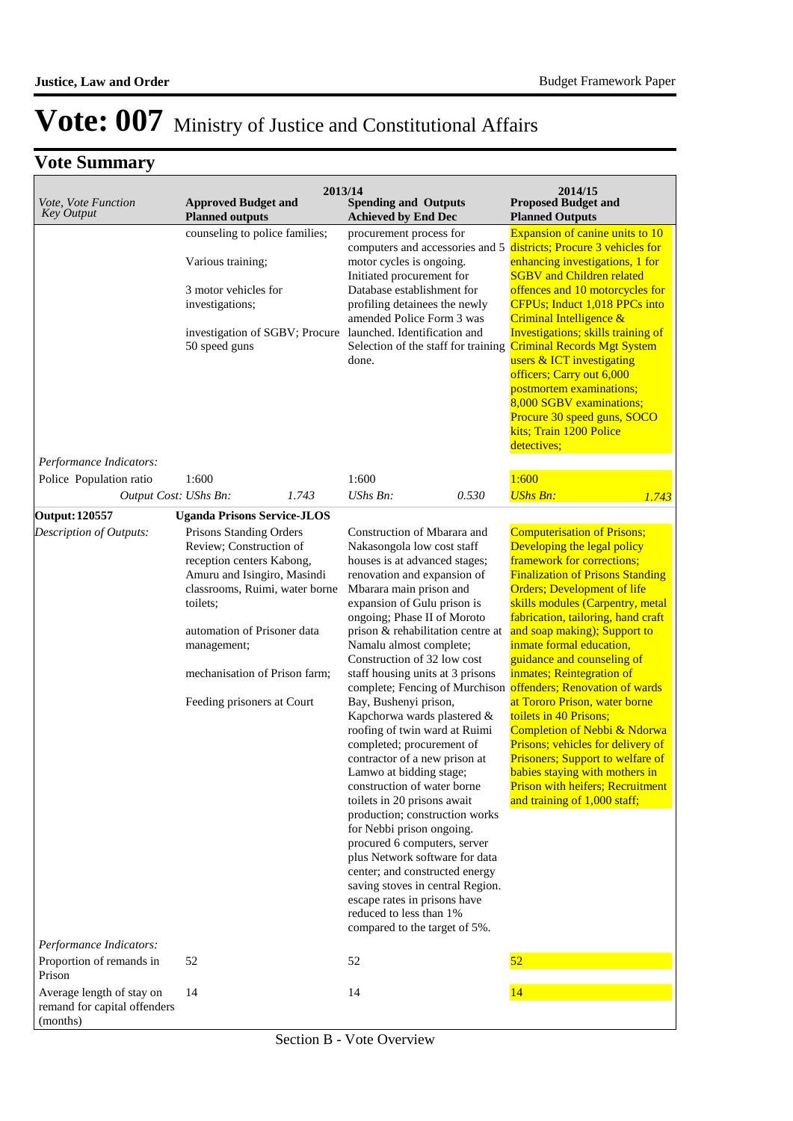| Vote, Vote Function<br><b>Key Output</b>                                        | <b>Approved Budget and</b><br><b>Planned outputs</b>                                                                                                                                                                                                                      | 2013/14<br><b>Spending and Outputs</b><br><b>Achieved by End Dec</b>                                                                                                                                                                                                                                                                                                                                                                                                                                                                                                                                                                                                                                                                                                                                                                                                                                                                       | 2014/15<br><b>Proposed Budget and</b><br><b>Planned Outputs</b>                                                                                                                                                                                                                                                                                                                                                                                                                                                                                                                                                                                                                               |  |  |
|---------------------------------------------------------------------------------|---------------------------------------------------------------------------------------------------------------------------------------------------------------------------------------------------------------------------------------------------------------------------|--------------------------------------------------------------------------------------------------------------------------------------------------------------------------------------------------------------------------------------------------------------------------------------------------------------------------------------------------------------------------------------------------------------------------------------------------------------------------------------------------------------------------------------------------------------------------------------------------------------------------------------------------------------------------------------------------------------------------------------------------------------------------------------------------------------------------------------------------------------------------------------------------------------------------------------------|-----------------------------------------------------------------------------------------------------------------------------------------------------------------------------------------------------------------------------------------------------------------------------------------------------------------------------------------------------------------------------------------------------------------------------------------------------------------------------------------------------------------------------------------------------------------------------------------------------------------------------------------------------------------------------------------------|--|--|
|                                                                                 | counseling to police families;<br>Various training;<br>3 motor vehicles for<br>investigations;<br>investigation of SGBV; Procure<br>50 speed guns                                                                                                                         | procurement process for<br>computers and accessories and 5<br>motor cycles is ongoing.<br>Initiated procurement for<br>Database establishment for<br>profiling detainees the newly<br>amended Police Form 3 was<br>launched. Identification and<br>Selection of the staff for training<br>done.                                                                                                                                                                                                                                                                                                                                                                                                                                                                                                                                                                                                                                            | Expansion of canine units to 10<br>districts; Procure 3 vehicles for<br>enhancing investigations, 1 for<br><b>SGBV and Children related</b><br>offences and 10 motorcycles for<br>CFPUs; Induct 1,018 PPCs into<br>Criminal Intelligence &<br>Investigations; skills training of<br><b>Criminal Records Mgt System</b><br>users & ICT investigating<br>officers; Carry out 6,000<br>postmortem examinations;<br>8,000 SGBV examinations;<br>Procure 30 speed guns, SOCO<br>kits; Train 1200 Police<br>detectives;                                                                                                                                                                             |  |  |
| Performance Indicators:                                                         | 1:600                                                                                                                                                                                                                                                                     | 1:600                                                                                                                                                                                                                                                                                                                                                                                                                                                                                                                                                                                                                                                                                                                                                                                                                                                                                                                                      | 1:600                                                                                                                                                                                                                                                                                                                                                                                                                                                                                                                                                                                                                                                                                         |  |  |
| Police Population ratio<br>Output Cost: UShs Bn:                                | 1.743                                                                                                                                                                                                                                                                     | UShs Bn:<br>0.530                                                                                                                                                                                                                                                                                                                                                                                                                                                                                                                                                                                                                                                                                                                                                                                                                                                                                                                          | <b>UShs Bn:</b><br>1.743                                                                                                                                                                                                                                                                                                                                                                                                                                                                                                                                                                                                                                                                      |  |  |
| Output: 120557                                                                  | <b>Uganda Prisons Service-JLOS</b>                                                                                                                                                                                                                                        |                                                                                                                                                                                                                                                                                                                                                                                                                                                                                                                                                                                                                                                                                                                                                                                                                                                                                                                                            |                                                                                                                                                                                                                                                                                                                                                                                                                                                                                                                                                                                                                                                                                               |  |  |
| Description of Outputs:<br>Performance Indicators:                              | Prisons Standing Orders<br>Review; Construction of<br>reception centers Kabong,<br>Amuru and Isingiro, Masindi<br>classrooms, Ruimi, water borne<br>toilets;<br>automation of Prisoner data<br>management;<br>mechanisation of Prison farm;<br>Feeding prisoners at Court | Construction of Mbarara and<br>Nakasongola low cost staff<br>houses is at advanced stages;<br>renovation and expansion of<br>Mbarara main prison and<br>expansion of Gulu prison is<br>ongoing; Phase II of Moroto<br>prison & rehabilitation centre at<br>Namalu almost complete;<br>Construction of 32 low cost<br>staff housing units at 3 prisons<br>complete; Fencing of Murchison<br>Bay, Bushenyi prison,<br>Kapchorwa wards plastered &<br>roofing of twin ward at Ruimi<br>completed; procurement of<br>contractor of a new prison at<br>Lamwo at bidding stage;<br>construction of water borne<br>toilets in 20 prisons await<br>production; construction works<br>for Nebbi prison ongoing.<br>procured 6 computers, server<br>plus Network software for data<br>center; and constructed energy<br>saving stoves in central Region.<br>escape rates in prisons have<br>reduced to less than 1%<br>compared to the target of 5%. | <b>Computerisation of Prisons;</b><br>Developing the legal policy<br>framework for corrections;<br><b>Finalization of Prisons Standing</b><br><b>Orders; Development of life</b><br>skills modules (Carpentry, metal<br>fabrication, tailoring, hand craft<br>and soap making); Support to<br>inmate formal education,<br>guidance and counseling of<br>inmates; Reintegration of<br>offenders; Renovation of wards<br>at Tororo Prison, water borne<br>toilets in 40 Prisons;<br>Completion of Nebbi & Ndorwa<br>Prisons; vehicles for delivery of<br>Prisoners; Support to welfare of<br>babies staying with mothers in<br>Prison with heifers; Recruitment<br>and training of 1,000 staff; |  |  |
| Proportion of remands in                                                        | 52                                                                                                                                                                                                                                                                        | 52                                                                                                                                                                                                                                                                                                                                                                                                                                                                                                                                                                                                                                                                                                                                                                                                                                                                                                                                         | 52                                                                                                                                                                                                                                                                                                                                                                                                                                                                                                                                                                                                                                                                                            |  |  |
| Prison<br>Average length of stay on<br>remand for capital offenders<br>(months) | 14                                                                                                                                                                                                                                                                        | 14                                                                                                                                                                                                                                                                                                                                                                                                                                                                                                                                                                                                                                                                                                                                                                                                                                                                                                                                         | 14                                                                                                                                                                                                                                                                                                                                                                                                                                                                                                                                                                                                                                                                                            |  |  |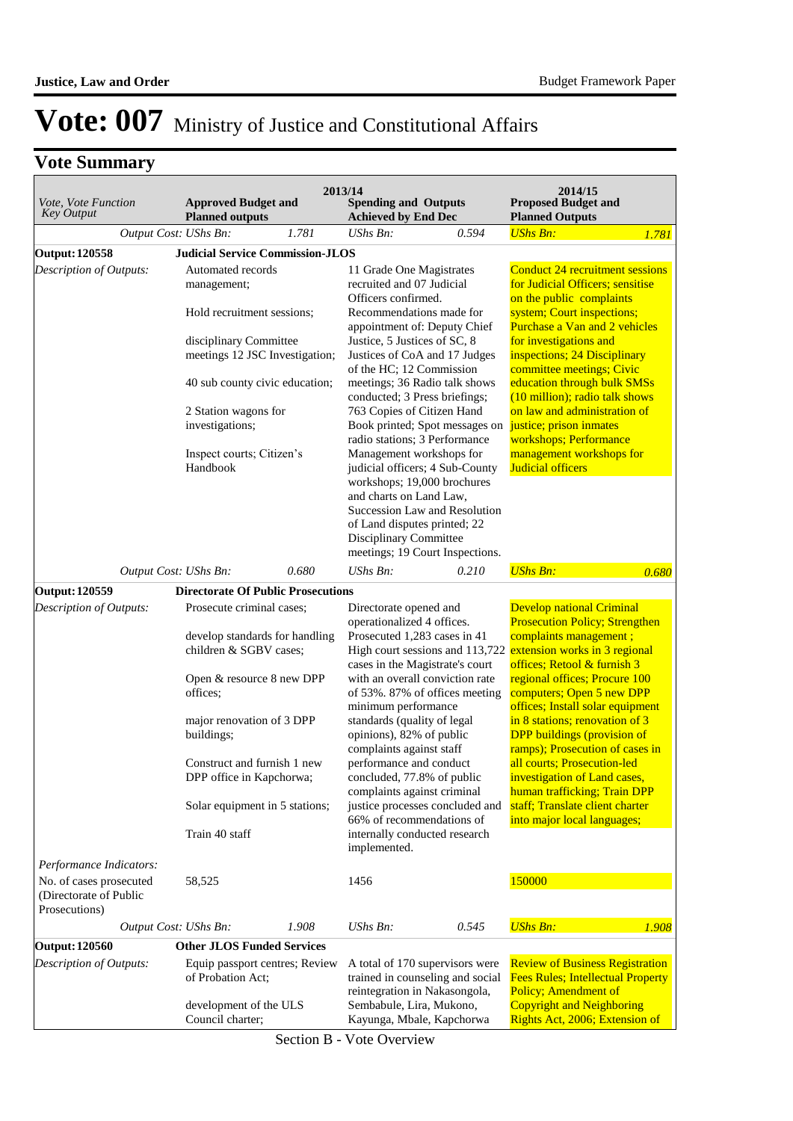## **Vote Summary**

| Vote, Vote Function<br>Key Output                                                             | <b>Approved Budget and</b><br><b>Planned outputs</b>                                  | 2013/14<br><b>Spending and Outputs</b><br><b>Achieved by End Dec</b>                                                                                                                                                                                | 2014/15<br><b>Proposed Budget and</b><br><b>Planned Outputs</b>                                                                                                       |
|-----------------------------------------------------------------------------------------------|---------------------------------------------------------------------------------------|-----------------------------------------------------------------------------------------------------------------------------------------------------------------------------------------------------------------------------------------------------|-----------------------------------------------------------------------------------------------------------------------------------------------------------------------|
|                                                                                               | 1.781<br>Output Cost: UShs Bn:                                                        | UShs Bn:<br>0.594                                                                                                                                                                                                                                   | <b>UShs Bn:</b><br>1.781                                                                                                                                              |
| <b>Output: 120558</b>                                                                         | <b>Judicial Service Commission-JLOS</b>                                               |                                                                                                                                                                                                                                                     |                                                                                                                                                                       |
| Description of Outputs:                                                                       | Automated records<br>management;<br>Hold recruitment sessions;                        | 11 Grade One Magistrates<br>recruited and 07 Judicial<br>Officers confirmed.<br>Recommendations made for<br>appointment of: Deputy Chief                                                                                                            | <b>Conduct 24 recruitment sessions</b><br>for Judicial Officers; sensitise<br>on the public complaints<br>system; Court inspections;<br>Purchase a Van and 2 vehicles |
|                                                                                               | disciplinary Committee<br>meetings 12 JSC Investigation;                              | Justice, 5 Justices of SC, 8<br>Justices of CoA and 17 Judges<br>of the HC; 12 Commission                                                                                                                                                           | for investigations and<br>inspections; 24 Disciplinary<br>committee meetings; Civic                                                                                   |
|                                                                                               | 40 sub county civic education;<br>2 Station wagons for<br>investigations;             | meetings; 36 Radio talk shows<br>conducted; 3 Press briefings;<br>763 Copies of Citizen Hand<br>Book printed; Spot messages on<br>radio stations; 3 Performance                                                                                     | education through bulk SMSs<br>(10 million); radio talk shows<br>on law and administration of<br>justice; prison inmates<br>workshops; Performance                    |
|                                                                                               | Inspect courts; Citizen's<br>Handbook                                                 | Management workshops for<br>judicial officers; 4 Sub-County<br>workshops; 19,000 brochures<br>and charts on Land Law,<br>Succession Law and Resolution<br>of Land disputes printed; 22<br>Disciplinary Committee<br>meetings; 19 Court Inspections. | management workshops for<br><b>Judicial officers</b>                                                                                                                  |
|                                                                                               | 0.680<br>Output Cost: UShs Bn:                                                        | $UShs Bn$ :<br>0.210                                                                                                                                                                                                                                | <b>UShs Bn:</b><br>0.680                                                                                                                                              |
| Output: 120559                                                                                | <b>Directorate Of Public Prosecutions</b>                                             |                                                                                                                                                                                                                                                     |                                                                                                                                                                       |
| Description of Outputs:                                                                       | Prosecute criminal cases;<br>develop standards for handling<br>children & SGBV cases; | Directorate opened and<br>operationalized 4 offices.<br>Prosecuted 1,283 cases in 41<br>High court sessions and 113,722<br>cases in the Magistrate's court                                                                                          | <b>Develop national Criminal</b><br><b>Prosecution Policy; Strengthen</b><br>complaints management;<br>extension works in 3 regional<br>offices; Retool & furnish 3   |
|                                                                                               | Open & resource 8 new DPP<br>offices:                                                 | with an overall conviction rate<br>of 53%. 87% of offices meeting<br>minimum performance                                                                                                                                                            | regional offices; Procure 100<br>computers; Open 5 new DPP<br>offices; Install solar equipment                                                                        |
|                                                                                               | major renovation of 3 DPP<br>buildings;                                               | standards (quality of legal<br>opinions), 82% of public<br>complaints against staff                                                                                                                                                                 | in 8 stations; renovation of 3<br><b>DPP</b> buildings (provision of<br>ramps); Prosecution of cases in                                                               |
|                                                                                               | Construct and furnish 1 new<br>DPP office in Kapchorwa;                               | performance and conduct<br>concluded, 77.8% of public<br>complaints against criminal                                                                                                                                                                | all courts; Prosecution-led<br>investigation of Land cases,<br>human trafficking; Train DPP                                                                           |
|                                                                                               | Solar equipment in 5 stations;<br>Train 40 staff                                      | justice processes concluded and<br>66% of recommendations of<br>internally conducted research                                                                                                                                                       | staff; Translate client charter<br>into major local languages;                                                                                                        |
|                                                                                               |                                                                                       | implemented.                                                                                                                                                                                                                                        |                                                                                                                                                                       |
| Performance Indicators:<br>No. of cases prosecuted<br>(Directorate of Public<br>Prosecutions) | 58,525                                                                                | 1456                                                                                                                                                                                                                                                | 150000                                                                                                                                                                |
|                                                                                               | Output Cost: UShs Bn:<br>1.908                                                        | UShs Bn:<br>0.545                                                                                                                                                                                                                                   | <b>UShs Bn:</b><br>1.908                                                                                                                                              |
| <b>Output: 120560</b>                                                                         | <b>Other JLOS Funded Services</b>                                                     |                                                                                                                                                                                                                                                     |                                                                                                                                                                       |
| Description of Outputs:                                                                       | Equip passport centres; Review<br>of Probation Act;                                   | A total of 170 supervisors were<br>trained in counseling and social<br>reintegration in Nakasongola,                                                                                                                                                | <b>Review of Business Registration</b><br><b>Fees Rules; Intellectual Property</b><br>Policy; Amendment of                                                            |
|                                                                                               | development of the ULS<br>Council charter;                                            | Sembabule, Lira, Mukono,<br>Kayunga, Mbale, Kapchorwa                                                                                                                                                                                               | <b>Copyright and Neighboring</b><br>Rights Act, 2006; Extension of                                                                                                    |

Section B - Vote Overview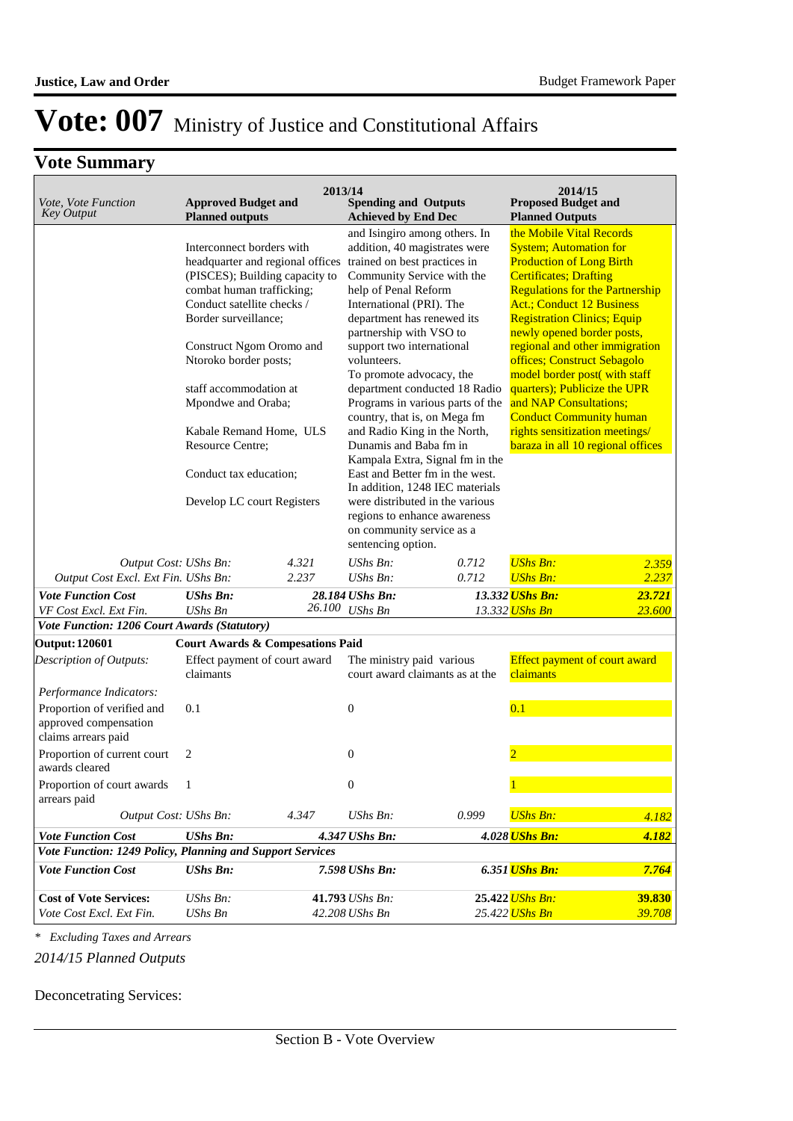## **Vote Summary**

| <i>Vote, Vote Function</i><br><b>Key Output</b>                                                                                                                                                                                                                                                                                        | <b>Approved Budget and</b><br><b>Planned outputs</b>                                      | 2013/14 | <b>Spending and Outputs</b><br><b>Achieved by End Dec</b>                                                                                                                                                                                                                                                                                                                                                                                                                                                           |       | 2014/15<br><b>Proposed Budget and</b><br><b>Planned Outputs</b>                                                                                                                                                                                                                                                                                                                                                                                                                                                                                      |        |
|----------------------------------------------------------------------------------------------------------------------------------------------------------------------------------------------------------------------------------------------------------------------------------------------------------------------------------------|-------------------------------------------------------------------------------------------|---------|---------------------------------------------------------------------------------------------------------------------------------------------------------------------------------------------------------------------------------------------------------------------------------------------------------------------------------------------------------------------------------------------------------------------------------------------------------------------------------------------------------------------|-------|------------------------------------------------------------------------------------------------------------------------------------------------------------------------------------------------------------------------------------------------------------------------------------------------------------------------------------------------------------------------------------------------------------------------------------------------------------------------------------------------------------------------------------------------------|--------|
| Interconnect borders with<br>headquarter and regional offices<br>(PISCES); Building capacity to<br>combat human trafficking;<br>Conduct satellite checks /<br>Border surveillance;<br>Construct Ngom Oromo and<br>Ntoroko border posts;<br>staff accommodation at<br>Mpondwe and Oraba;<br>Kabale Remand Home, ULS<br>Resource Centre; |                                                                                           |         | and Isingiro among others. In<br>addition, 40 magistrates were<br>trained on best practices in<br>Community Service with the<br>help of Penal Reform<br>International (PRI). The<br>department has renewed its<br>partnership with VSO to<br>support two international<br>volunteers.<br>To promote advocacy, the<br>department conducted 18 Radio<br>Programs in various parts of the<br>country, that is, on Mega fm<br>and Radio King in the North,<br>Dunamis and Baba fm in<br>Kampala Extra, Signal fm in the |       | the Mobile Vital Records<br><b>System</b> ; Automation for<br><b>Production of Long Birth</b><br><b>Certificates; Drafting</b><br><b>Regulations for the Partnership</b><br><b>Act.; Conduct 12 Business</b><br><b>Registration Clinics; Equip</b><br>newly opened border posts,<br>regional and other immigration<br>offices; Construct Sebagolo<br>model border post(with staff<br>quarters); Publicize the UPR<br>and NAP Consultations;<br><b>Conduct Community human</b><br>rights sensitization meetings/<br>baraza in all 10 regional offices |        |
|                                                                                                                                                                                                                                                                                                                                        | Conduct tax education;<br>Develop LC court Registers                                      |         | East and Better fm in the west.<br>In addition, 1248 IEC materials<br>were distributed in the various<br>regions to enhance awareness<br>on community service as a<br>sentencing option.                                                                                                                                                                                                                                                                                                                            |       |                                                                                                                                                                                                                                                                                                                                                                                                                                                                                                                                                      |        |
| Output Cost: UShs Bn:                                                                                                                                                                                                                                                                                                                  |                                                                                           | 4.321   | $UShs Bn$ :                                                                                                                                                                                                                                                                                                                                                                                                                                                                                                         | 0.712 | <b>UShs Bn:</b>                                                                                                                                                                                                                                                                                                                                                                                                                                                                                                                                      | 2.359  |
| Output Cost Excl. Ext Fin. UShs Bn:                                                                                                                                                                                                                                                                                                    |                                                                                           | 2.237   | $UShs Bn$ :                                                                                                                                                                                                                                                                                                                                                                                                                                                                                                         | 0.712 | <b>UShs Bn:</b>                                                                                                                                                                                                                                                                                                                                                                                                                                                                                                                                      | 2.237  |
| <b>Vote Function Cost</b>                                                                                                                                                                                                                                                                                                              | <b>UShs Bn:</b>                                                                           | 26.100  | 28.184 UShs Bn:                                                                                                                                                                                                                                                                                                                                                                                                                                                                                                     |       | 13.332 UShs Bn:                                                                                                                                                                                                                                                                                                                                                                                                                                                                                                                                      | 23.721 |
| VF Cost Excl. Ext Fin.<br>Vote Function: 1206 Court Awards (Statutory)                                                                                                                                                                                                                                                                 | <b>UShs Bn</b>                                                                            |         | <b>UShs Bn</b>                                                                                                                                                                                                                                                                                                                                                                                                                                                                                                      |       | 13.332 <mark>UShs Bn</mark>                                                                                                                                                                                                                                                                                                                                                                                                                                                                                                                          | 23.600 |
|                                                                                                                                                                                                                                                                                                                                        |                                                                                           |         |                                                                                                                                                                                                                                                                                                                                                                                                                                                                                                                     |       |                                                                                                                                                                                                                                                                                                                                                                                                                                                                                                                                                      |        |
| <b>Output: 120601</b><br>Description of Outputs:                                                                                                                                                                                                                                                                                       | <b>Court Awards &amp; Compesations Paid</b><br>Effect payment of court award<br>claimants |         | The ministry paid various<br>court award claimants as at the                                                                                                                                                                                                                                                                                                                                                                                                                                                        |       | <b>Effect payment of court award</b><br>claimants                                                                                                                                                                                                                                                                                                                                                                                                                                                                                                    |        |
| Performance Indicators:<br>Proportion of verified and<br>approved compensation<br>claims arrears paid                                                                                                                                                                                                                                  | 0.1                                                                                       |         | $\mathbf{0}$                                                                                                                                                                                                                                                                                                                                                                                                                                                                                                        |       | 0.1                                                                                                                                                                                                                                                                                                                                                                                                                                                                                                                                                  |        |
| Proportion of current court<br>awards cleared                                                                                                                                                                                                                                                                                          | 2                                                                                         |         | $\boldsymbol{0}$                                                                                                                                                                                                                                                                                                                                                                                                                                                                                                    |       | 2                                                                                                                                                                                                                                                                                                                                                                                                                                                                                                                                                    |        |
| Proportion of court awards<br>arrears paid                                                                                                                                                                                                                                                                                             | 1                                                                                         |         | $\boldsymbol{0}$                                                                                                                                                                                                                                                                                                                                                                                                                                                                                                    |       |                                                                                                                                                                                                                                                                                                                                                                                                                                                                                                                                                      |        |
| Output Cost: UShs Bn:                                                                                                                                                                                                                                                                                                                  |                                                                                           | 4.347   | UShs Bn:                                                                                                                                                                                                                                                                                                                                                                                                                                                                                                            | 0.999 | <b>UShs Bn:</b>                                                                                                                                                                                                                                                                                                                                                                                                                                                                                                                                      | 4.182  |
| <b>Vote Function Cost</b>                                                                                                                                                                                                                                                                                                              | <b>UShs Bn:</b>                                                                           |         | 4.347 UShs Bn:                                                                                                                                                                                                                                                                                                                                                                                                                                                                                                      |       | 4.028 UShs Bn:                                                                                                                                                                                                                                                                                                                                                                                                                                                                                                                                       | 4.182  |
| Vote Function: 1249 Policy, Planning and Support Services                                                                                                                                                                                                                                                                              |                                                                                           |         |                                                                                                                                                                                                                                                                                                                                                                                                                                                                                                                     |       |                                                                                                                                                                                                                                                                                                                                                                                                                                                                                                                                                      |        |
| <b>Vote Function Cost</b>                                                                                                                                                                                                                                                                                                              | <b>UShs Bn:</b>                                                                           |         | 7.598 UShs Bn:                                                                                                                                                                                                                                                                                                                                                                                                                                                                                                      |       | 6.351 UShs Bn:                                                                                                                                                                                                                                                                                                                                                                                                                                                                                                                                       | 7.764  |

*\* Excluding Taxes and Arrears*

*Vote Cost Excl. Ext Fin.* 

*2014/15 Planned Outputs*

Deconcetrating Services:

**Cost of Vote Services:** *UShs Bn:* **41.793** *UShs Bn:* **25.422** *UShs Bn:* **39.830** *Vote Cost Excl. Ext Fin. UShs Bn* **42.208** *UShs Bn* **25.422** *UShs Bn* **25.422** *UShs Bn* **39.708**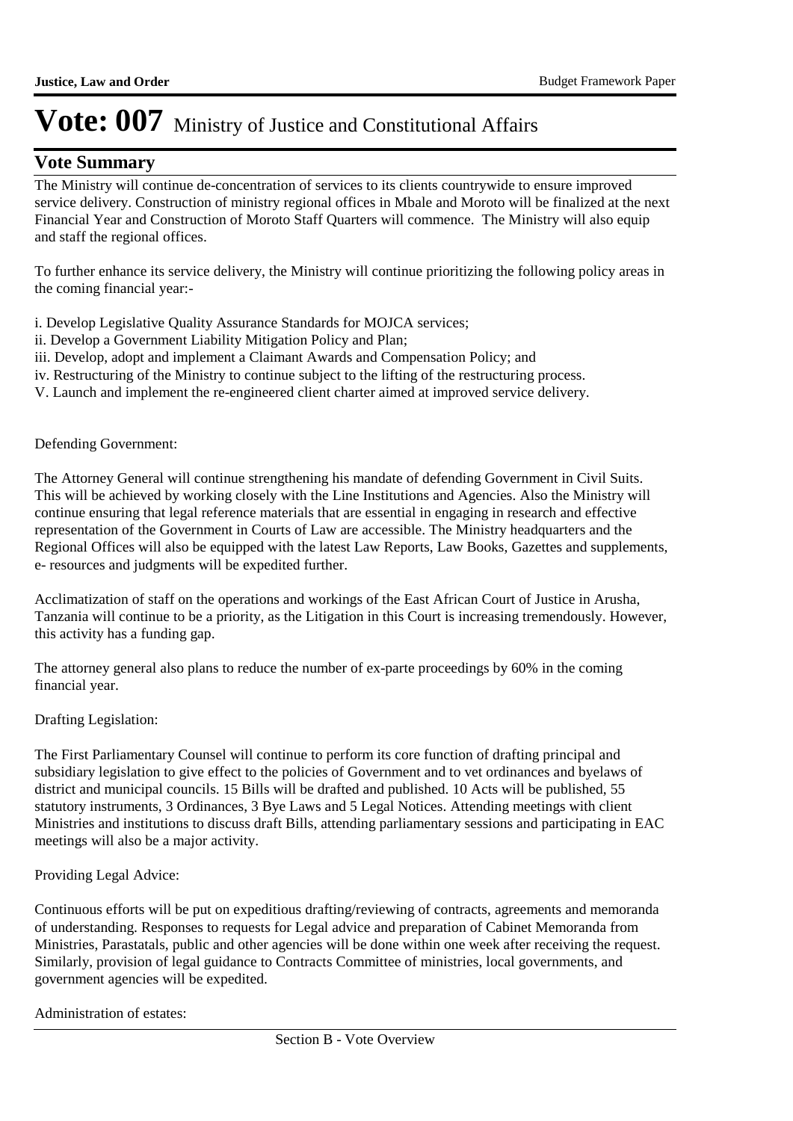## **Vote Summary**

The Ministry will continue de-concentration of services to its clients countrywide to ensure improved service delivery. Construction of ministry regional offices in Mbale and Moroto will be finalized at the next Financial Year and Construction of Moroto Staff Quarters will commence. The Ministry will also equip and staff the regional offices.

To further enhance its service delivery, the Ministry will continue prioritizing the following policy areas in the coming financial year:-

i. Develop Legislative Quality Assurance Standards for MOJCA services;

- ii. Develop a Government Liability Mitigation Policy and Plan;
- iii. Develop, adopt and implement a Claimant Awards and Compensation Policy; and
- iv. Restructuring of the Ministry to continue subject to the lifting of the restructuring process.
- V. Launch and implement the re-engineered client charter aimed at improved service delivery.

#### Defending Government:

The Attorney General will continue strengthening his mandate of defending Government in Civil Suits. This will be achieved by working closely with the Line Institutions and Agencies. Also the Ministry will continue ensuring that legal reference materials that are essential in engaging in research and effective representation of the Government in Courts of Law are accessible. The Ministry headquarters and the Regional Offices will also be equipped with the latest Law Reports, Law Books, Gazettes and supplements, e- resources and judgments will be expedited further.

Acclimatization of staff on the operations and workings of the East African Court of Justice in Arusha, Tanzania will continue to be a priority, as the Litigation in this Court is increasing tremendously. However, this activity has a funding gap.

The attorney general also plans to reduce the number of ex-parte proceedings by 60% in the coming financial year.

#### Drafting Legislation:

The First Parliamentary Counsel will continue to perform its core function of drafting principal and subsidiary legislation to give effect to the policies of Government and to vet ordinances and byelaws of district and municipal councils. 15 Bills will be drafted and published. 10 Acts will be published, 55 statutory instruments, 3 Ordinances, 3 Bye Laws and 5 Legal Notices. Attending meetings with client Ministries and institutions to discuss draft Bills, attending parliamentary sessions and participating in EAC meetings will also be a major activity.

#### Providing Legal Advice:

Continuous efforts will be put on expeditious drafting/reviewing of contracts, agreements and memoranda of understanding. Responses to requests for Legal advice and preparation of Cabinet Memoranda from Ministries, Parastatals, public and other agencies will be done within one week after receiving the request. Similarly, provision of legal guidance to Contracts Committee of ministries, local governments, and government agencies will be expedited.

Administration of estates: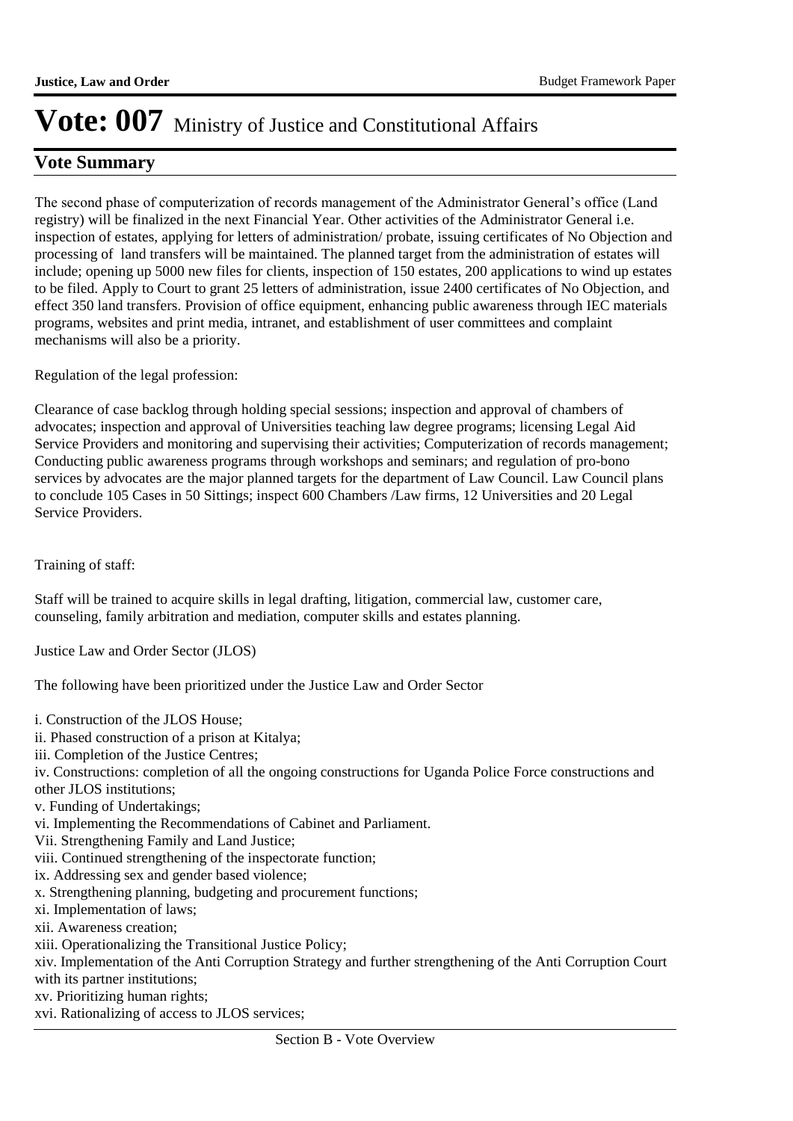## **Vote Summary**

The second phase of computerization of records management of the Administrator General's office (Land registry) will be finalized in the next Financial Year. Other activities of the Administrator General i.e. inspection of estates, applying for letters of administration/ probate, issuing certificates of No Objection and processing of land transfers will be maintained. The planned target from the administration of estates will include; opening up 5000 new files for clients, inspection of 150 estates, 200 applications to wind up estates to be filed. Apply to Court to grant 25 letters of administration, issue 2400 certificates of No Objection, and effect 350 land transfers. Provision of office equipment, enhancing public awareness through IEC materials programs, websites and print media, intranet, and establishment of user committees and complaint mechanisms will also be a priority.

Regulation of the legal profession:

Clearance of case backlog through holding special sessions; inspection and approval of chambers of advocates; inspection and approval of Universities teaching law degree programs; licensing Legal Aid Service Providers and monitoring and supervising their activities; Computerization of records management; Conducting public awareness programs through workshops and seminars; and regulation of pro-bono services by advocates are the major planned targets for the department of Law Council. Law Council plans to conclude 105 Cases in 50 Sittings; inspect 600 Chambers /Law firms, 12 Universities and 20 Legal Service Providers.

Training of staff:

Staff will be trained to acquire skills in legal drafting, litigation, commercial law, customer care, counseling, family arbitration and mediation, computer skills and estates planning.

Justice Law and Order Sector (JLOS)

The following have been prioritized under the Justice Law and Order Sector

- i. Construction of the JLOS House;
- ii. Phased construction of a prison at Kitalya;
- iii. Completion of the Justice Centres;
- iv. Constructions: completion of all the ongoing constructions for Uganda Police Force constructions and other JLOS institutions;
- 
- v. Funding of Undertakings;
- vi. Implementing the Recommendations of Cabinet and Parliament.
- Vii. Strengthening Family and Land Justice;
- viii. Continued strengthening of the inspectorate function;
- ix. Addressing sex and gender based violence;
- x. Strengthening planning, budgeting and procurement functions;
- xi. Implementation of laws;
- xii. Awareness creation;
- xiii. Operationalizing the Transitional Justice Policy;
- xiv. Implementation of the Anti Corruption Strategy and further strengthening of the Anti Corruption Court with its partner institutions;
- xv. Prioritizing human rights;
- xvi. Rationalizing of access to JLOS services;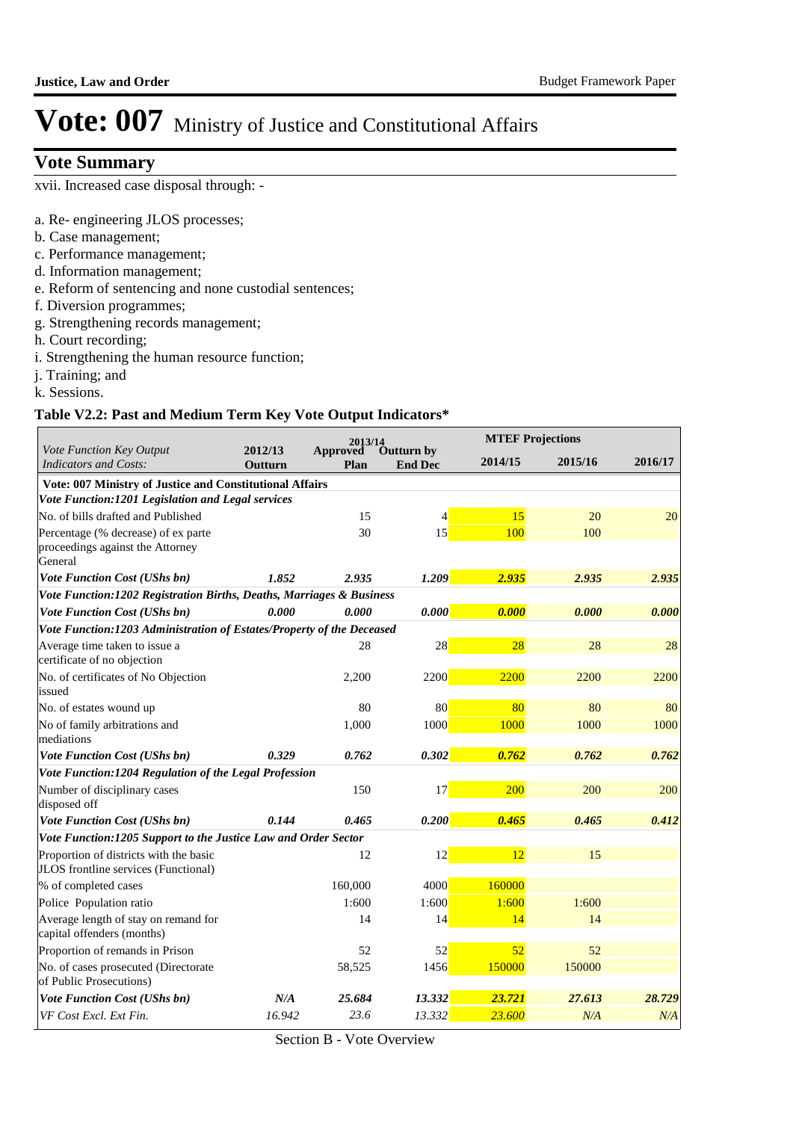## **Vote Summary**

xvii. Increased case disposal through: -

- a. Re- engineering JLOS processes;
- b. Case management;
- c. Performance management;
- d. Information management;
- e. Reform of sentencing and none custodial sentences;
- f. Diversion programmes;
- g. Strengthening records management;
- h. Court recording;
- i. Strengthening the human resource function;
- j. Training; and
- k. Sessions.

### **Table V2.2: Past and Medium Term Key Vote Output Indicators\***

|                                                                                    |                    | 2013/14                 |                                     |         | <b>MTEF Projections</b> |         |
|------------------------------------------------------------------------------------|--------------------|-------------------------|-------------------------------------|---------|-------------------------|---------|
| Vote Function Key Output<br><b>Indicators and Costs:</b>                           | 2012/13<br>Outturn | <b>Approved</b><br>Plan | <b>Outturn by</b><br><b>End Dec</b> | 2014/15 | 2015/16                 | 2016/17 |
| Vote: 007 Ministry of Justice and Constitutional Affairs                           |                    |                         |                                     |         |                         |         |
| Vote Function:1201 Legislation and Legal services                                  |                    |                         |                                     |         |                         |         |
| No. of bills drafted and Published                                                 |                    | 15                      | 4                                   | 15      | 20                      | 20      |
| Percentage (% decrease) of ex parte<br>proceedings against the Attorney<br>General |                    | 30                      | 15                                  | 100     | 100                     |         |
| <b>Vote Function Cost (UShs bn)</b>                                                | 1.852              | 2.935                   | 1.209                               | 2.935   | 2.935                   | 2.935   |
| Vote Function:1202 Registration Births, Deaths, Marriages & Business               |                    |                         |                                     |         |                         |         |
| <b>Vote Function Cost (UShs bn)</b>                                                | 0.000              | 0.000                   | 0.000                               | 0.000   | 0.000                   | 0.000   |
| Vote Function:1203 Administration of Estates/Property of the Deceased              |                    |                         |                                     |         |                         |         |
| Average time taken to issue a<br>certificate of no objection                       |                    | 28                      | 28                                  | 28      | 28                      | 28      |
| No. of certificates of No Objection<br>issued                                      |                    | 2,200                   | 2200                                | 2200    | 2200                    | 2200    |
| No. of estates wound up                                                            |                    | 80                      | 80                                  | 80      | 80                      | 80      |
| No of family arbitrations and<br>mediations                                        |                    | 1.000                   | 1000                                | 1000    | 1000                    | 1000    |
| <b>Vote Function Cost (UShs bn)</b>                                                | 0.329              | 0.762                   | 0.302                               | 0.762   | 0.762                   | 0.762   |
| Vote Function:1204 Regulation of the Legal Profession                              |                    |                         |                                     |         |                         |         |
| Number of disciplinary cases<br>disposed off                                       |                    | 150                     | 17                                  | 200     | 200                     | 200     |
| <b>Vote Function Cost (UShs bn)</b>                                                | 0.144              | 0.465                   | 0.200                               | 0.465   | 0.465                   | 0.412   |
| Vote Function: 1205 Support to the Justice Law and Order Sector                    |                    |                         |                                     |         |                         |         |
| Proportion of districts with the basic<br>JLOS frontline services (Functional)     |                    | 12                      | 12                                  | 12      | 15                      |         |
| % of completed cases                                                               |                    | 160,000                 | 4000                                | 160000  |                         |         |
| Police Population ratio                                                            |                    | 1:600                   | 1:600                               | 1:600   | 1:600                   |         |
| Average length of stay on remand for<br>capital offenders (months)                 |                    | 14                      | 14                                  | 14      | 14                      |         |
| Proportion of remands in Prison                                                    |                    | 52                      | 52                                  | 52      | 52                      |         |
| No. of cases prosecuted (Directorate<br>of Public Prosecutions)                    |                    | 58,525                  | 1456                                | 150000  | 150000                  |         |
| <b>Vote Function Cost (UShs bn)</b>                                                | N/A                | 25.684                  | 13.332                              | 23.721  | 27.613                  | 28.729  |
| VF Cost Excl. Ext Fin.                                                             | 16.942             | 23.6                    | 13.332                              | 23.600  | N/A                     | N/A     |

Section B - Vote Overview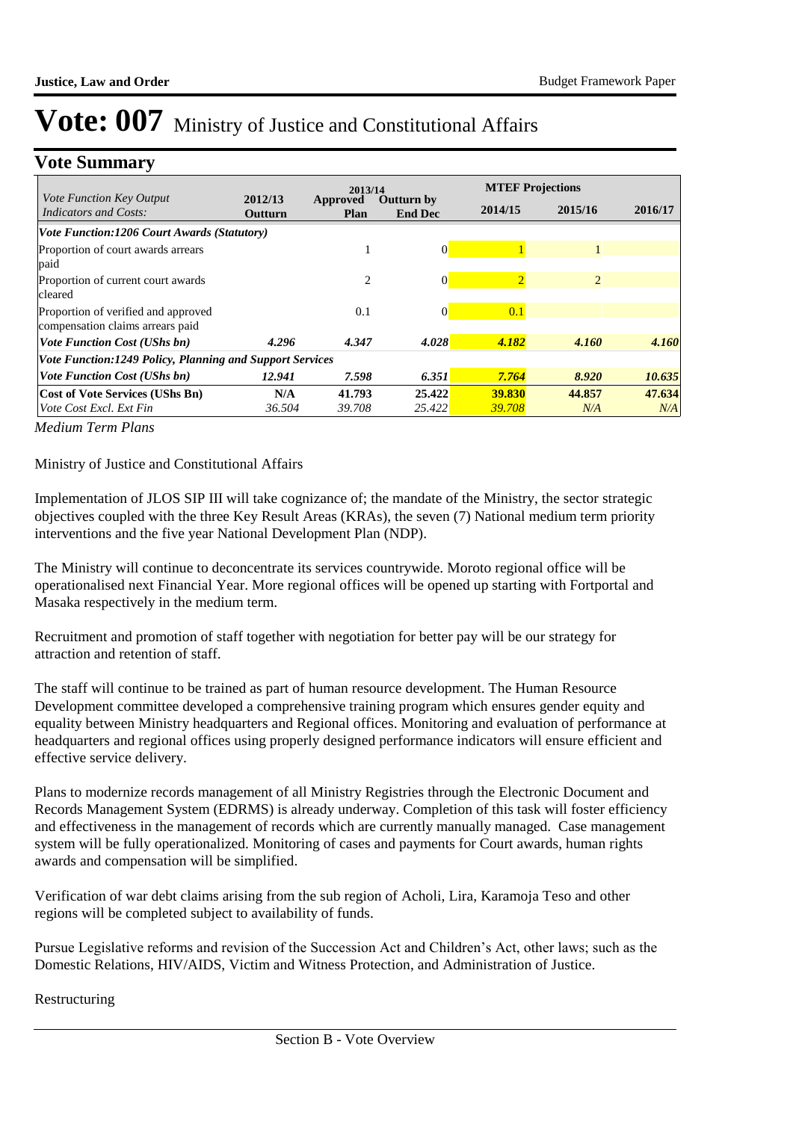## **Vote Summary**

|                                                                         |                                                          | 2013/14          |                                     |                | <b>MTEF Projections</b> |         |  |  |  |
|-------------------------------------------------------------------------|----------------------------------------------------------|------------------|-------------------------------------|----------------|-------------------------|---------|--|--|--|
| Vote Function Key Output<br>Indicators and Costs:                       | 2012/13<br>Outturn                                       | Approved<br>Plan | <b>Outturn by</b><br><b>End Dec</b> | 2014/15        | 2015/16                 | 2016/17 |  |  |  |
| Vote Function: 1206 Court Awards (Statutory)                            |                                                          |                  |                                     |                |                         |         |  |  |  |
| Proportion of court awards arrears<br>paid                              |                                                          |                  | 0                                   |                |                         |         |  |  |  |
| Proportion of current court awards<br>cleared                           |                                                          | $\overline{c}$   | 0                                   | $\overline{2}$ | 2                       |         |  |  |  |
| Proportion of verified and approved<br>compensation claims arrears paid |                                                          | 0.1              | 0                                   | 0.1            |                         |         |  |  |  |
| <i>Vote Function Cost (UShs bn)</i>                                     | 4.296                                                    | 4.347            | 4.028                               | 4.182          | 4.160                   | 4.160   |  |  |  |
|                                                                         | Vote Function:1249 Policy, Planning and Support Services |                  |                                     |                |                         |         |  |  |  |
| <i>Vote Function Cost (UShs bn)</i>                                     | 12.941                                                   | 7.598            | 6.351                               | 7.764          | 8.920                   | 10.635  |  |  |  |
| <b>Cost of Vote Services (UShs Bn)</b>                                  | N/A                                                      | 41.793           | 25.422                              | 39.830         | 44.857                  | 47.634  |  |  |  |
| Vote Cost Excl. Ext Fin                                                 | 36.504                                                   | 39.708           | 25.422                              | 39.708         | N/A                     | N/A     |  |  |  |

*Medium Term Plans*

Ministry of Justice and Constitutional Affairs

Implementation of JLOS SIP III will take cognizance of; the mandate of the Ministry, the sector strategic objectives coupled with the three Key Result Areas (KRAs), the seven (7) National medium term priority interventions and the five year National Development Plan (NDP).

The Ministry will continue to deconcentrate its services countrywide. Moroto regional office will be operationalised next Financial Year. More regional offices will be opened up starting with Fortportal and Masaka respectively in the medium term.

Recruitment and promotion of staff together with negotiation for better pay will be our strategy for attraction and retention of staff.

The staff will continue to be trained as part of human resource development. The Human Resource Development committee developed a comprehensive training program which ensures gender equity and equality between Ministry headquarters and Regional offices. Monitoring and evaluation of performance at headquarters and regional offices using properly designed performance indicators will ensure efficient and effective service delivery.

Plans to modernize records management of all Ministry Registries through the Electronic Document and Records Management System (EDRMS) is already underway. Completion of this task will foster efficiency and effectiveness in the management of records which are currently manually managed. Case management system will be fully operationalized. Monitoring of cases and payments for Court awards, human rights awards and compensation will be simplified.

Verification of war debt claims arising from the sub region of Acholi, Lira, Karamoja Teso and other regions will be completed subject to availability of funds.

Pursue Legislative reforms and revision of the Succession Act and Children's Act, other laws; such as the Domestic Relations, HIV/AIDS, Victim and Witness Protection, and Administration of Justice.

Restructuring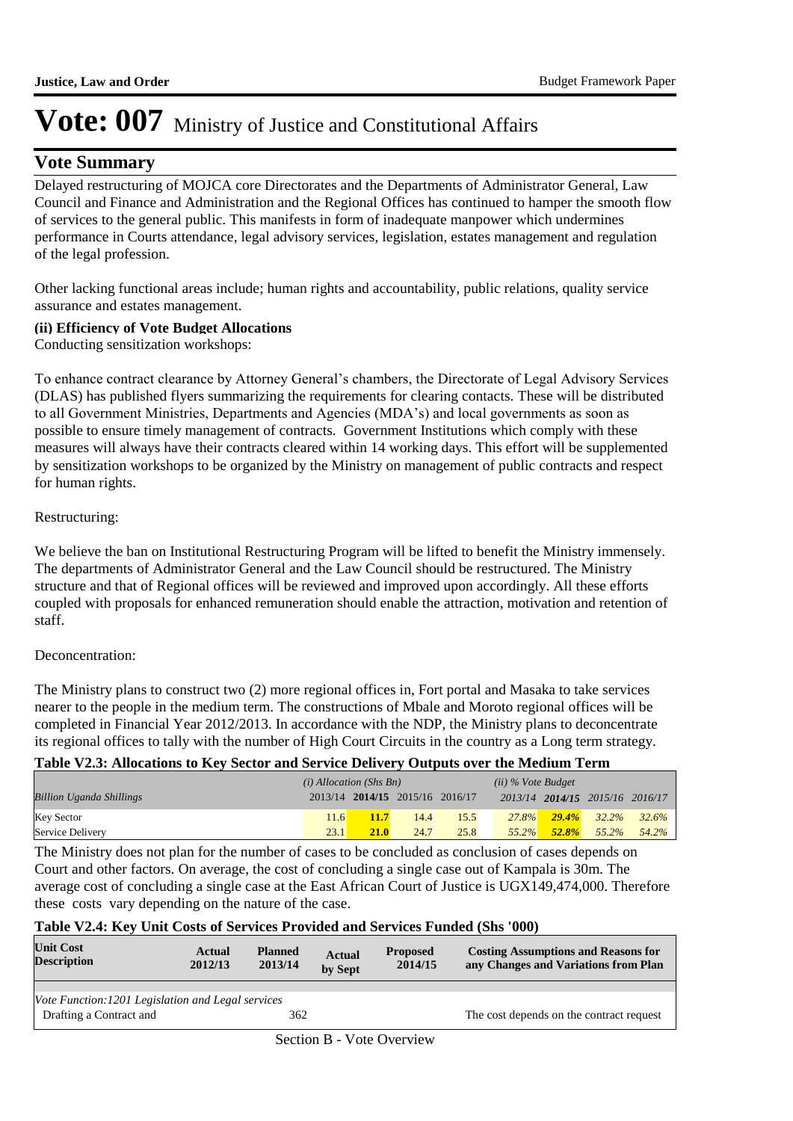## **Vote Summary**

Delayed restructuring of MOJCA core Directorates and the Departments of Administrator General, Law Council and Finance and Administration and the Regional Offices has continued to hamper the smooth flow of services to the general public. This manifests in form of inadequate manpower which undermines performance in Courts attendance, legal advisory services, legislation, estates management and regulation of the legal profession.

Other lacking functional areas include; human rights and accountability, public relations, quality service assurance and estates management.

### **(ii) Efficiency of Vote Budget Allocations**

Conducting sensitization workshops:

To enhance contract clearance by Attorney General's chambers, the Directorate of Legal Advisory Services (DLAS) has published flyers summarizing the requirements for clearing contacts. These will be distributed to all Government Ministries, Departments and Agencies (MDA's) and local governments as soon as possible to ensure timely management of contracts. Government Institutions which comply with these measures will always have their contracts cleared within 14 working days. This effort will be supplemented by sensitization workshops to be organized by the Ministry on management of public contracts and respect for human rights.

### Restructuring:

We believe the ban on Institutional Restructuring Program will be lifted to benefit the Ministry immensely. The departments of Administrator General and the Law Council should be restructured. The Ministry structure and that of Regional offices will be reviewed and improved upon accordingly. All these efforts coupled with proposals for enhanced remuneration should enable the attraction, motivation and retention of staff.

### Deconcentration:

The Ministry plans to construct two (2) more regional offices in, Fort portal and Masaka to take services nearer to the people in the medium term. The constructions of Mbale and Moroto regional offices will be completed in Financial Year 2012/2013. In accordance with the NDP, the Ministry plans to deconcentrate its regional offices to tally with the number of High Court Circuits in the country as a Long term strategy.

### **Table V2.3: Allocations to Key Sector and Service Delivery Outputs over the Medium Term**

|                                 | $(i)$ Allocation (Shs Bn) |                                 |      |      | $(ii)$ % Vote Budget |          |                                 |       |
|---------------------------------|---------------------------|---------------------------------|------|------|----------------------|----------|---------------------------------|-------|
| <b>Billion Uganda Shillings</b> |                           | 2013/14 2014/15 2015/16 2016/17 |      |      |                      |          | 2013/14 2014/15 2015/16 2016/17 |       |
| <b>Key Sector</b>               | 11.6                      | 11.7                            | 14.4 | 15.5 | $27.8\%$             |          | $29.4\%$ 32.2% 32.6%            |       |
| Service Delivery                | 23.1                      | <b>21.0</b>                     | 24.7 | 25.8 | $55.2\%$             | $52.8\%$ | $55.2\%$                        | 54.2% |

The Ministry does not plan for the number of cases to be concluded as conclusion of cases depends on Court and other factors. On average, the cost of concluding a single case out of Kampala is 30m. The average cost of concluding a single case at the East African Court of Justice is UGX149,474,000. Therefore these costs vary depending on the nature of the case.

### **Table V2.4: Key Unit Costs of Services Provided and Services Funded (Shs '000)**

| <b>Unit Cost</b><br><b>Description</b>             | Actual<br>2012/13 | <b>Planned</b><br>2013/14 | <b>Actual</b><br>by Sept | <b>Proposed</b><br>2014/15 | <b>Costing Assumptions and Reasons for</b><br>any Changes and Variations from Plan |  |
|----------------------------------------------------|-------------------|---------------------------|--------------------------|----------------------------|------------------------------------------------------------------------------------|--|
|                                                    |                   |                           |                          |                            |                                                                                    |  |
| Vote Function: 1201 Legislation and Legal services |                   |                           |                          |                            |                                                                                    |  |
| Drafting a Contract and                            |                   | 362                       |                          |                            | The cost depends on the contract request                                           |  |
| $\alpha$ Section $R$ - Vote Overview               |                   |                           |                          |                            |                                                                                    |  |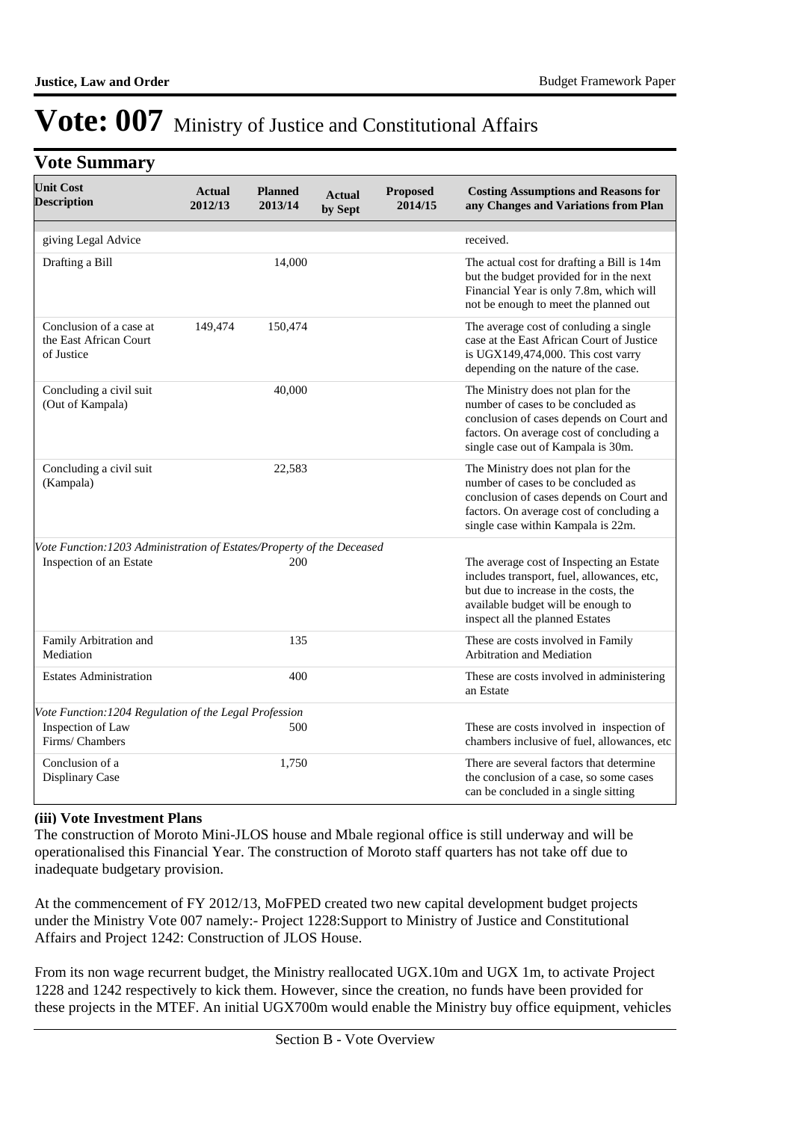## **Vote Summary**

| <b>Unit Cost</b><br><b>Description</b>                                 | <b>Actual</b><br>2012/13 | <b>Planned</b><br>2013/14 | <b>Actual</b><br>by Sept | <b>Proposed</b><br>2014/15 | <b>Costing Assumptions and Reasons for</b><br>any Changes and Variations from Plan                                                                                                                       |
|------------------------------------------------------------------------|--------------------------|---------------------------|--------------------------|----------------------------|----------------------------------------------------------------------------------------------------------------------------------------------------------------------------------------------------------|
| giving Legal Advice                                                    |                          |                           |                          |                            | received.                                                                                                                                                                                                |
| Drafting a Bill                                                        |                          | 14,000                    |                          |                            | The actual cost for drafting a Bill is 14m<br>but the budget provided for in the next<br>Financial Year is only 7.8m, which will<br>not be enough to meet the planned out                                |
| Conclusion of a case at<br>the East African Court<br>of Justice        | 149,474                  | 150,474                   |                          |                            | The average cost of conluding a single<br>case at the East African Court of Justice<br>is UGX149,474,000. This cost varry<br>depending on the nature of the case.                                        |
| Concluding a civil suit<br>(Out of Kampala)                            |                          | 40,000                    |                          |                            | The Ministry does not plan for the<br>number of cases to be concluded as<br>conclusion of cases depends on Court and<br>factors. On average cost of concluding a<br>single case out of Kampala is 30m.   |
| Concluding a civil suit<br>(Kampala)                                   |                          | 22,583                    |                          |                            | The Ministry does not plan for the<br>number of cases to be concluded as<br>conclusion of cases depends on Court and<br>factors. On average cost of concluding a<br>single case within Kampala is 22m.   |
| Vote Function: 1203 Administration of Estates/Property of the Deceased |                          |                           |                          |                            |                                                                                                                                                                                                          |
| Inspection of an Estate                                                |                          | 200                       |                          |                            | The average cost of Inspecting an Estate<br>includes transport, fuel, allowances, etc,<br>but due to increase in the costs, the<br>available budget will be enough to<br>inspect all the planned Estates |
| Family Arbitration and<br>Mediation                                    |                          | 135                       |                          |                            | These are costs involved in Family<br>Arbitration and Mediation                                                                                                                                          |
| <b>Estates Administration</b>                                          |                          | 400                       |                          |                            | These are costs involved in administering<br>an Estate                                                                                                                                                   |
| Vote Function: 1204 Regulation of the Legal Profession                 |                          |                           |                          |                            |                                                                                                                                                                                                          |
| Inspection of Law<br>Firms/ Chambers                                   |                          | 500                       |                          |                            | These are costs involved in inspection of<br>chambers inclusive of fuel, allowances, etc                                                                                                                 |
| Conclusion of a<br>Displinary Case                                     |                          | 1,750                     |                          |                            | There are several factors that determine<br>the conclusion of a case, so some cases<br>can be concluded in a single sitting                                                                              |

### **(iii) Vote Investment Plans**

The construction of Moroto Mini-JLOS house and Mbale regional office is still underway and will be operationalised this Financial Year. The construction of Moroto staff quarters has not take off due to inadequate budgetary provision.

At the commencement of FY 2012/13, MoFPED created two new capital development budget projects under the Ministry Vote 007 namely:- Project 1228:Support to Ministry of Justice and Constitutional Affairs and Project 1242: Construction of JLOS House.

From its non wage recurrent budget, the Ministry reallocated UGX.10m and UGX 1m, to activate Project 1228 and 1242 respectively to kick them. However, since the creation, no funds have been provided for these projects in the MTEF. An initial UGX700m would enable the Ministry buy office equipment, vehicles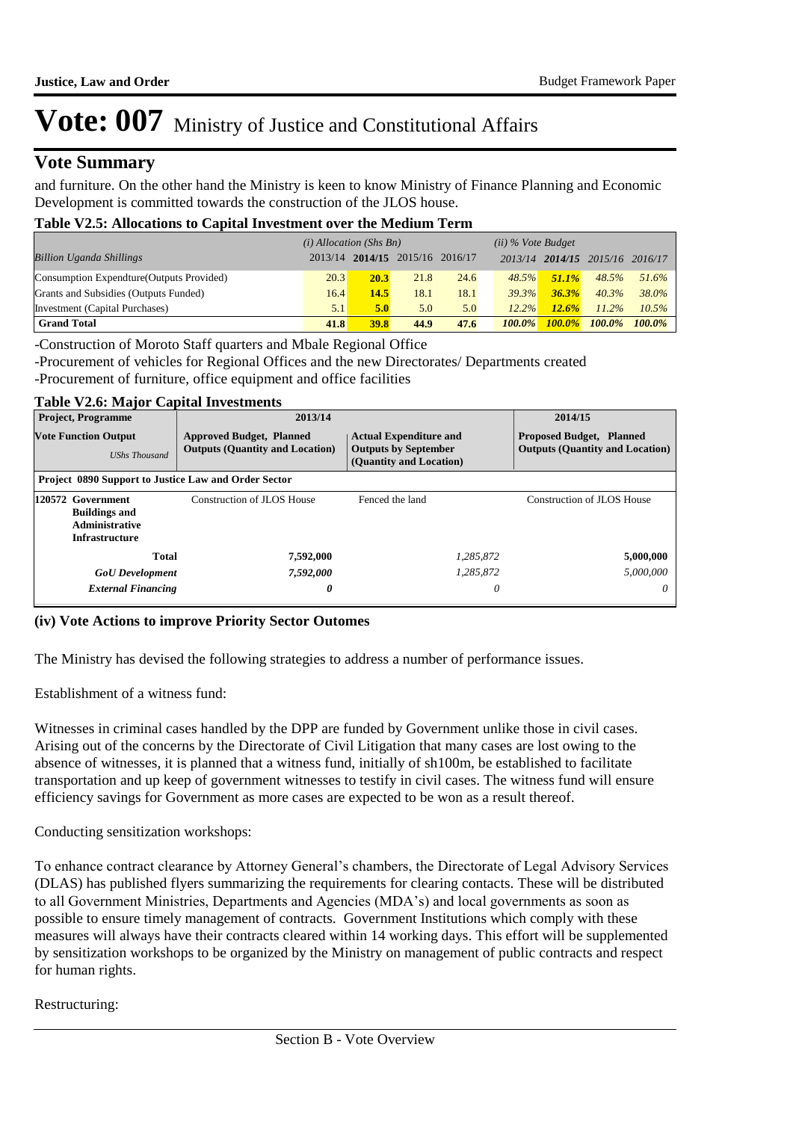### **Vote Summary**

and furniture. On the other hand the Ministry is keen to know Ministry of Finance Planning and Economic Development is committed towards the construction of the JLOS house.

#### **Table V2.5: Allocations to Capital Investment over the Medium Term**

|                                           | $(i)$ Allocation (Shs Bn) |             |                         |      | $(ii)$ % Vote Budget |               |                     |           |
|-------------------------------------------|---------------------------|-------------|-------------------------|------|----------------------|---------------|---------------------|-----------|
| <b>Billion Uganda Shillings</b>           | 2013/14                   |             | 2014/15 2015/16 2016/17 |      | 2013/14              |               | $2014/15$ $2015/16$ | 2016/17   |
| Consumption Expendture (Outputs Provided) | 20.3                      | <b>20.3</b> | 21.8                    | 24.6 | 48.5%                | 51.1%         | 48.5%               | 51.6%     |
| Grants and Subsidies (Outputs Funded)     | 16.4                      | 14.5        | 18.1                    | 18.1 | 39.3%                | 36.3%         | 40.3%               | 38.0%     |
| Investment (Capital Purchases)            | 5.1                       | 5.0         | 5.0                     | 5.0  | 12.2%                | $12.6\%$      | 11.2%               | 10.5%     |
| <b>Grand Total</b>                        | 41.8                      | <b>39.8</b> | 44.9                    | 47.6 | $100.0\%$            | <b>100.0%</b> | $100.0\%$           | $100.0\%$ |

-Construction of Moroto Staff quarters and Mbale Regional Office

-Procurement of vehicles for Regional Offices and the new Directorates/ Departments created -Procurement of furniture, office equipment and office facilities

#### **Table V2.6: Major Capital Investments**

| <b>Project, Programme</b>                                                                   | 2013/14                                                                   | 2014/15                                                                                 |                                                                           |  |  |  |
|---------------------------------------------------------------------------------------------|---------------------------------------------------------------------------|-----------------------------------------------------------------------------------------|---------------------------------------------------------------------------|--|--|--|
| <b>Vote Function Output</b><br><b>UShs Thousand</b>                                         | <b>Approved Budget, Planned</b><br><b>Outputs (Quantity and Location)</b> | <b>Actual Expenditure and</b><br><b>Outputs by September</b><br>(Quantity and Location) | <b>Proposed Budget, Planned</b><br><b>Outputs (Quantity and Location)</b> |  |  |  |
| <b>Project 0890 Support to Justice Law and Order Sector</b>                                 |                                                                           |                                                                                         |                                                                           |  |  |  |
| 120572 Government<br><b>Buildings and</b><br><b>Administrative</b><br><b>Infrastructure</b> | Construction of JLOS House                                                | Fenced the land                                                                         | Construction of JLOS House                                                |  |  |  |
| <b>Total</b>                                                                                | 7,592,000                                                                 | 1,285,872                                                                               | 5,000,000                                                                 |  |  |  |
| <b>GoU</b> Development                                                                      | 7,592,000                                                                 | 1.285.872                                                                               | 5,000,000                                                                 |  |  |  |
| <b>External Financing</b>                                                                   | 0                                                                         | 0                                                                                       | $\theta$                                                                  |  |  |  |

### **(iv) Vote Actions to improve Priority Sector Outomes**

The Ministry has devised the following strategies to address a number of performance issues.

Establishment of a witness fund:

Witnesses in criminal cases handled by the DPP are funded by Government unlike those in civil cases. Arising out of the concerns by the Directorate of Civil Litigation that many cases are lost owing to the absence of witnesses, it is planned that a witness fund, initially of sh100m, be established to facilitate transportation and up keep of government witnesses to testify in civil cases. The witness fund will ensure efficiency savings for Government as more cases are expected to be won as a result thereof.

Conducting sensitization workshops:

To enhance contract clearance by Attorney General's chambers, the Directorate of Legal Advisory Services (DLAS) has published flyers summarizing the requirements for clearing contacts. These will be distributed to all Government Ministries, Departments and Agencies (MDA's) and local governments as soon as possible to ensure timely management of contracts. Government Institutions which comply with these measures will always have their contracts cleared within 14 working days. This effort will be supplemented by sensitization workshops to be organized by the Ministry on management of public contracts and respect for human rights.

Restructuring: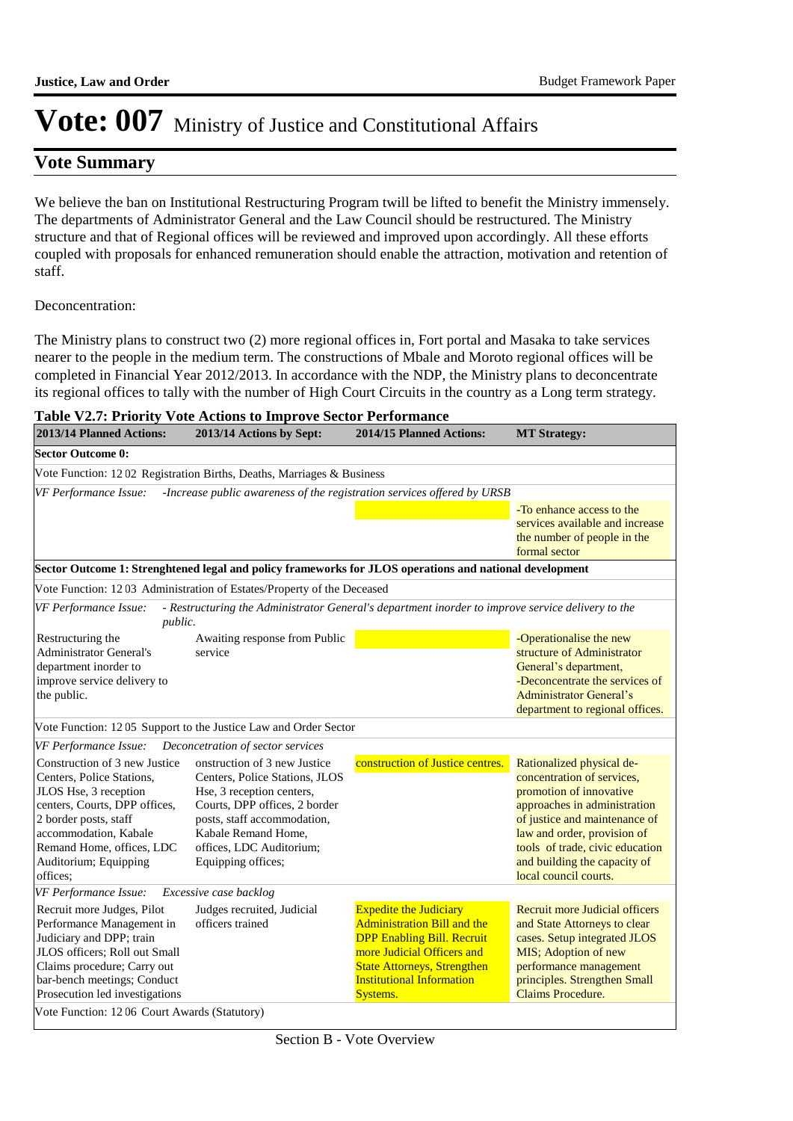## **Vote Summary**

We believe the ban on Institutional Restructuring Program twill be lifted to benefit the Ministry immensely. The departments of Administrator General and the Law Council should be restructured. The Ministry structure and that of Regional offices will be reviewed and improved upon accordingly. All these efforts coupled with proposals for enhanced remuneration should enable the attraction, motivation and retention of staff.

### Deconcentration:

The Ministry plans to construct two (2) more regional offices in, Fort portal and Masaka to take services nearer to the people in the medium term. The constructions of Mbale and Moroto regional offices will be completed in Financial Year 2012/2013. In accordance with the NDP, the Ministry plans to deconcentrate its regional offices to tally with the number of High Court Circuits in the country as a Long term strategy.

| <b>Table V2.7: Priority Vote Actions to Improve Sector Performance</b>                                                                                                                                                                   |                                                                                                                                                                                                                                      |                                                                                                                                                                                                                              |                                                                                                                                                                                                                                                                                |  |  |  |
|------------------------------------------------------------------------------------------------------------------------------------------------------------------------------------------------------------------------------------------|--------------------------------------------------------------------------------------------------------------------------------------------------------------------------------------------------------------------------------------|------------------------------------------------------------------------------------------------------------------------------------------------------------------------------------------------------------------------------|--------------------------------------------------------------------------------------------------------------------------------------------------------------------------------------------------------------------------------------------------------------------------------|--|--|--|
| 2013/14 Planned Actions:                                                                                                                                                                                                                 | 2013/14 Actions by Sept:                                                                                                                                                                                                             | 2014/15 Planned Actions:                                                                                                                                                                                                     | <b>MT</b> Strategy:                                                                                                                                                                                                                                                            |  |  |  |
| <b>Sector Outcome 0:</b>                                                                                                                                                                                                                 |                                                                                                                                                                                                                                      |                                                                                                                                                                                                                              |                                                                                                                                                                                                                                                                                |  |  |  |
|                                                                                                                                                                                                                                          | Vote Function: 1202 Registration Births, Deaths, Marriages & Business                                                                                                                                                                |                                                                                                                                                                                                                              |                                                                                                                                                                                                                                                                                |  |  |  |
| VF Performance Issue:                                                                                                                                                                                                                    | -Increase public awareness of the registration services offered by URSB                                                                                                                                                              |                                                                                                                                                                                                                              |                                                                                                                                                                                                                                                                                |  |  |  |
|                                                                                                                                                                                                                                          |                                                                                                                                                                                                                                      |                                                                                                                                                                                                                              | -To enhance access to the<br>services available and increase<br>the number of people in the<br>formal sector                                                                                                                                                                   |  |  |  |
|                                                                                                                                                                                                                                          | Sector Outcome 1: Strenghtened legal and policy frameworks for JLOS operations and national development                                                                                                                              |                                                                                                                                                                                                                              |                                                                                                                                                                                                                                                                                |  |  |  |
|                                                                                                                                                                                                                                          | Vote Function: 12 03 Administration of Estates/Property of the Deceased                                                                                                                                                              |                                                                                                                                                                                                                              |                                                                                                                                                                                                                                                                                |  |  |  |
| VF Performance Issue:<br>public.                                                                                                                                                                                                         | - Restructuring the Administrator General's department inorder to improve service delivery to the                                                                                                                                    |                                                                                                                                                                                                                              |                                                                                                                                                                                                                                                                                |  |  |  |
| Restructuring the<br><b>Administrator General's</b><br>department inorder to<br>improve service delivery to<br>the public.                                                                                                               | Awaiting response from Public<br>service                                                                                                                                                                                             |                                                                                                                                                                                                                              | -Operationalise the new<br>structure of Administrator<br>General's department,<br>-Deconcentrate the services of<br><b>Administrator General's</b><br>department to regional offices.                                                                                          |  |  |  |
|                                                                                                                                                                                                                                          | Vote Function: 12 05 Support to the Justice Law and Order Sector                                                                                                                                                                     |                                                                                                                                                                                                                              |                                                                                                                                                                                                                                                                                |  |  |  |
| VF Performance Issue:                                                                                                                                                                                                                    | Deconcetration of sector services                                                                                                                                                                                                    |                                                                                                                                                                                                                              |                                                                                                                                                                                                                                                                                |  |  |  |
| Construction of 3 new Justice<br>Centers, Police Stations,<br>JLOS Hse, 3 reception<br>centers, Courts, DPP offices,<br>2 border posts, staff<br>accommodation, Kabale<br>Remand Home, offices, LDC<br>Auditorium; Equipping<br>offices: | onstruction of 3 new Justice<br>Centers, Police Stations, JLOS<br>Hse, 3 reception centers,<br>Courts, DPP offices, 2 border<br>posts, staff accommodation,<br>Kabale Remand Home,<br>offices, LDC Auditorium;<br>Equipping offices; | construction of Justice centres.                                                                                                                                                                                             | Rationalized physical de-<br>concentration of services,<br>promotion of innovative<br>approaches in administration<br>of justice and maintenance of<br>law and order, provision of<br>tools of trade, civic education<br>and building the capacity of<br>local council courts. |  |  |  |
| VF Performance Issue:                                                                                                                                                                                                                    | Excessive case backlog                                                                                                                                                                                                               |                                                                                                                                                                                                                              |                                                                                                                                                                                                                                                                                |  |  |  |
| Recruit more Judges, Pilot<br>Performance Management in<br>Judiciary and DPP; train<br>JLOS officers; Roll out Small<br>Claims procedure; Carry out<br>bar-bench meetings; Conduct<br>Prosecution led investigations                     | Judges recruited, Judicial<br>officers trained                                                                                                                                                                                       | <b>Expedite the Judiciary</b><br><b>Administration Bill and the</b><br><b>DPP Enabling Bill. Recruit</b><br>more Judicial Officers and<br><b>State Attorneys, Strengthen</b><br><b>Institutional Information</b><br>Systems. | Recruit more Judicial officers<br>and State Attorneys to clear<br>cases. Setup integrated JLOS<br>MIS; Adoption of new<br>performance management<br>principles. Strengthen Small<br><b>Claims Procedure.</b>                                                                   |  |  |  |
| Vote Function: 12 06 Court Awards (Statutory)                                                                                                                                                                                            |                                                                                                                                                                                                                                      |                                                                                                                                                                                                                              |                                                                                                                                                                                                                                                                                |  |  |  |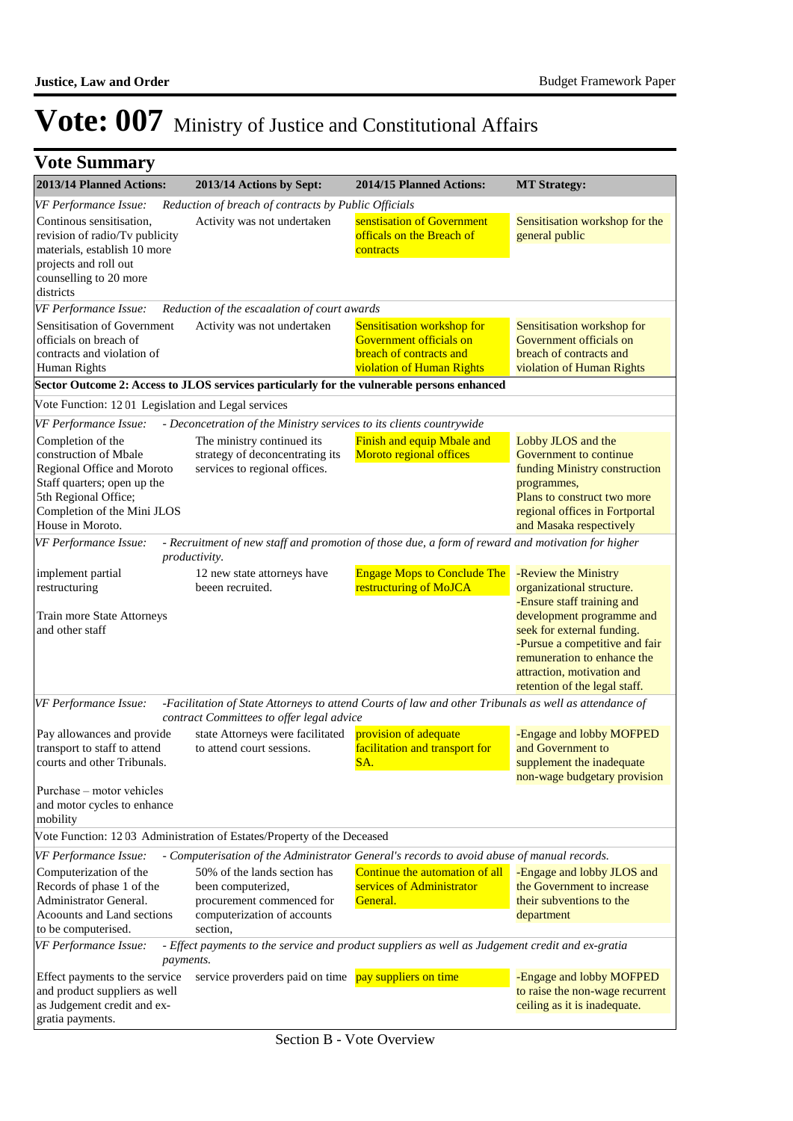| <b>Vote Summary</b>                                                                                                                                                                |                                                                                                                                                    |                                                                         |                                                                                                                                                                                                                                                                            |
|------------------------------------------------------------------------------------------------------------------------------------------------------------------------------------|----------------------------------------------------------------------------------------------------------------------------------------------------|-------------------------------------------------------------------------|----------------------------------------------------------------------------------------------------------------------------------------------------------------------------------------------------------------------------------------------------------------------------|
| 2013/14 Planned Actions:                                                                                                                                                           | 2013/14 Actions by Sept:                                                                                                                           | 2014/15 Planned Actions:                                                | <b>MT Strategy:</b>                                                                                                                                                                                                                                                        |
| VF Performance Issue:                                                                                                                                                              | Reduction of breach of contracts by Public Officials                                                                                               |                                                                         |                                                                                                                                                                                                                                                                            |
| Continous sensitisation,<br>revision of radio/Tv publicity<br>materials, establish 10 more<br>projects and roll out                                                                | Activity was not undertaken                                                                                                                        | senstisation of Government<br>officals on the Breach of<br>contracts    | Sensitisation workshop for the<br>general public                                                                                                                                                                                                                           |
| counselling to 20 more<br>districts                                                                                                                                                |                                                                                                                                                    |                                                                         |                                                                                                                                                                                                                                                                            |
| VF Performance Issue:                                                                                                                                                              | Reduction of the escaalation of court awards                                                                                                       |                                                                         |                                                                                                                                                                                                                                                                            |
| Sensitisation of Government<br>officials on breach of<br>contracts and violation of<br>Human Rights                                                                                | Sensitisation workshop for<br>Activity was not undertaken<br>Government officials on<br>breach of contracts and<br>violation of Human Rights       |                                                                         | Sensitisation workshop for<br>Government officials on<br>breach of contracts and<br>violation of Human Rights                                                                                                                                                              |
|                                                                                                                                                                                    | Sector Outcome 2: Access to JLOS services particularly for the vulnerable persons enhanced                                                         |                                                                         |                                                                                                                                                                                                                                                                            |
| Vote Function: 1201 Legislation and Legal services                                                                                                                                 |                                                                                                                                                    |                                                                         |                                                                                                                                                                                                                                                                            |
| <b>VF Performance Issue:</b>                                                                                                                                                       | - Deconcetration of the Ministry services to its clients countrywide                                                                               |                                                                         |                                                                                                                                                                                                                                                                            |
| Completion of the<br>construction of Mbale<br>Regional Office and Moroto<br>Staff quarters; open up the<br>5th Regional Office;<br>Completion of the Mini JLOS<br>House in Moroto. | The ministry continued its<br>strategy of deconcentrating its<br>services to regional offices.                                                     | Finish and equip Mbale and<br>Moroto regional offices                   | Lobby JLOS and the<br>Government to continue<br>funding Ministry construction<br>programmes,<br>Plans to construct two more<br>regional offices in Fortportal<br>and Masaka respectively                                                                                   |
| VF Performance Issue:                                                                                                                                                              | - Recruitment of new staff and promotion of those due, a form of reward and motivation for higher                                                  |                                                                         |                                                                                                                                                                                                                                                                            |
|                                                                                                                                                                                    | productivity.                                                                                                                                      |                                                                         |                                                                                                                                                                                                                                                                            |
| implement partial<br>restructuring<br>Train more State Attorneys<br>and other staff                                                                                                | 12 new state attorneys have<br>beeen recruited.                                                                                                    | <b>Engage Mops to Conclude The</b><br>restructuring of MoJCA            | -Review the Ministry<br>organizational structure.<br>-Ensure staff training and<br>development programme and<br>seek for external funding.<br>-Pursue a competitive and fair<br>remuneration to enhance the<br>attraction, motivation and<br>retention of the legal staff. |
| VF Performance Issue:                                                                                                                                                              | -Facilitation of State Attorneys to attend Courts of law and other Tribunals as well as attendance of<br>contract Committees to offer legal advice |                                                                         |                                                                                                                                                                                                                                                                            |
| Pay allowances and provide<br>transport to staff to attend<br>courts and other Tribunals.                                                                                          | state Attorneys were facilitated<br>to attend court sessions.                                                                                      | provision of adequate<br>facilitation and transport for<br>SA.          | -Engage and lobby MOFPED<br>and Government to<br>supplement the inadequate<br>non-wage budgetary provision                                                                                                                                                                 |
| Purchase – motor vehicles<br>and motor cycles to enhance<br>mobility                                                                                                               |                                                                                                                                                    |                                                                         |                                                                                                                                                                                                                                                                            |
|                                                                                                                                                                                    | Vote Function: 1203 Administration of Estates/Property of the Deceased                                                                             |                                                                         |                                                                                                                                                                                                                                                                            |
| VF Performance Issue:                                                                                                                                                              | - Computerisation of the Administrator General's records to avoid abuse of manual records.                                                         |                                                                         |                                                                                                                                                                                                                                                                            |
| Computerization of the<br>Records of phase 1 of the<br>Administrator General.<br>Acoounts and Land sections<br>to be computerised.                                                 | 50% of the lands section has<br>been computerized,<br>procurement commenced for<br>computerization of accounts<br>section,                         | Continue the automation of all<br>services of Administrator<br>General. | -Engage and lobby JLOS and<br>the Government to increase<br>their subventions to the<br>department                                                                                                                                                                         |
| VF Performance Issue:<br>payments.                                                                                                                                                 | - Effect payments to the service and product suppliers as well as Judgement credit and ex-gratia                                                   |                                                                         |                                                                                                                                                                                                                                                                            |
| Effect payments to the service<br>and product suppliers as well<br>as Judgement credit and ex-<br>gratia payments.                                                                 | service proverders paid on time pay suppliers on time                                                                                              |                                                                         | -Engage and lobby MOFPED<br>to raise the non-wage recurrent<br>ceiling as it is inadequate.                                                                                                                                                                                |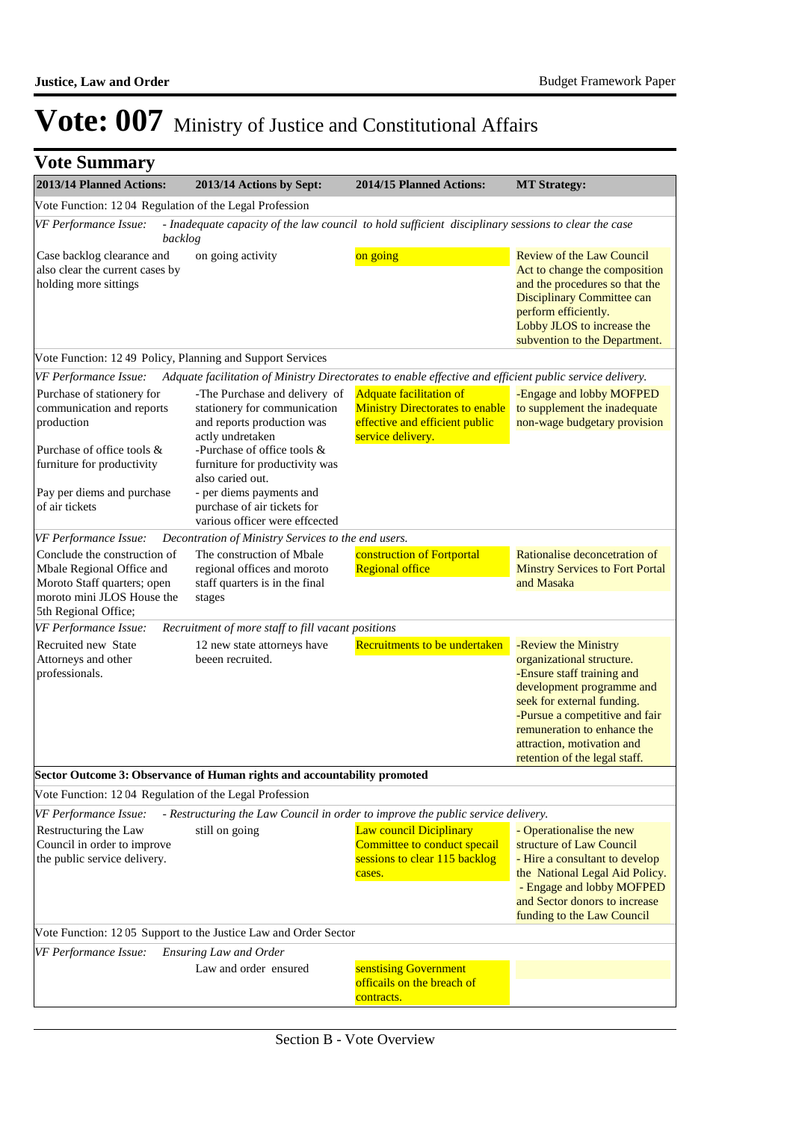| <b>Vote Summary</b>                                                                                                                                                               |                                                                                                                                                                                                                                                                 |                                                                                                                                 |                                                                                                                                                                                                                                                                            |
|-----------------------------------------------------------------------------------------------------------------------------------------------------------------------------------|-----------------------------------------------------------------------------------------------------------------------------------------------------------------------------------------------------------------------------------------------------------------|---------------------------------------------------------------------------------------------------------------------------------|----------------------------------------------------------------------------------------------------------------------------------------------------------------------------------------------------------------------------------------------------------------------------|
| 2013/14 Planned Actions:                                                                                                                                                          | 2013/14 Actions by Sept:                                                                                                                                                                                                                                        | 2014/15 Planned Actions:                                                                                                        | <b>MT Strategy:</b>                                                                                                                                                                                                                                                        |
| Vote Function: 1204 Regulation of the Legal Profession                                                                                                                            |                                                                                                                                                                                                                                                                 |                                                                                                                                 |                                                                                                                                                                                                                                                                            |
| VF Performance Issue:<br>backlog                                                                                                                                                  | - Inadequate capacity of the law council to hold sufficient disciplinary sessions to clear the case                                                                                                                                                             |                                                                                                                                 |                                                                                                                                                                                                                                                                            |
| Case backlog clearance and<br>on going activity<br>also clear the current cases by<br>holding more sittings                                                                       |                                                                                                                                                                                                                                                                 | on going                                                                                                                        | <b>Review of the Law Council</b><br>Act to change the composition<br>and the procedures so that the<br><b>Disciplinary Committee can</b><br>perform efficiently.<br>Lobby JLOS to increase the<br>subvention to the Department.                                            |
| Vote Function: 12 49 Policy, Planning and Support Services                                                                                                                        |                                                                                                                                                                                                                                                                 |                                                                                                                                 |                                                                                                                                                                                                                                                                            |
| VF Performance Issue:                                                                                                                                                             | Adquate facilitation of Ministry Directorates to enable effective and efficient public service delivery.                                                                                                                                                        |                                                                                                                                 |                                                                                                                                                                                                                                                                            |
| Purchase of stationery for<br>communication and reports<br>production<br>Purchase of office tools &<br>furniture for productivity<br>Pay per diems and purchase<br>of air tickets | -The Purchase and delivery of<br>stationery for communication<br>and reports production was<br>actly undretaken<br>-Purchase of office tools &<br>furniture for productivity was<br>also caried out.<br>- per diems payments and<br>purchase of air tickets for | <b>Adquate facilitation of</b><br><b>Ministry Directorates to enable</b><br>effective and efficient public<br>service delivery. | -Engage and lobby MOFPED<br>to supplement the inadequate<br>non-wage budgetary provision                                                                                                                                                                                   |
|                                                                                                                                                                                   | various officer were effcected                                                                                                                                                                                                                                  |                                                                                                                                 |                                                                                                                                                                                                                                                                            |
| VF Performance Issue:                                                                                                                                                             | Decontration of Ministry Services to the end users.                                                                                                                                                                                                             |                                                                                                                                 |                                                                                                                                                                                                                                                                            |
| Conclude the construction of<br>Mbale Regional Office and<br>Moroto Staff quarters; open<br>moroto mini JLOS House the                                                            | The construction of Mbale<br>regional offices and moroto<br>staff quarters is in the final<br>stages                                                                                                                                                            | construction of Fortportal<br><b>Regional office</b>                                                                            | Rationalise deconcetration of<br><b>Minstry Services to Fort Portal</b><br>and Masaka                                                                                                                                                                                      |
| 5th Regional Office;                                                                                                                                                              |                                                                                                                                                                                                                                                                 |                                                                                                                                 |                                                                                                                                                                                                                                                                            |
| VF Performance Issue:                                                                                                                                                             | Recruitment of more staff to fill vacant positions                                                                                                                                                                                                              |                                                                                                                                 |                                                                                                                                                                                                                                                                            |
| Recruited new State<br>Attorneys and other<br>professionals.                                                                                                                      | 12 new state attorneys have<br>beeen recruited.                                                                                                                                                                                                                 | Recruitments to be undertaken                                                                                                   | -Review the Ministry<br>organizational structure.<br>-Ensure staff training and<br>development programme and<br>seek for external funding.<br>-Pursue a competitive and fair<br>remuneration to enhance the<br>attraction, motivation and<br>retention of the legal staff. |
|                                                                                                                                                                                   | Sector Outcome 3: Observance of Human rights and accountability promoted                                                                                                                                                                                        |                                                                                                                                 |                                                                                                                                                                                                                                                                            |
| Vote Function: 12 04 Regulation of the Legal Profession                                                                                                                           |                                                                                                                                                                                                                                                                 |                                                                                                                                 |                                                                                                                                                                                                                                                                            |
| VF Performance Issue:                                                                                                                                                             | - Restructuring the Law Council in order to improve the public service delivery.                                                                                                                                                                                |                                                                                                                                 |                                                                                                                                                                                                                                                                            |
| Restructuring the Law<br>Council in order to improve<br>the public service delivery.                                                                                              | still on going                                                                                                                                                                                                                                                  | Law council Diciplinary<br>Committee to conduct specail<br>sessions to clear 115 backlog<br>cases.                              | - Operationalise the new<br>structure of Law Council<br>- Hire a consultant to develop<br>the National Legal Aid Policy.<br>- Engage and lobby MOFPED<br>and Sector donors to increase<br>funding to the Law Council                                                       |
|                                                                                                                                                                                   | Vote Function: 12 05 Support to the Justice Law and Order Sector                                                                                                                                                                                                |                                                                                                                                 |                                                                                                                                                                                                                                                                            |
| VF Performance Issue:                                                                                                                                                             | <b>Ensuring Law and Order</b>                                                                                                                                                                                                                                   |                                                                                                                                 |                                                                                                                                                                                                                                                                            |
|                                                                                                                                                                                   | Law and order ensured                                                                                                                                                                                                                                           | senstising Government<br>officails on the breach of<br>contracts.                                                               |                                                                                                                                                                                                                                                                            |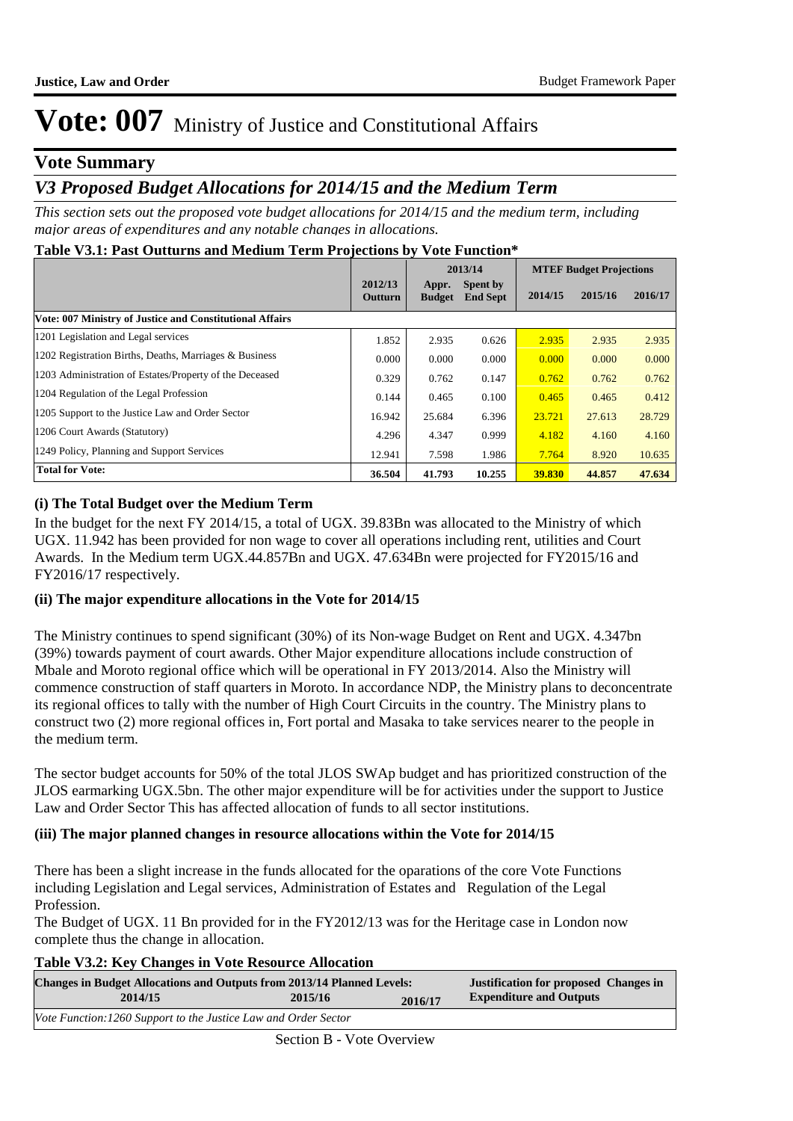### **Vote Summary**

## *V3 Proposed Budget Allocations for 2014/15 and the Medium Term*

*This section sets out the proposed vote budget allocations for 2014/15 and the medium term, including major areas of expenditures and any notable changes in allocations.* 

#### **Table V3.1: Past Outturns and Medium Term Projections by Vote Function\***

|                                                          |                    | 2013/14                |                             | <b>MTEF Budget Projections</b> |         |         |
|----------------------------------------------------------|--------------------|------------------------|-----------------------------|--------------------------------|---------|---------|
|                                                          | 2012/13<br>Outturn | Appr.<br><b>Budget</b> | Spent by<br><b>End Sept</b> | 2014/15                        | 2015/16 | 2016/17 |
| Vote: 007 Ministry of Justice and Constitutional Affairs |                    |                        |                             |                                |         |         |
| 1201 Legislation and Legal services                      | 1.852              | 2.935                  | 0.626                       | 2.935                          | 2.935   | 2.935   |
| 1202 Registration Births, Deaths, Marriages & Business   | 0.000              | 0.000                  | 0.000                       | 0.000                          | 0.000   | 0.000   |
| 1203 Administration of Estates/Property of the Deceased  | 0.329              | 0.762                  | 0.147                       | 0.762                          | 0.762   | 0.762   |
| 1204 Regulation of the Legal Profession                  | 0.144              | 0.465                  | 0.100                       | 0.465                          | 0.465   | 0.412   |
| 1205 Support to the Justice Law and Order Sector         | 16.942             | 25.684                 | 6.396                       | 23.721                         | 27.613  | 28.729  |
| 1206 Court Awards (Statutory)                            | 4.296              | 4.347                  | 0.999                       | 4.182                          | 4.160   | 4.160   |
| 1249 Policy, Planning and Support Services               | 12.941             | 7.598                  | 1.986                       | 7.764                          | 8.920   | 10.635  |
| <b>Total for Vote:</b>                                   | 36.504             | 41.793                 | 10.255                      | 39.830                         | 44.857  | 47.634  |

### **(i) The Total Budget over the Medium Term**

In the budget for the next FY 2014/15, a total of UGX. 39.83Bn was allocated to the Ministry of which UGX. 11.942 has been provided for non wage to cover all operations including rent, utilities and Court Awards. In the Medium term UGX.44.857Bn and UGX. 47.634Bn were projected for FY2015/16 and FY2016/17 respectively.

### **(ii) The major expenditure allocations in the Vote for 2014/15**

The Ministry continues to spend significant (30%) of its Non-wage Budget on Rent and UGX. 4.347bn (39%) towards payment of court awards. Other Major expenditure allocations include construction of Mbale and Moroto regional office which will be operational in FY 2013/2014. Also the Ministry will commence construction of staff quarters in Moroto. In accordance NDP, the Ministry plans to deconcentrate its regional offices to tally with the number of High Court Circuits in the country. The Ministry plans to construct two (2) more regional offices in, Fort portal and Masaka to take services nearer to the people in the medium term.

The sector budget accounts for 50% of the total JLOS SWAp budget and has prioritized construction of the JLOS earmarking UGX.5bn. The other major expenditure will be for activities under the support to Justice Law and Order Sector This has affected allocation of funds to all sector institutions.

### **(iii) The major planned changes in resource allocations within the Vote for 2014/15**

There has been a slight increase in the funds allocated for the oparations of the core Vote Functions including Legislation and Legal services, Administration of Estates and Regulation of the Legal Profession.

The Budget of UGX. 11 Bn provided for in the FY2012/13 was for the Heritage case in London now complete thus the change in allocation.

#### **Table V3.2: Key Changes in Vote Resource Allocation**

| <b>Changes in Budget Allocations and Outputs from 2013/14 Planned Levels:</b> | <b>Justification for proposed Changes in</b> |         |                                |
|-------------------------------------------------------------------------------|----------------------------------------------|---------|--------------------------------|
| 2014/15                                                                       | 2015/16                                      | 2016/17 | <b>Expenditure and Outputs</b> |
| Vote Function: 1260 Support to the Justice Law and Order Sector               |                                              |         |                                |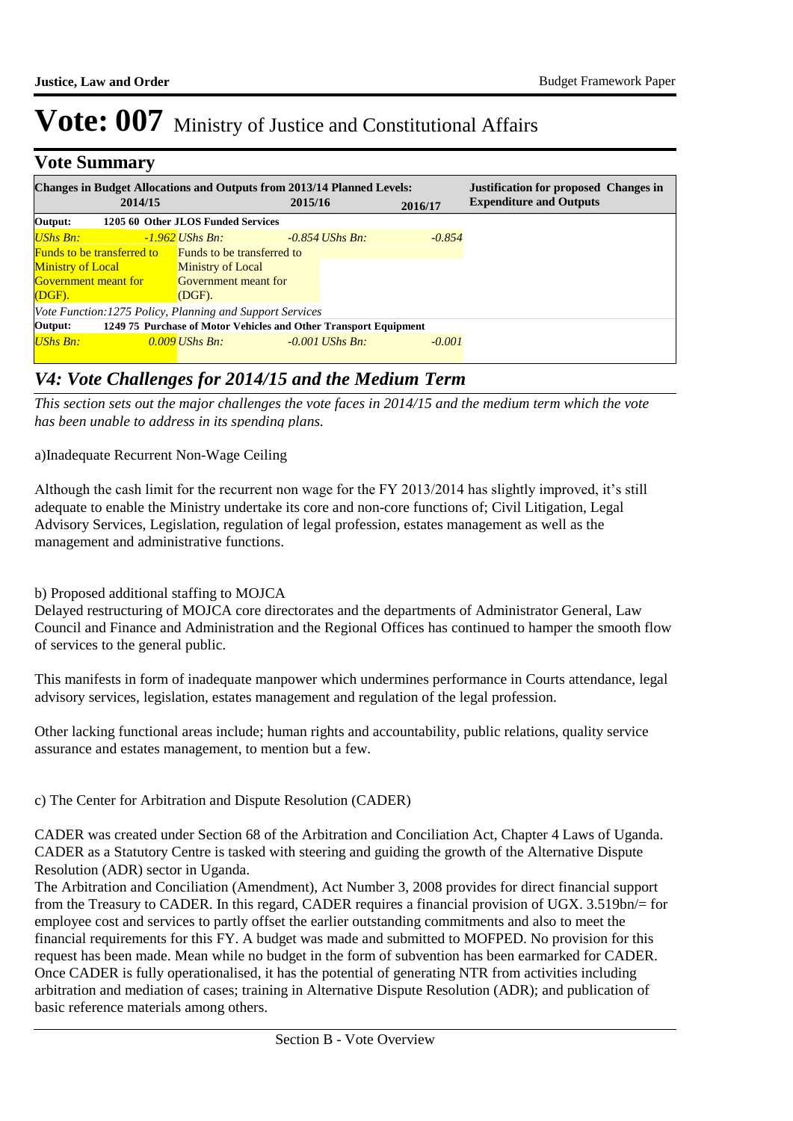## **Vote Summary**

|                                                                             |                                                           | <b>Changes in Budget Allocations and Outputs from 2013/14 Planned Levels:</b> |         |                   |          | <b>Justification for proposed Changes in</b> |
|-----------------------------------------------------------------------------|-----------------------------------------------------------|-------------------------------------------------------------------------------|---------|-------------------|----------|----------------------------------------------|
|                                                                             | 2014/15                                                   |                                                                               | 2015/16 |                   | 2016/17  | <b>Expenditure and Outputs</b>               |
| Output:                                                                     |                                                           | 1205 60 Other JLOS Funded Services                                            |         |                   |          |                                              |
| $UShs Bn:$                                                                  |                                                           | -1.962 UShs Bn:                                                               |         | $-0.854$ UShs Bn: | $-0.854$ |                                              |
|                                                                             | <b>Funds to be transferred to</b>                         | <b>Funds to be transferred to</b>                                             |         |                   |          |                                              |
|                                                                             | <b>Ministry of Local Ministry</b>                         | Ministry of Local                                                             |         |                   |          |                                              |
| <b>Government</b> meant for                                                 |                                                           | <b>Government</b> meant for                                                   |         |                   |          |                                              |
| (DGF).                                                                      |                                                           | (DGF).                                                                        |         |                   |          |                                              |
|                                                                             | Vote Function: 1275 Policy, Planning and Support Services |                                                                               |         |                   |          |                                              |
| 1249 75 Purchase of Motor Vehicles and Other Transport Equipment<br>Output: |                                                           |                                                                               |         |                   |          |                                              |
| $UShs Bn:$                                                                  |                                                           | $0.009$ UShs Bn:                                                              |         | $-0.001$ UShs Bn: | $-0.001$ |                                              |

## *V4: Vote Challenges for 2014/15 and the Medium Term*

*This section sets out the major challenges the vote faces in 2014/15 and the medium term which the vote has been unable to address in its spending plans.*

a)Inadequate Recurrent Non-Wage Ceiling

Although the cash limit for the recurrent non wage for the FY 2013/2014 has slightly improved, it's still adequate to enable the Ministry undertake its core and non-core functions of; Civil Litigation, Legal Advisory Services, Legislation, regulation of legal profession, estates management as well as the management and administrative functions.

b) Proposed additional staffing to MOJCA

Delayed restructuring of MOJCA core directorates and the departments of Administrator General, Law Council and Finance and Administration and the Regional Offices has continued to hamper the smooth flow of services to the general public.

This manifests in form of inadequate manpower which undermines performance in Courts attendance, legal advisory services, legislation, estates management and regulation of the legal profession.

Other lacking functional areas include; human rights and accountability, public relations, quality service assurance and estates management, to mention but a few.

c) The Center for Arbitration and Dispute Resolution (CADER)

CADER was created under Section 68 of the Arbitration and Conciliation Act, Chapter 4 Laws of Uganda. CADER as a Statutory Centre is tasked with steering and guiding the growth of the Alternative Dispute Resolution (ADR) sector in Uganda.

The Arbitration and Conciliation (Amendment), Act Number 3, 2008 provides for direct financial support from the Treasury to CADER. In this regard, CADER requires a financial provision of UGX. 3.519bn/= for employee cost and services to partly offset the earlier outstanding commitments and also to meet the financial requirements for this FY. A budget was made and submitted to MOFPED. No provision for this request has been made. Mean while no budget in the form of subvention has been earmarked for CADER. Once CADER is fully operationalised, it has the potential of generating NTR from activities including arbitration and mediation of cases; training in Alternative Dispute Resolution (ADR); and publication of basic reference materials among others.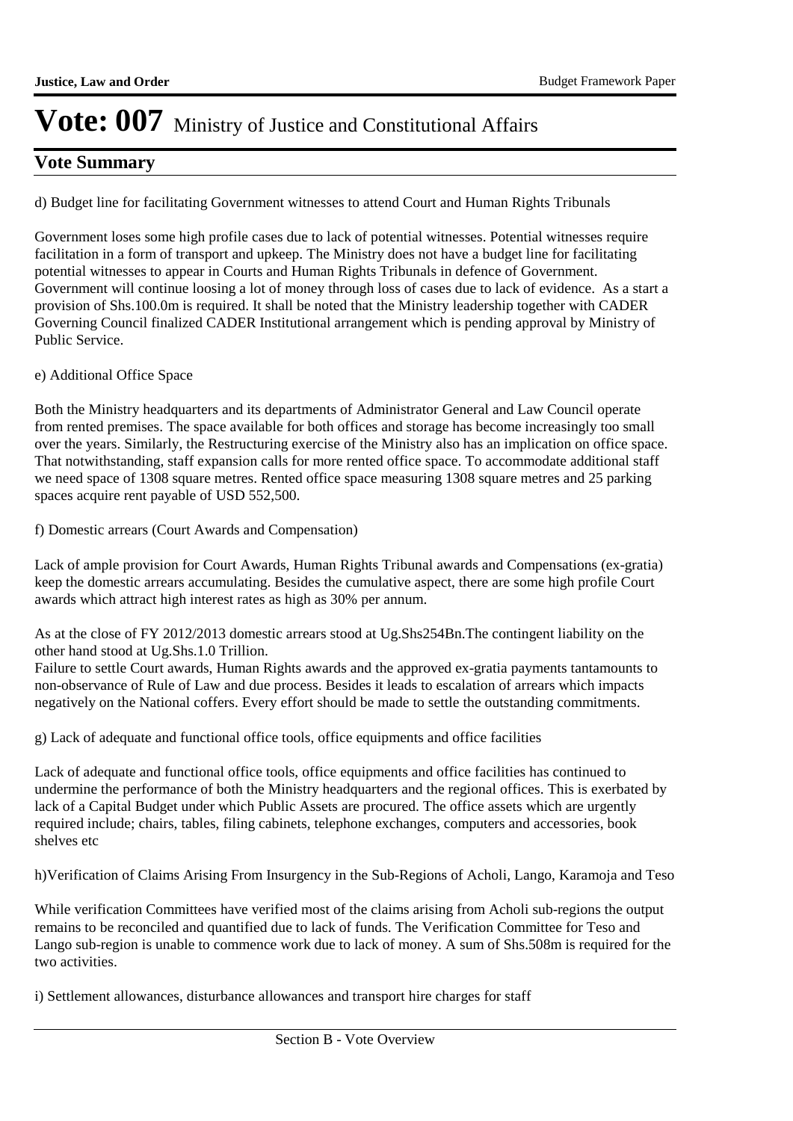## **Vote Summary**

d) Budget line for facilitating Government witnesses to attend Court and Human Rights Tribunals

Government loses some high profile cases due to lack of potential witnesses. Potential witnesses require facilitation in a form of transport and upkeep. The Ministry does not have a budget line for facilitating potential witnesses to appear in Courts and Human Rights Tribunals in defence of Government. Government will continue loosing a lot of money through loss of cases due to lack of evidence. As a start a provision of Shs.100.0m is required. It shall be noted that the Ministry leadership together with CADER Governing Council finalized CADER Institutional arrangement which is pending approval by Ministry of Public Service.

### e) Additional Office Space

Both the Ministry headquarters and its departments of Administrator General and Law Council operate from rented premises. The space available for both offices and storage has become increasingly too small over the years. Similarly, the Restructuring exercise of the Ministry also has an implication on office space. That notwithstanding, staff expansion calls for more rented office space. To accommodate additional staff we need space of 1308 square metres. Rented office space measuring 1308 square metres and 25 parking spaces acquire rent payable of USD 552,500.

f) Domestic arrears (Court Awards and Compensation)

Lack of ample provision for Court Awards, Human Rights Tribunal awards and Compensations (ex-gratia) keep the domestic arrears accumulating. Besides the cumulative aspect, there are some high profile Court awards which attract high interest rates as high as 30% per annum.

As at the close of FY 2012/2013 domestic arrears stood at Ug.Shs254Bn.The contingent liability on the other hand stood at Ug.Shs.1.0 Trillion.

Failure to settle Court awards, Human Rights awards and the approved ex-gratia payments tantamounts to non-observance of Rule of Law and due process. Besides it leads to escalation of arrears which impacts negatively on the National coffers. Every effort should be made to settle the outstanding commitments.

g) Lack of adequate and functional office tools, office equipments and office facilities

Lack of adequate and functional office tools, office equipments and office facilities has continued to undermine the performance of both the Ministry headquarters and the regional offices. This is exerbated by lack of a Capital Budget under which Public Assets are procured. The office assets which are urgently required include; chairs, tables, filing cabinets, telephone exchanges, computers and accessories, book shelves etc

h)Verification of Claims Arising From Insurgency in the Sub-Regions of Acholi, Lango, Karamoja and Teso

While verification Committees have verified most of the claims arising from Acholi sub-regions the output remains to be reconciled and quantified due to lack of funds. The Verification Committee for Teso and Lango sub-region is unable to commence work due to lack of money. A sum of Shs.508m is required for the two activities.

i) Settlement allowances, disturbance allowances and transport hire charges for staff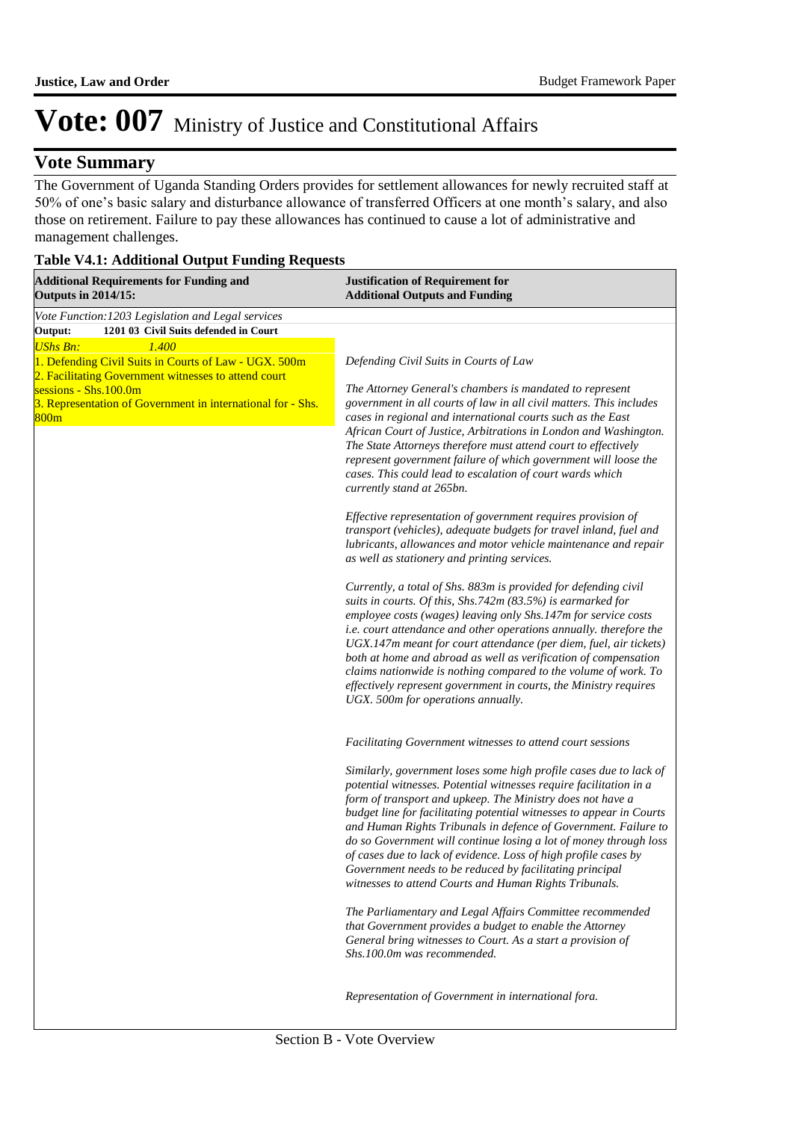## **Vote Summary**

The Government of Uganda Standing Orders provides for settlement allowances for newly recruited staff at 50% of one's basic salary and disturbance allowance of transferred Officers at one month's salary, and also those on retirement. Failure to pay these allowances has continued to cause a lot of administrative and management challenges.

### **Table V4.1: Additional Output Funding Requests**

| <b>Additional Requirements for Funding and</b><br><b>Outputs in 2014/15:</b>                                                                                                                                                                             | <b>Justification of Requirement for</b><br><b>Additional Outputs and Funding</b>                                                                                                                                                                                                                                                                                                                                                                                                                                                                                                                                |
|----------------------------------------------------------------------------------------------------------------------------------------------------------------------------------------------------------------------------------------------------------|-----------------------------------------------------------------------------------------------------------------------------------------------------------------------------------------------------------------------------------------------------------------------------------------------------------------------------------------------------------------------------------------------------------------------------------------------------------------------------------------------------------------------------------------------------------------------------------------------------------------|
| Vote Function: 1203 Legislation and Legal services                                                                                                                                                                                                       |                                                                                                                                                                                                                                                                                                                                                                                                                                                                                                                                                                                                                 |
| 1201 03 Civil Suits defended in Court<br>Output:                                                                                                                                                                                                         |                                                                                                                                                                                                                                                                                                                                                                                                                                                                                                                                                                                                                 |
| <b>UShs Bn:</b><br>1.400<br>1. Defending Civil Suits in Courts of Law - UGX. 500m<br>2. Facilitating Government witnesses to attend court<br>$s$ essions - Shs.100.0m<br>3. Representation of Government in international for - Shs.<br>800 <sub>m</sub> | Defending Civil Suits in Courts of Law                                                                                                                                                                                                                                                                                                                                                                                                                                                                                                                                                                          |
|                                                                                                                                                                                                                                                          | The Attorney General's chambers is mandated to represent<br>government in all courts of law in all civil matters. This includes<br>cases in regional and international courts such as the East<br>African Court of Justice, Arbitrations in London and Washington.<br>The State Attorneys therefore must attend court to effectively<br>represent government failure of which government will loose the<br>cases. This could lead to escalation of court wards which<br>currently stand at 265bn.                                                                                                               |
|                                                                                                                                                                                                                                                          | Effective representation of government requires provision of<br>transport (vehicles), adequate budgets for travel inland, fuel and<br>lubricants, allowances and motor vehicle maintenance and repair<br>as well as stationery and printing services.                                                                                                                                                                                                                                                                                                                                                           |
|                                                                                                                                                                                                                                                          | Currently, a total of Shs. 883m is provided for defending civil<br>suits in courts. Of this, Shs.742m (83.5%) is earmarked for<br>employee costs (wages) leaving only Shs.147m for service costs<br>i.e. court attendance and other operations annually. therefore the<br>UGX.147m meant for court attendance (per diem, fuel, air tickets)<br>both at home and abroad as well as verification of compensation<br>claims nationwide is nothing compared to the volume of work. To<br>effectively represent government in courts, the Ministry requires<br>UGX. 500m for operations annually.                    |
|                                                                                                                                                                                                                                                          | Facilitating Government witnesses to attend court sessions                                                                                                                                                                                                                                                                                                                                                                                                                                                                                                                                                      |
|                                                                                                                                                                                                                                                          | Similarly, government loses some high profile cases due to lack of<br>potential witnesses. Potential witnesses require facilitation in a<br>form of transport and upkeep. The Ministry does not have a<br>budget line for facilitating potential witnesses to appear in Courts<br>and Human Rights Tribunals in defence of Government. Failure to<br>do so Government will continue losing a lot of money through loss<br>of cases due to lack of evidence. Loss of high profile cases by<br>Government needs to be reduced by facilitating principal<br>witnesses to attend Courts and Human Rights Tribunals. |
|                                                                                                                                                                                                                                                          | The Parliamentary and Legal Affairs Committee recommended<br>that Government provides a budget to enable the Attorney<br>General bring witnesses to Court. As a start a provision of<br>Shs.100.0m was recommended.                                                                                                                                                                                                                                                                                                                                                                                             |
|                                                                                                                                                                                                                                                          | Representation of Government in international fora.                                                                                                                                                                                                                                                                                                                                                                                                                                                                                                                                                             |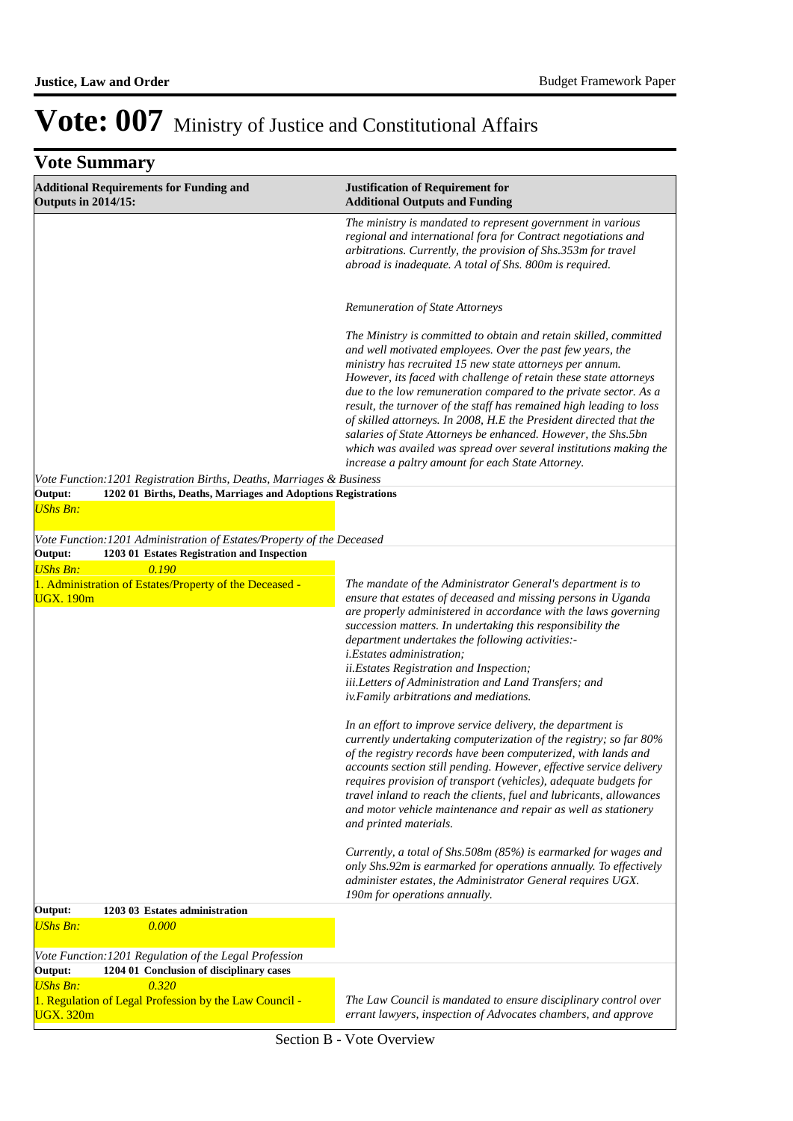| <b>Vote Summary</b>                                                                                     |                                                                                                                                                                                                                                                                                                                                                                                                                                                                                                                                                                                                                                                                                                                                                                                                                                                                                                                                                                                                                                                                                                                                                                                                                                                                    |  |  |
|---------------------------------------------------------------------------------------------------------|--------------------------------------------------------------------------------------------------------------------------------------------------------------------------------------------------------------------------------------------------------------------------------------------------------------------------------------------------------------------------------------------------------------------------------------------------------------------------------------------------------------------------------------------------------------------------------------------------------------------------------------------------------------------------------------------------------------------------------------------------------------------------------------------------------------------------------------------------------------------------------------------------------------------------------------------------------------------------------------------------------------------------------------------------------------------------------------------------------------------------------------------------------------------------------------------------------------------------------------------------------------------|--|--|
| <b>Additional Requirements for Funding and</b><br><b>Outputs in 2014/15:</b>                            | <b>Justification of Requirement for</b><br><b>Additional Outputs and Funding</b>                                                                                                                                                                                                                                                                                                                                                                                                                                                                                                                                                                                                                                                                                                                                                                                                                                                                                                                                                                                                                                                                                                                                                                                   |  |  |
|                                                                                                         | The ministry is mandated to represent government in various<br>regional and international fora for Contract negotiations and<br>arbitrations. Currently, the provision of Shs.353m for travel<br>abroad is inadequate. A total of Shs. 800m is required.                                                                                                                                                                                                                                                                                                                                                                                                                                                                                                                                                                                                                                                                                                                                                                                                                                                                                                                                                                                                           |  |  |
|                                                                                                         | Remuneration of State Attorneys                                                                                                                                                                                                                                                                                                                                                                                                                                                                                                                                                                                                                                                                                                                                                                                                                                                                                                                                                                                                                                                                                                                                                                                                                                    |  |  |
| Vote Function: 1201 Registration Births, Deaths, Marriages & Business                                   | The Ministry is committed to obtain and retain skilled, committed<br>and well motivated employees. Over the past few years, the<br>ministry has recruited 15 new state attorneys per annum.<br>However, its faced with challenge of retain these state attorneys<br>due to the low remuneration compared to the private sector. As a<br>result, the turnover of the staff has remained high leading to loss<br>of skilled attorneys. In 2008, H.E the President directed that the<br>salaries of State Attorneys be enhanced. However, the Shs.5bn<br>which was availed was spread over several institutions making the<br>increase a paltry amount for each State Attorney.                                                                                                                                                                                                                                                                                                                                                                                                                                                                                                                                                                                       |  |  |
| Output:<br>1202 01 Births, Deaths, Marriages and Adoptions Registrations                                |                                                                                                                                                                                                                                                                                                                                                                                                                                                                                                                                                                                                                                                                                                                                                                                                                                                                                                                                                                                                                                                                                                                                                                                                                                                                    |  |  |
| <b>UShs Bn:</b>                                                                                         |                                                                                                                                                                                                                                                                                                                                                                                                                                                                                                                                                                                                                                                                                                                                                                                                                                                                                                                                                                                                                                                                                                                                                                                                                                                                    |  |  |
| Vote Function: 1201 Administration of Estates/Property of the Deceased                                  |                                                                                                                                                                                                                                                                                                                                                                                                                                                                                                                                                                                                                                                                                                                                                                                                                                                                                                                                                                                                                                                                                                                                                                                                                                                                    |  |  |
| Output:<br>1203 01 Estates Registration and Inspection                                                  |                                                                                                                                                                                                                                                                                                                                                                                                                                                                                                                                                                                                                                                                                                                                                                                                                                                                                                                                                                                                                                                                                                                                                                                                                                                                    |  |  |
| <b>UShs Bn:</b><br>0.190<br>1. Administration of Estates/Property of the Deceased -<br><b>UGX. 190m</b> | The mandate of the Administrator General's department is to<br>ensure that estates of deceased and missing persons in Uganda<br>are properly administered in accordance with the laws governing<br>succession matters. In undertaking this responsibility the<br>department undertakes the following activities:-<br><i>i.Estates administration;</i><br>ii. Estates Registration and Inspection;<br>iii. Letters of Administration and Land Transfers; and<br>iv. Family arbitrations and mediations.<br>In an effort to improve service delivery, the department is<br>currently undertaking computerization of the registry; so far 80%<br>of the registry records have been computerized, with lands and<br>accounts section still pending. However, effective service delivery<br>requires provision of transport (vehicles), adequate budgets for<br>travel inland to reach the clients, fuel and lubricants, allowances<br>and motor vehicle maintenance and repair as well as stationery<br>and printed materials.<br>Currently, a total of Shs.508m (85%) is earmarked for wages and<br>only Shs.92m is earmarked for operations annually. To effectively<br>administer estates, the Administrator General requires UGX.<br>190m for operations annually. |  |  |
| 1203 03 Estates administration<br>Output:                                                               |                                                                                                                                                                                                                                                                                                                                                                                                                                                                                                                                                                                                                                                                                                                                                                                                                                                                                                                                                                                                                                                                                                                                                                                                                                                                    |  |  |
| 0.000<br><b>UShs Bn:</b>                                                                                |                                                                                                                                                                                                                                                                                                                                                                                                                                                                                                                                                                                                                                                                                                                                                                                                                                                                                                                                                                                                                                                                                                                                                                                                                                                                    |  |  |
| Vote Function: 1201 Regulation of the Legal Profession                                                  |                                                                                                                                                                                                                                                                                                                                                                                                                                                                                                                                                                                                                                                                                                                                                                                                                                                                                                                                                                                                                                                                                                                                                                                                                                                                    |  |  |
| Output:<br>1204 01 Conclusion of disciplinary cases<br>0.320                                            |                                                                                                                                                                                                                                                                                                                                                                                                                                                                                                                                                                                                                                                                                                                                                                                                                                                                                                                                                                                                                                                                                                                                                                                                                                                                    |  |  |
| <b>UShs Bn:</b><br>1. Regulation of Legal Profession by the Law Council -<br><b>UGX. 320m</b>           | The Law Council is mandated to ensure disciplinary control over<br>errant lawyers, inspection of Advocates chambers, and approve                                                                                                                                                                                                                                                                                                                                                                                                                                                                                                                                                                                                                                                                                                                                                                                                                                                                                                                                                                                                                                                                                                                                   |  |  |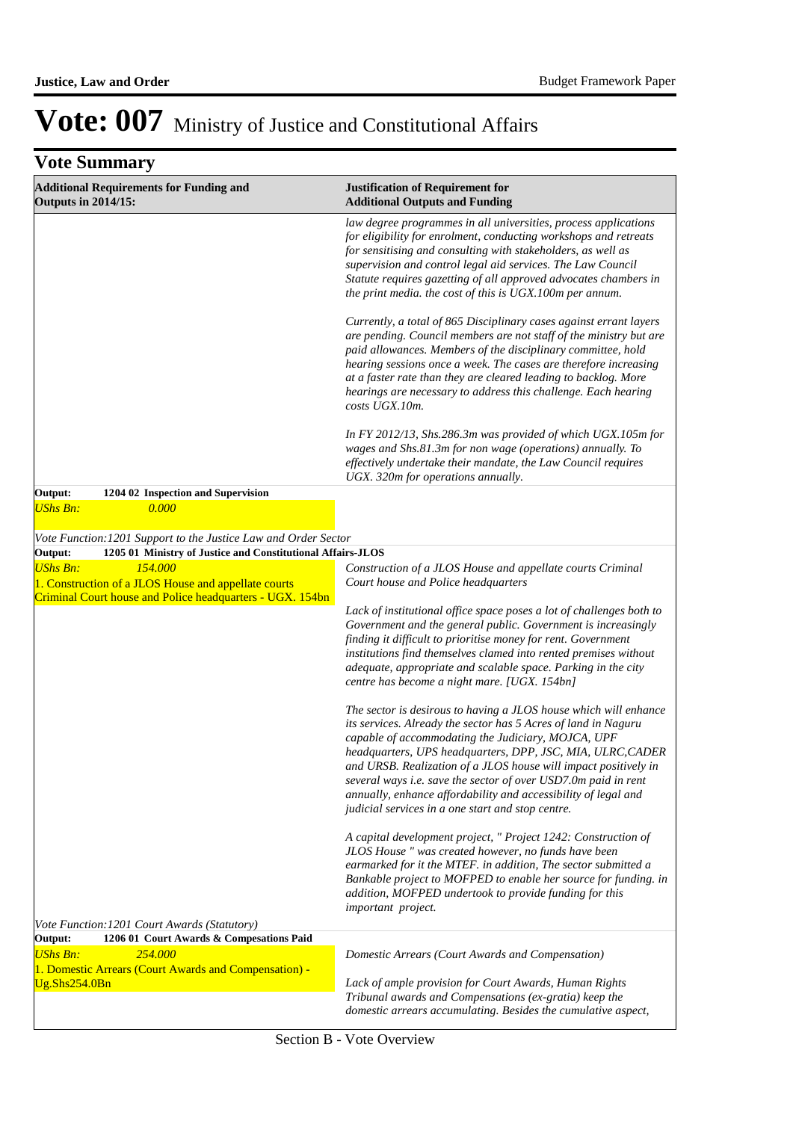| <b>Additional Requirements for Funding and</b><br><b>Outputs in 2014/15:</b>       |                                                                  | <b>Justification of Requirement for</b><br><b>Additional Outputs and Funding</b>                                                                                                                                                                                                                                                                                                                                                                                                                                   |  |
|------------------------------------------------------------------------------------|------------------------------------------------------------------|--------------------------------------------------------------------------------------------------------------------------------------------------------------------------------------------------------------------------------------------------------------------------------------------------------------------------------------------------------------------------------------------------------------------------------------------------------------------------------------------------------------------|--|
|                                                                                    |                                                                  | law degree programmes in all universities, process applications<br>for eligibility for enrolment, conducting workshops and retreats<br>for sensitising and consulting with stakeholders, as well as<br>supervision and control legal aid services. The Law Council<br>Statute requires gazetting of all approved advocates chambers in<br>the print media. the cost of this is UGX.100m per annum.                                                                                                                 |  |
|                                                                                    |                                                                  | Currently, a total of 865 Disciplinary cases against errant layers<br>are pending. Council members are not staff of the ministry but are<br>paid allowances. Members of the disciplinary committee, hold<br>hearing sessions once a week. The cases are therefore increasing<br>at a faster rate than they are cleared leading to backlog. More<br>hearings are necessary to address this challenge. Each hearing<br>costs UGX.10m.                                                                                |  |
|                                                                                    |                                                                  | In FY 2012/13, Shs.286.3m was provided of which UGX.105m for<br>wages and Shs.81.3m for non wage (operations) annually. To<br>effectively undertake their mandate, the Law Council requires<br>UGX. 320m for operations annually.                                                                                                                                                                                                                                                                                  |  |
| Output:                                                                            | 1204 02 Inspection and Supervision                               |                                                                                                                                                                                                                                                                                                                                                                                                                                                                                                                    |  |
| <b>UShs Bn:</b>                                                                    | 0.000                                                            |                                                                                                                                                                                                                                                                                                                                                                                                                                                                                                                    |  |
|                                                                                    | Vote Function: 1201 Support to the Justice Law and Order Sector  |                                                                                                                                                                                                                                                                                                                                                                                                                                                                                                                    |  |
| Output:                                                                            | 1205 01 Ministry of Justice and Constitutional Affairs-JLOS      |                                                                                                                                                                                                                                                                                                                                                                                                                                                                                                                    |  |
| <b>UShs Bn:</b><br>154.000<br>1. Construction of a JLOS House and appellate courts |                                                                  | Construction of a JLOS House and appellate courts Criminal<br>Court house and Police headquarters                                                                                                                                                                                                                                                                                                                                                                                                                  |  |
|                                                                                    | Criminal Court house and Police headquarters - UGX. 154bn        | Lack of institutional office space poses a lot of challenges both to<br>Government and the general public. Government is increasingly<br>finding it difficult to prioritise money for rent. Government<br>institutions find themselves clamed into rented premises without<br>adequate, appropriate and scalable space. Parking in the city<br>centre has become a night mare. [UGX. 154bn]                                                                                                                        |  |
|                                                                                    |                                                                  | The sector is desirous to having a JLOS house which will enhance<br>its services. Already the sector has 5 Acres of land in Naguru<br>capable of accommodating the Judiciary, MOJCA, UPF<br>headquarters, UPS headquarters, DPP, JSC, MIA, ULRC, CADER<br>and URSB. Realization of a JLOS house will impact positively in<br>several ways i.e. save the sector of over USD7.0m paid in rent<br>annually, enhance affordability and accessibility of legal and<br>judicial services in a one start and stop centre. |  |
|                                                                                    | Vote Function: 1201 Court Awards (Statutory)                     | A capital development project, " Project 1242: Construction of<br>JLOS House " was created however, no funds have been<br>earmarked for it the MTEF. in addition, The sector submitted a<br>Bankable project to MOFPED to enable her source for funding. in<br>addition, MOFPED undertook to provide funding for this<br>important project.                                                                                                                                                                        |  |
| Output:                                                                            | 1206 01 Court Awards & Compesations Paid                         |                                                                                                                                                                                                                                                                                                                                                                                                                                                                                                                    |  |
| <b>UShs Bn:</b>                                                                    | 254.000<br>1. Domestic Arrears (Court Awards and Compensation) - | Domestic Arrears (Court Awards and Compensation)                                                                                                                                                                                                                                                                                                                                                                                                                                                                   |  |
| Ug.Shs254.0Bn                                                                      |                                                                  | Lack of ample provision for Court Awards, Human Rights<br>Tribunal awards and Compensations (ex-gratia) keep the<br>domestic arrears accumulating. Besides the cumulative aspect,                                                                                                                                                                                                                                                                                                                                  |  |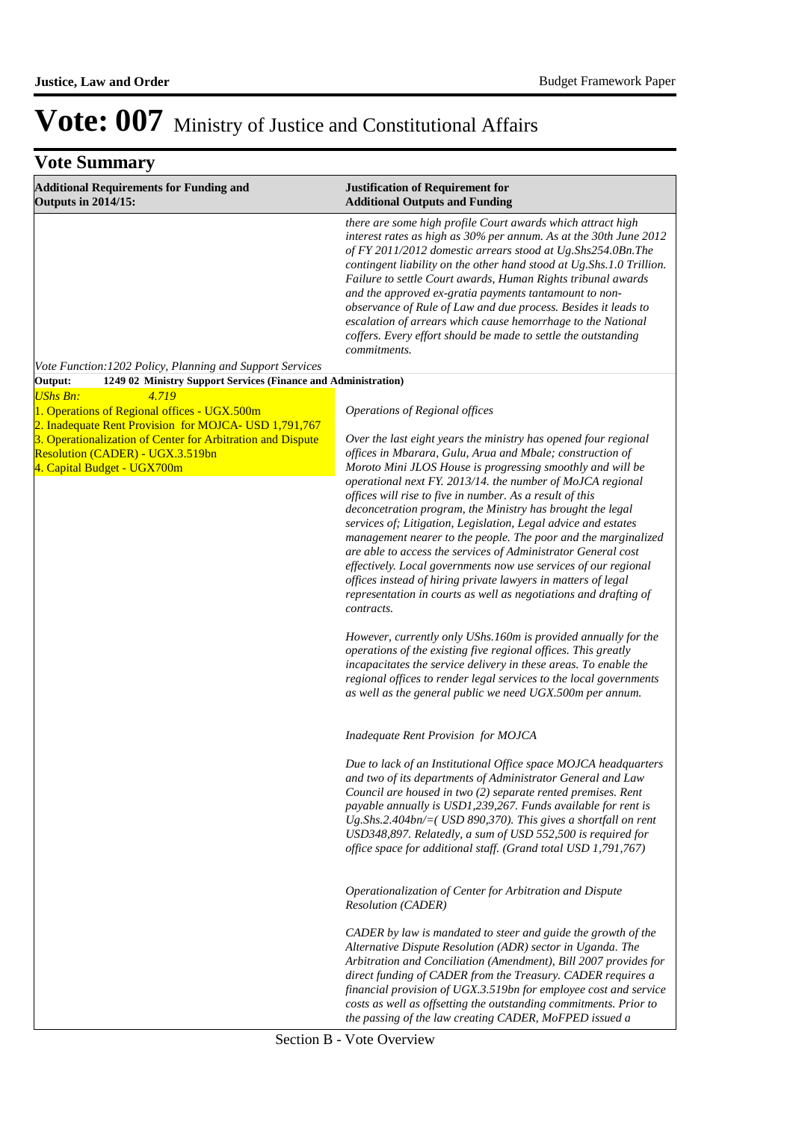| <b>Additional Requirements for Funding and</b><br><b>Outputs in 2014/15:</b>                                                                                                                                                            | <b>Justification of Requirement for</b><br><b>Additional Outputs and Funding</b>                                                                                                                                                                                                                                                                                                                                                                                                                                                                                                                                                                                                                                                                                                                                                                                                                                                                                                                                                                        |
|-----------------------------------------------------------------------------------------------------------------------------------------------------------------------------------------------------------------------------------------|---------------------------------------------------------------------------------------------------------------------------------------------------------------------------------------------------------------------------------------------------------------------------------------------------------------------------------------------------------------------------------------------------------------------------------------------------------------------------------------------------------------------------------------------------------------------------------------------------------------------------------------------------------------------------------------------------------------------------------------------------------------------------------------------------------------------------------------------------------------------------------------------------------------------------------------------------------------------------------------------------------------------------------------------------------|
|                                                                                                                                                                                                                                         | there are some high profile Court awards which attract high<br>interest rates as high as 30% per annum. As at the 30th June 2012<br>of FY 2011/2012 domestic arrears stood at Ug.Shs254.0Bn.The<br>contingent liability on the other hand stood at Ug.Shs.1.0 Trillion.<br>Failure to settle Court awards, Human Rights tribunal awards<br>and the approved ex-gratia payments tantamount to non-<br>observance of Rule of Law and due process. Besides it leads to<br>escalation of arrears which cause hemorrhage to the National<br>coffers. Every effort should be made to settle the outstanding<br><i>commitments.</i>                                                                                                                                                                                                                                                                                                                                                                                                                            |
| Vote Function: 1202 Policy, Planning and Support Services                                                                                                                                                                               |                                                                                                                                                                                                                                                                                                                                                                                                                                                                                                                                                                                                                                                                                                                                                                                                                                                                                                                                                                                                                                                         |
| Output:<br>1249 02 Ministry Support Services (Finance and Administration)<br><b>UShs Bn:</b><br>4.719                                                                                                                                   |                                                                                                                                                                                                                                                                                                                                                                                                                                                                                                                                                                                                                                                                                                                                                                                                                                                                                                                                                                                                                                                         |
| 1. Operations of Regional offices - UGX.500m<br>2. Inadequate Rent Provision for MOJCA- USD 1,791,767<br>3. Operationalization of Center for Arbitration and Dispute<br>Resolution (CADER) - UGX.3.519bn<br>4. Capital Budget - UGX700m | Operations of Regional offices<br>Over the last eight years the ministry has opened four regional<br>offices in Mbarara, Gulu, Arua and Mbale; construction of<br>Moroto Mini JLOS House is progressing smoothly and will be<br>operational next FY. 2013/14. the number of MoJCA regional<br>offices will rise to five in number. As a result of this<br>deconcetration program, the Ministry has brought the legal<br>services of; Litigation, Legislation, Legal advice and estates<br>management nearer to the people. The poor and the marginalized<br>are able to access the services of Administrator General cost<br>effectively. Local governments now use services of our regional<br>offices instead of hiring private lawyers in matters of legal<br>representation in courts as well as negotiations and drafting of<br>contracts.<br>However, currently only UShs.160m is provided annually for the<br>operations of the existing five regional offices. This greatly<br>incapacitates the service delivery in these areas. To enable the |
|                                                                                                                                                                                                                                         | regional offices to render legal services to the local governments<br>as well as the general public we need UGX.500m per annum.<br>Inadequate Rent Provision for MOJCA                                                                                                                                                                                                                                                                                                                                                                                                                                                                                                                                                                                                                                                                                                                                                                                                                                                                                  |
|                                                                                                                                                                                                                                         | Due to lack of an Institutional Office space MOJCA headquarters<br>and two of its departments of Administrator General and Law<br>Council are housed in two (2) separate rented premises. Rent<br>payable annually is USD1,239,267. Funds available for rent is<br>Ug.Shs.2.404bn/=( USD 890,370). This gives a shortfall on rent<br>USD348,897. Relatedly, a sum of USD 552,500 is required for<br>office space for additional staff. (Grand total USD 1,791,767)                                                                                                                                                                                                                                                                                                                                                                                                                                                                                                                                                                                      |
|                                                                                                                                                                                                                                         | Operationalization of Center for Arbitration and Dispute<br><b>Resolution</b> (CADER)                                                                                                                                                                                                                                                                                                                                                                                                                                                                                                                                                                                                                                                                                                                                                                                                                                                                                                                                                                   |
|                                                                                                                                                                                                                                         | CADER by law is mandated to steer and guide the growth of the<br>Alternative Dispute Resolution (ADR) sector in Uganda. The<br>Arbitration and Conciliation (Amendment), Bill 2007 provides for<br>direct funding of CADER from the Treasury. CADER requires a<br>financial provision of UGX.3.519bn for employee cost and service<br>costs as well as offsetting the outstanding commitments. Prior to<br>the passing of the law creating CADER, MoFPED issued a                                                                                                                                                                                                                                                                                                                                                                                                                                                                                                                                                                                       |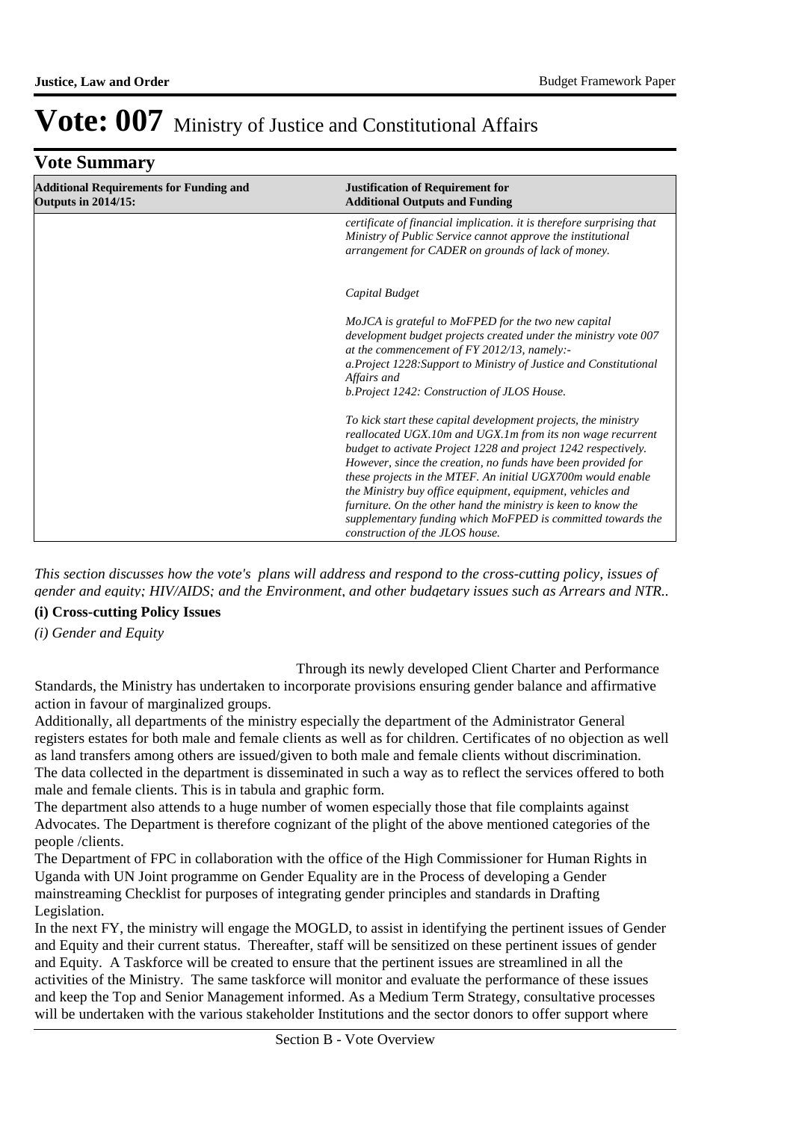|  | <b>Vote Summary</b> |
|--|---------------------|
|--|---------------------|

| <b>Additional Requirements for Funding and</b><br><b>Outputs in 2014/15:</b> | <b>Justification of Requirement for</b><br><b>Additional Outputs and Funding</b>                                                                                                                                                                                                                                                                                                                                                                                                                                                                               |
|------------------------------------------------------------------------------|----------------------------------------------------------------------------------------------------------------------------------------------------------------------------------------------------------------------------------------------------------------------------------------------------------------------------------------------------------------------------------------------------------------------------------------------------------------------------------------------------------------------------------------------------------------|
|                                                                              | certificate of financial implication. it is therefore surprising that<br>Ministry of Public Service cannot approve the institutional<br>arrangement for CADER on grounds of lack of money.                                                                                                                                                                                                                                                                                                                                                                     |
|                                                                              | Capital Budget                                                                                                                                                                                                                                                                                                                                                                                                                                                                                                                                                 |
|                                                                              | MoJCA is grateful to MoFPED for the two new capital<br>development budget projects created under the ministry vote 007<br>at the commencement of $FY$ 2012/13, namely:-<br>a. Project 1228: Support to Ministry of Justice and Constitutional<br>Affairs and<br>b.Project 1242: Construction of JLOS House.                                                                                                                                                                                                                                                    |
|                                                                              | To kick start these capital development projects, the ministry<br>reallocated UGX.10m and UGX.1m from its non wage recurrent<br>budget to activate Project 1228 and project 1242 respectively.<br>However, since the creation, no funds have been provided for<br>these projects in the MTEF. An initial UGX700m would enable<br>the Ministry buy office equipment, equipment, vehicles and<br>furniture. On the other hand the ministry is keen to know the<br>supplementary funding which MoFPED is committed towards the<br>construction of the JLOS house. |

*This section discusses how the vote's plans will address and respond to the cross-cutting policy, issues of gender and equity; HIV/AIDS; and the Environment, and other budgetary issues such as Arrears and NTR..* 

### **(i) Cross-cutting Policy Issues**

*(i) Gender and Equity*

 Through its newly developed Client Charter and Performance Standards, the Ministry has undertaken to incorporate provisions ensuring gender balance and affirmative

action in favour of marginalized groups.

Additionally, all departments of the ministry especially the department of the Administrator General registers estates for both male and female clients as well as for children. Certificates of no objection as well as land transfers among others are issued/given to both male and female clients without discrimination. The data collected in the department is disseminated in such a way as to reflect the services offered to both male and female clients. This is in tabula and graphic form.

The department also attends to a huge number of women especially those that file complaints against Advocates. The Department is therefore cognizant of the plight of the above mentioned categories of the people /clients.

The Department of FPC in collaboration with the office of the High Commissioner for Human Rights in Uganda with UN Joint programme on Gender Equality are in the Process of developing a Gender mainstreaming Checklist for purposes of integrating gender principles and standards in Drafting Legislation.

In the next FY, the ministry will engage the MOGLD, to assist in identifying the pertinent issues of Gender and Equity and their current status. Thereafter, staff will be sensitized on these pertinent issues of gender and Equity. A Taskforce will be created to ensure that the pertinent issues are streamlined in all the activities of the Ministry. The same taskforce will monitor and evaluate the performance of these issues and keep the Top and Senior Management informed. As a Medium Term Strategy, consultative processes will be undertaken with the various stakeholder Institutions and the sector donors to offer support where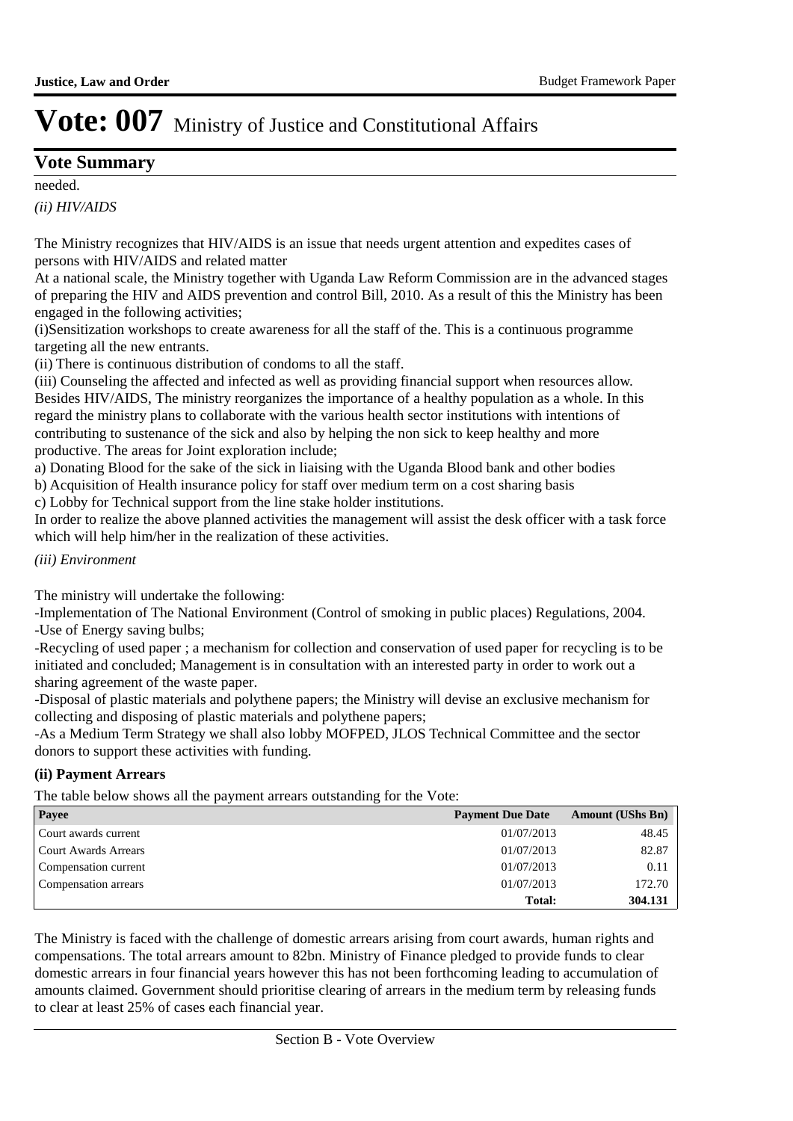### **Vote Summary**

needed.

*(ii) HIV/AIDS*

The Ministry recognizes that HIV/AIDS is an issue that needs urgent attention and expedites cases of persons with HIV/AIDS and related matter

At a national scale, the Ministry together with Uganda Law Reform Commission are in the advanced stages of preparing the HIV and AIDS prevention and control Bill, 2010. As a result of this the Ministry has been engaged in the following activities;

(i) Sensitization workshops to create awareness for all the staff of the. This is a continuous programme targeting all the new entrants.

(ii) There is continuous distribution of condoms to all the staff.

(iii) Counseling the affected and infected as well as providing financial support when resources allow. Besides HIV/AIDS, The ministry reorganizes the importance of a healthy population as a whole. In this regard the ministry plans to collaborate with the various health sector institutions with intentions of contributing to sustenance of the sick and also by helping the non sick to keep healthy and more productive. The areas for Joint exploration include;

a) Donating Blood for the sake of the sick in liaising with the Uganda Blood bank and other bodies

b) Acquisition of Health insurance policy for staff over medium term on a cost sharing basis

c) Lobby for Technical support from the line stake holder institutions.

In order to realize the above planned activities the management will assist the desk officer with a task force which will help him/her in the realization of these activities.

*(iii) Environment*

The ministry will undertake the following:

-Implementation of The National Environment (Control of smoking in public places) Regulations, 2004. -Use of Energy saving bulbs;

-Recycling of used paper ; a mechanism for collection and conservation of used paper for recycling is to be initiated and concluded; Management is in consultation with an interested party in order to work out a sharing agreement of the waste paper.

-Disposal of plastic materials and polythene papers; the Ministry will devise an exclusive mechanism for collecting and disposing of plastic materials and polythene papers;

-As a Medium Term Strategy we shall also lobby MOFPED, JLOS Technical Committee and the sector donors to support these activities with funding.

### **(ii) Payment Arrears**

The table below shows all the payment arrears outstanding for the Vote:

| Payee                       | <b>Payment Due Date</b> | <b>Amount (UShs Bn)</b> |
|-----------------------------|-------------------------|-------------------------|
| Court awards current        | 01/07/2013              | 48.45                   |
| <b>Court Awards Arrears</b> | 01/07/2013              | 82.87                   |
| Compensation current        | 01/07/2013              | 0.11                    |
| Compensation arrears        | 01/07/2013              | 172.70                  |
|                             | Total:                  | 304.131                 |

The Ministry is faced with the challenge of domestic arrears arising from court awards, human rights and compensations. The total arrears amount to 82bn. Ministry of Finance pledged to provide funds to clear domestic arrears in four financial years however this has not been forthcoming leading to accumulation of amounts claimed. Government should prioritise clearing of arrears in the medium term by releasing funds to clear at least 25% of cases each financial year.